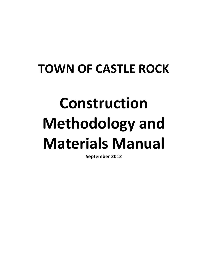## **TOWN OF CASTLE ROCK**

# **Construction Methodology and Materials Manual**

**September 2012**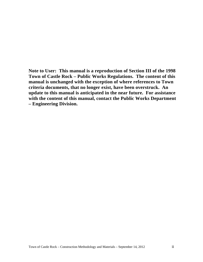**Note to User: This manual is a reproduction of Section III of the 1998 Town of Castle Rock – Public Works Regulations. The content of this manual is unchanged with the exception of where references to Town criteria documents, that no longer exist, have been overstruck. An update to this manual is anticipated in the near future. For assistance with the content of this manual, contact the Public Works Department – Engineering Division.**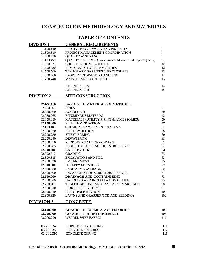### **CONSTRUCTION METHODOLOGY AND MATERIALS**

### **TABLE OF CONTENTS**

| <b>DIVISION 1</b> | <b>GENERAL REQUIREMENTS</b>                                       |     |
|-------------------|-------------------------------------------------------------------|-----|
| 01.100.140        | PROTECTION OF WORK AND PROPERTY                                   | 1   |
| 01.300.310        | PROJECT MANAGEMENT COORDINATION                                   | 1   |
| 01.400.430        | <b>QUALITY ASSURANCE</b>                                          | 1   |
| 01.400.450        | <b>QUALITY CONTROL (Procedures to Measure and Report Quality)</b> | 3   |
| 01.500.520        | <b>CONSTRUCTION FACILITIES</b>                                    | 10  |
| 01.500.530        | TEMPORARY TOILET FACILITIES                                       | 12  |
| 01.500.560        | TEMPORARY BARRIERS & ENCLOSURES                                   | 12  |
| 01.500.660        | PRODUCT STORAGE & HANDLING                                        | 13  |
| 01.700.740        | MAINTENANCE OF THE SITE                                           | 13  |
|                   | <b>APPENDIX III-A</b>                                             | 14  |
|                   | <b>APPENDIX III-B</b>                                             | 18  |
| <b>DIVISION 2</b> | <b>SITE CONSTRUCTION</b>                                          |     |
| 02.0-S0.000       | <b>BASIC SITE MATERIALS &amp; METHODS</b>                         |     |
| 02.050.055        | <b>SOILS</b>                                                      | 21  |
| 02.050.060        | <b>AGGREGATE</b>                                                  | 30  |
| 02.050.065        | <b>BITUMINOUS MATERIAL</b>                                        | 42  |
| 02.050.080        | MATERIALS (UTILITY PIPING & ACCESSORIES)                          | 50  |
| 02.100.000        | <b>SITE REMEDIATION</b>                                           | 57  |
| 02.100.105        | <b>CHEMICAL SAMPLING &amp; ANALYSIS</b>                           | 57  |
| 02.200.220        | <b>SITE DEMOLITION</b>                                            | 58  |
| 02.200.230        | <b>SITE CLEARING</b>                                              | 60  |
| 02.200.240        | <b>DEWATERING</b>                                                 | 61  |
| 02.200.250        | SHORING AND UNDERPINNING                                          | 61  |
| 02.200.285        | REBUILT MISCELLANEOUS STRUCTURES                                  | 62  |
| 02.300.300        | <b>EARTHWORK</b>                                                  | 63  |
| 02.300.310        | <b>GRADING</b>                                                    | 63  |
| 02.300.315        | <b>EXCAVATION AND FILL</b>                                        | 63  |
| 02.300.330        | <b>EMBANKMENT</b>                                                 | 65  |
| 02.500.000        | <b>UTILITY SERVICES</b>                                           | 67  |
| 02.500.530        | SANITARY SEWERAGE                                                 | 70  |
| 02.500.600        | ENCASEMENT OF-STRUCTURAL SEWER                                    | 71  |
| 02.600.000        | DRAINAGE AND CONTAINMENT                                          | 73  |
| 02.650.000        | HANDLING AND INSTALLATION OF PIPE                                 | 75  |
| 02.700.760        | TRAFFIC SIGNING AND PAVEMENT MARKINGS                             | 76  |
| 02.800.810        | <b>IRRIGATION SYSTEMS</b>                                         | 91  |
| 02.900.910        | PLANT PREPARATION                                                 | 100 |
| 02.900.920        | LAWNS AND GRASSES (SOD AND SEEDING)                               | 102 |
| <b>DIVISION 3</b> | <b>CONCRETE</b>                                                   |     |
| 03.100.000        | <b>CONCRETE FORMS &amp; ACCESSORIES</b>                           | 105 |
| 03.200.000        | <b>CONCRETE REINFORCEMENT</b>                                     | 108 |
| 03.200.220        | <b>WELDED WIRE FABRIC</b>                                         | 111 |
| 03.200.240        | <b>FIBROUS REINFORCING</b>                                        | 111 |
| 03.200.350        | <b>CONCRETE FINISHING</b>                                         | 112 |
| 03,200.390        | <b>CONCRETE CURING</b>                                            | 115 |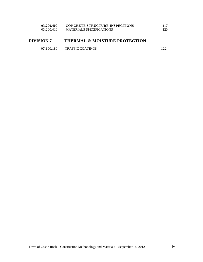| 03.200.400 | <b>CONCRETE STRUCTURE INSPECTIONS</b> |     |
|------------|---------------------------------------|-----|
| 03.200.410 | <b>MATERIALS SPECIFICATIONS</b>       | 120 |

### **DIVISION 7 THERMAL & MOISTURE PROTECTION**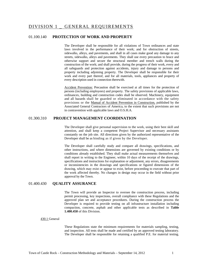### 01.100.140 **PROTECTION OF WORK AND PROPERTY**

The Developer shall be responsible for all violations of Town ordinances and state laws involved in the performance of their work; and for obstruction of streets, sidewalks, alleys, and pavements, and shall in all cases make good any damage to any streets, sidewalks, alleys and pavements. They shall use every precaution to brace and otherwise support and secure the structural member and trench walls during the construction of the work; and shall provide, during the progress of their work, every and all safeguards and protection against accidents, injury and damage to persons and property including adjoining property. The Developer shall be responsible for their work and every part thereof, and for all materials, tools, appliances and property of every description used in connection therewith.

Accident Prevention: Precaution shall be exercised at all times for the protection of persons (including employees) and property. The safety provisions of applicable laws, ordinances, building and construction codes shall be observed. Machinery, equipment and all hazards shall be guarded or eliminated in accordance with the safety provisions or the Manual of Accident Prevention in Construction, published by the Associated General Contractors of America, to the extent that such provisions are not in contravention with applicable laws and O.S.H.A.

### 01.300.310 **PROJECT MANAGEMENT COORDINATION**

The Developer shall give personal supervision to the work, using their best skill and attention, and shall keep a competent Project Supervisor and necessary assistants constantly on the job site. All directions given by the authorized representative of the Developer shall be as binding as if given by the Developer.

The Developer shall carefully study and compare all drawings, specifications, and other instructions, and where dimensions are governed by existing conditions or by conditions already established. They shall make actual measurements themselves and shall report in writing to the Engineer, within 10 days of the receipt of the drawings, specifications and instructions for explanation or adjustment, any errors, disagreements or inconsistencies in the drawings and specifications or figured dimensions of the drawing, which may exist or appear to exist, before proceeding to execute that part of the work affected thereby. No changes in design may occur in the field without prior approval by the Town.

### 01.400.430 **QUALITY ASSURANCE**

The Town will provide an Inspector to oversee the construction process, including permit processing, key inspections, overall compliance with these Regulations and the approved plan set and acceptance procedures. During the construction process the Developer is required to provide testing on all infrastructure installation including compaction, concrete, asphalt and other applicable tests as described in **Table 1.400.450** of this Division.

### 430.1 General

These Regulations state the minimum requirements for materials sampling, testing, and inspection. All tests shall be made and certified by an approved testing laboratory. The Developer shall be responsible for retaining a qualified P.E. for material testing.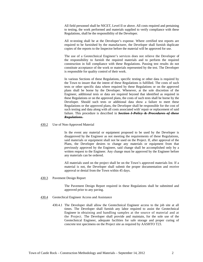All field personnel shall be NICET, Level II or above. All costs required and pertaining to testing, the work performed and materials supplied to verify compliance with these Regulations, shall be the responsibility of the Developer.

All re-testing shall be at the Developer's expense. Where certified test reports are required to be furnished by the manufacturer, the Developer shall furnish duplicate copies of the reports to the Inspector before the material will be approved for use.

The use of a Geotechnical Engineer's services does not relieve the Developer of the responsibility to furnish the required materials and to perform the required construction in full compliance with these Regulations. Passing test results do not constitute acceptance of the work or materials represented by the test. The Developer is responsible for quality control of their work.

In various Sections of these Regulations, specific testing or other data is required by the Town to insure that the intent of these Regulations is fulfilled. The costs of such tests or other specific data where required by these Regulations or on the approved plans shall be borne by the Developer. Whenever, at the sole discretion of the Engineer, additional tests or data are required beyond that identified as required in these Regulations or on the approved plans, the costs of such tests shall be borne by the Developer. Should such tests or additional data show a failure to meet these Regulations or the approved plans, the Developer shall be responsible for the cost of such testing and data along with all costs associated with' repair or replacement of said failure. This procedure is described in *Section I-Policy & Procedures of these Regulations.* 

### 430.2 Use of Non-Approved Material

In the event any material or equipment proposed to be used by the Developer is disapproved by the Engineer as not meeting the requirements of these Regulations, said materials or equipment shall not be used on the Project. If, after approval of the Plans, the Developer desires to change any materials or equipment from that previously approved by the Engineer, said change shall be accomplished only by a written request to the Engineer. Any change must be approved by the Engineer before any materials can be ordered.

All materials used on the project shall be on the Town's approved materials list. If a material is not, the Developer shall submit the proper documentation and receive approval or denial from the Town within 45 days.

430.3 Pavement Design Report

The Pavement Design Report required in these Regulations shall be submitted and approved prior to any paving.

- 430.4 Geotechical Engineer Access and Assistance
	- 430.4.1 The Developer shall allow the Geotechnical Engineer access to the job site at all times. The Developer shall furnish any labor required to assist the Geotechnical Engineer in obtaining and handling samples at the source of material and at the Project. The Developer shall provide and maintain, for the sole use of the Geotechnical Engineer, adequate facilities for safe storage and proper curing of concrete test specimens on the Project site as required by AASHTO T23.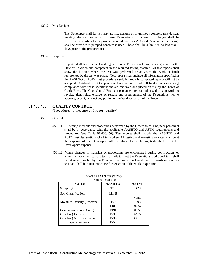### 430.5 Mix Designs

The Developer shall furnish asphalt mix designs or bituminous concrete mix designs meeting the requirements of these Regulations. Concrete mix design shall be performed according to the provisions of ACI-211 or ACI-304. A separate mix design shall be provided if pumped concrete is used. These shall be submitted no less than 7 days prior to the proposed use.

### 430.6 Reports

Reports shall bear the seal and signature of a Professional Engineer registered in the State of Colorado and competent in the required testing practice. All test reports shall show the location where the test was performed or at which the work or batch represented by the test was placed. Test reports shall include all information specified in the AASHTO or ASTM test procedure used. Improperly completed reports will not be accepted. Certificates of Occupancy will not be issued until all final reports indicating compliance with these specifications are reviewed and placed on file by the Town of Castle Rock. The Geotechnical Engineer personnel are not authorized to stop work, to revoke, alter, relax, enlarge, or release any requirements of the Regulations, nor to approve, accept, or reject any portion of the Work on behalf of the Town.

### **01.400.450 QUALITY CONTROL**

(Procedures to measure and report quality)

- 450.1 General
	- 450.1.1 All testing methods and procedures performed by the Geotechnical Engineer personnel shall be in accordance with the applicable AASHTO and ASTM requirements and procedures (see Table 01.400.450). Test reports shall include the AASHTO and ASTM test designations of all tests taken. All testing and re-testing services shall be at the expense of the Developer. All re-testing due to failing tests shall be at the Developer's expense.
	- 450.1.2 When changes in materials or proportions are encountered during construction, or when the work fails to pass tests or fails to meet the Regulations, additional tests shall be taken as directed by the Engineer. Failure of the Developer to furnish satisfactory test data shall be sufficient cause for rejection of the work in question.

| Table 01.400.450           |                  |                   |  |  |
|----------------------------|------------------|-------------------|--|--|
| <b>SOILS</b>               | <b>AASHTO</b>    | <b>ASTM</b>       |  |  |
| Sampling                   | T87              | D <sub>420</sub>  |  |  |
| Soil Classification        | M145             |                   |  |  |
|                            |                  | D3282             |  |  |
| Moisture-Density (Proctor) | T99              | D698              |  |  |
|                            | T <sub>180</sub> | D <sub>1557</sub> |  |  |
| Compaction (Sand Cone)     | T <sub>191</sub> | D <sub>1556</sub> |  |  |
| (Nuclear) Density          | T <sub>238</sub> | D2922             |  |  |
| (Nuclear) Moisture Content | T <sub>239</sub> | D3017             |  |  |
| <b>Expansive Soils</b>     | T258             |                   |  |  |

### MATERIALS TESTING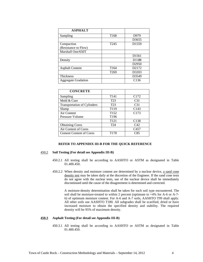| <b>ASPHALT</b>             |                  |                                |
|----------------------------|------------------|--------------------------------|
| Sampling                   | T <sub>168</sub> | D979                           |
|                            |                  | D3655                          |
| Compaction                 | T <sub>245</sub> | D <sub>1559</sub>              |
| (Resistance to Flow)       |                  |                                |
| Marshall One/650T          |                  |                                |
|                            |                  | D <sub>1561</sub>              |
| Density                    |                  | <b>DI188</b>                   |
|                            |                  | D <sub>2950</sub>              |
| <b>Asphalt Content</b>     | T <sub>164</sub> | D <sub>2</sub> 17 <sub>2</sub> |
|                            | T <sub>269</sub> | D3203                          |
| <b>Thickness</b>           |                  | D3549                          |
| <b>Aggregate Gradation</b> |                  | C <sub>136</sub>               |

| <b>CONCRETE</b>                    |                  |                  |
|------------------------------------|------------------|------------------|
| Sampling                           | T <sub>141</sub> | C <sub>172</sub> |
| Mold & Cure                        | T <sub>23</sub>  | C <sub>31</sub>  |
| <b>Transportation of Cylinders</b> | T <sub>23</sub>  | C <sub>31</sub>  |
| Slump                              | T <sub>119</sub> | C <sub>143</sub> |
| Air Content                        | T <sub>152</sub> | C <sub>173</sub> |
| Pressure Volume                    | T <sub>196</sub> |                  |
|                                    | T <sub>121</sub> | C <sub>138</sub> |
| <b>Obtaining Cores</b>             | T <sub>24</sub>  | C42              |
| Air Content of Cores               |                  | C <sub>457</sub> |
| <b>Cement Content of Cores</b>     | T <sub>178</sub> | C85              |
|                                    |                  |                  |

### **REFER TO APPENDIX III-B FOR THE QUICK REFERENCE**

### 450.2 **Soil Testing (For detail see Appendix III-B)**

- 450.2.1 All testing shall be according to AASHTO or ASTM as designated in Table 01.400.450.
- 450.2.2 When density and moisture content are determined by a nuclear device, a sand cone density test may be taken daily at the discretion of the Engineer. If the sand cone tests do not agree with the nuclear tests, use of the nuclear device shall be immediately discontinued until the cause of the disagreement is determined and corrected.

A moisture-density determination shall be taken for each soil type encountered. The soil shall be moisture-treated to within 2 percent (optimum to +4% for A-6 or A-7- 6) of optimum moisture content. For A-6 and A-7 soils, AASHTO T99 shall apply. All other soils use AASHTO T180. All subgrades shall be scarified, dried or have increased moisture to obtain the specified density and stability. The required density will be 95% of maximum density.

### **450.3 Asphalt Testing (For detail see Appendix III-B)**

450.3.1 All testing shall be according to AASHTO or ASTM as designated in Table 01.400.450.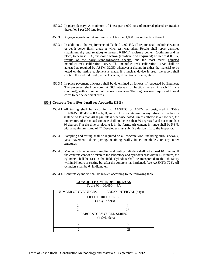- 450.3.2 In-place density: A minimum of I test per 1,000 tons of material placed or fraction thereof or 1 per 250 lane feet.
- 450.3.3 Aggregate gradation: A minimum of 1 test per 1,000 tons or fraction thereof.
- 450.3.4 In addition to the requirements of Table 01.400.450, all reports shall include elevation or depth below finish grade at which test was taken. Results shall report densities (maximum dry and relative) to nearest  $0.1$ lb/ft<sup>3</sup>, moisture content (optimum and in place) to nearest 0.1%, and compaction (relative and required) to nearest 0.1%, results of the daily standardization checks, and the most recent adjusted manufacturer's calibration curve. The manufacturer's calibration curve shall be adjusted as required by ASTM D2950 whenever a change in either the material to be tested or the testing equipment is made. If a nuclear device is used, the report shall contain the method used (i.e. back scatter, direct transmission, etc.)
- 450.3.5 In-place pavement thickness shall be determined as follows, if requested by Engineer: The pavement shall be cored at 500' intervals, or fraction thereof, in each 12' lane (nominal), with a minimum of 3 cores in any area. The Engineer may require additional cores to define deficient areas.

### **450.4 Concrete Tests (For detail see Appendix III-B)**

- 450.4.1 All testing shall be according to AASHTO or ASTM as designated in Table 01.400.450, 01.400.450.4.4 A, B, and C. All concrete used in any infrastructure facility shall be no less than 4000 psi unless otherwise noted. Unless otherwise authorized, the temperature of the mixed concrete shall not be less than 50 degrees F and not more than 80 degrees F at the time of placing it in the forms. Air content % range shall be 5-8%, with a maximum slump of 4". Developer must submit a design mix to the inspector.
- 450.4.2 Sampling and testing shall be required on all concrete work including curb, sidewalk, pans, pavement, slope paving, retaining walls, inlets, manholes, or any other structures.
- 450.4.3 Maximum time between sampling and casting cylinders shall not exceed 10 minutes. If the concrete cannot be taken to the laboratory and cylinders cast within 15 minutes, the cylinders shall be cast in the field. Cylinders shall be transported to the laboratory within 24 hours of casting but after the concrete has hardened, (see AASHTO T23). All cylinders shall be 6" in diameter.
- 450.4.4 Concrete cylinders shall be broken according to the following table

| <b>NUMBER OF CYLINDERS</b>     | <b>BREAK INTERVAL (days)</b> |  |  |
|--------------------------------|------------------------------|--|--|
|                                | <b>FIELD CURED SERIES</b>    |  |  |
|                                | (4 Cylinders)                |  |  |
| 2                              |                              |  |  |
|                                | 28                           |  |  |
| <b>LABORATORY CURED SERIES</b> |                              |  |  |
| (4 Cylinders)                  |                              |  |  |
|                                |                              |  |  |
|                                | 28                           |  |  |

### **CONCRETE CYLINDER BREAKS**

Table 01.400.450.4.4A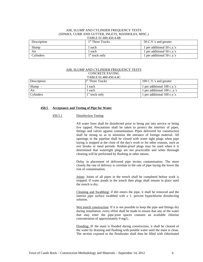### AIR, SLUMP AND CYLINDER FREQUENCY TESTS (SDWKS, CURB AND GUTTER, INLETS, MANHOLES, MISC.) TABLE 01.400.450.4.4B

| Description | 1 <sup>st</sup> Three Trucks | 50 C.Y.'s and greater      |
|-------------|------------------------------|----------------------------|
| Slump       | each                         | 1 per additional 50 c.v.'s |
| Air         | each                         | 1 per additional 50 c.v.'s |
| Cylinders   | $1st$ truck only             | 1 per additional 50 c.y.'s |

### AIR, SLUMP AND CYLINDER FREQUENCY TESTS

### CONCRETE PAVING

### TABLE 01.400.450.4.4C

| <b>Description</b> | $1st$ Three Trucks | 100 C.Y.'s and greater      |
|--------------------|--------------------|-----------------------------|
| Slump -            | each               | 1 per additional 100 c.v.'s |
| Air                | each               | 1 per additional 100 cy.'s  |
| <b>Cylinders</b>   | 1" truck only      | 1 per additional 100 c.y.'s |

### **450.5 Acceptance and Testing of Pipe for Water**

### 450.5.1 Disinfection Testing

All water lines shall be disinfected prior to being put into service or being live tapped. Precautions shall be taken to protect the interiors of pipes, fittings and valves against contamination. Pipes delivered for construction shall be strung so as to minimize the entrance of foreign material. All openings in the pipeline shall be closed with water tight plugs when pipe laying is stopped at the close of the day's work or for other reasons, such as rest breaks or meal periods. Rodent-proof plugs may be used when it is determined that watertight plugs are not practicable and when thorough cleaning will be performed by flushing or other means.

Delay in placement of delivered pipe invites contamination. The more closely the rate of delivery is correlate to the rate of pipe laying the lower the risk of contamination.

Joints: Joints of all pipes in the trench shall be completed before work is stopped. If water ponds in the trench then plugs shall remain in place until the trench is dry.

Cleaning and Swabbing: if dirt enters the pipe, it shall be removed and the interior pipe surface swabbed with a 1- percent hypochlorite disinfecting solution.

Wet trench construction: If it is not possible to keep the pipe and fittings dry during installation, every effort shall be made to ensure that any of the water that may enter the pipe-joint spaces contains an available chlorine concentration of approximately 0 mg/L.

Flooding: IF the main is flooded during construction, it shall be cleared of the water by draining and flushing with potable water until the main is clean. The section exposed to the floodwater shall then be filled with chlorinated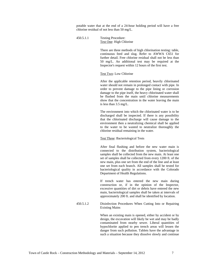potable water that at the end of a 24-hour holding period will have a free chlorine residual of not less than 50 mg/L.

450.5.1.1 Testing Procedure: Test One: High Chlorine

> There are three methods of high chlorination testing: table, continuous feed and slug. Refer to AWWA C651 for further detail. Free chlorine residual shall not be less than 50 mg/L. An additional test may be required at the Inspector's request within 12 hours of the first test.

### Test Two: Low Chlorine

After the applicable retention period, heavily chlorinated water should not remain in prolonged contact with pipe. In order to prevent damage to the pipe lining or corrosion damage to the pipe itself, the heavy chlorinated water shall be flushed from the main until chlorine measurements show that the concentration in the water leaving the main is less than 3.5 mg/L.

The environment into which the chlorinated water is to be discharged shall be inspected. If there is any possibility that the chlorinated discharge will cause damage to the environment then a neutralizing chemical shall be applied to the water to be wasted to neutralize thoroughly the chlorine residual remaining in the water.

### Test Three: Bacteriological Tests

After final flushing and before the new water main is connected to the distribution system, bacteriological samples shall be collected from the new main. At least one set of samples shall be collected from every 1200 ft. of the new main, plus one set from the end of the line and at least one set from each branch. All samples shall be tested for bacteriological quality in accordance with the Colorado Department of Health Regulations.

If trench water has entered the new main during construction or, if in the opinion of the Inspector, excessive quantities of dirt or debris have entered the new main, bacteriological samples shall be taken at intervals of approximately 200 ft. and shall be identified by location.

450.5.1.2 Disinfection Procedures When Cutting Into or Repairing Existing Mains

> When an existing main is opened, either by accident or by design, the excavation will likely be wet and may be badly contaminated from nearby sewer. Liberal quantities of hypochlorite applied to pen trench areas will lessen the danger from such pollution. Tablets have the advantage in such a situation because they dissolve slowly and continue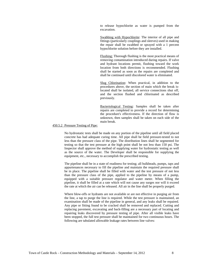to release hypochlorite as water is pumped from the excavation.

Swabbing with Hypochlorite: The interior of all pipe and fittings (particularly couplings and sleeves) used in making the repair shall be swabbed or sprayed with a 1 percent hypochlorite solution before they are installed.

Flushing: Thorough flushing is the most practical means of removing contamination introduced during repairs. If valve and hydrant locations permit, flushing toward the work location from both directions is recommended. Flushing shall be started as soon as the repairs are completed and shall be continued until discolored water is eliminated.

Slug Chlorination: When practical, in addition to the procedures above, the section of main which the break islocated shall be isolated, all service connections shut off, and the section flushed and chlorinated as described previously.

Bacteriological Testing: Samples shall be taken after repairs are completed to provide a record for determining the procedure's effectiveness. If the direction of flow is unknown, then samples shall be taken on each side of the main break.

### 450.5.2 Pressure Testing of Pipe:

No hydrostatic tests shall be made on any portion of the pipeline until all field placed concrete has had adequate curing time. All pipe shall be field pressure-tested to not less than the pressure class of the pipe. The distribution lines shall be segmented for testing so that the test pressure at the high point shall be not less than 150 psi. The Inspector shall approve the method of supplying water for hydrostatic testing as well as the source of the water. The Developer shall be responsible for supplying the equipment, etc., necessary to accomplish the prescribed testing.

The pipeline shall be in a state of readiness for testing; all bulkheads, pumps, taps and appurtenances necessary to fill the pipeline and maintain the required pressure shall be in place. The pipeline shall be filled with water and the test pressure of not less than the pressure class of the pipe, applied to the pipeline by means of a pump, equipped with a suitable pressure regulator and water meter. When filling the pipeline, it shall be filled at a rate which will not cause any surges nor will it exceed the rate at which the air can be released. All air in the line shall be properly purged.

Where blow-offs or hydrants are not available or are not effective in purging air from the line, a tap to purge the line is required. While the test pressure is maintained, an examination shall be made of the pipeline in general, and any leaks shall be repaired. Any pipe or fitting found to be cracked shall be removed and replaced. Cutting and replacing pavement, excavating and back-filling are a necessary part of locating and repairing leaks discovered by pressure testing of pipe. After all visible leaks have been stopped, the full test pressure shall be maintained for two continuous hours. The following are tabulated allowable leakage rates between line valves: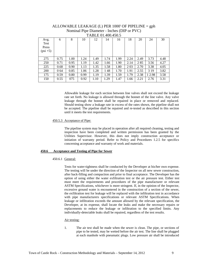| TUDLE 01.400.490.7 |      |      |      |      |      |      |      |      |        |      |
|--------------------|------|------|------|------|------|------|------|------|--------|------|
| Avg.               | 6    | 8    | 10   | 12   | 14   | 16   | 18   | 20   | 24     | 30   |
| Test               |      |      |      |      |      |      |      |      |        |      |
| Press              |      |      |      |      |      |      |      |      |        |      |
| $(psi + 5)$        |      |      |      |      |      |      |      |      |        |      |
|                    |      |      |      |      |      |      |      |      |        |      |
| 275                | 0.75 | 1.00 | 1.24 | 1.49 | 1.74 | 1.99 | 2.24 | 2.49 | 3.73   | 4.48 |
| 250                | 0.71 | 0.95 | 1.19 | 1.42 | 1.66 | 1.90 | 2.14 | 285  | 3.56   | 4.27 |
| 225                | 0.68 | 0.90 | 1.13 | 1.35 | 1.58 | 1.80 | 203  | 2.70 | 3.38   | 4.05 |
| 200                | 0.64 | 0.85 | 1.06 | 1.28 | 148  | 1.70 | 1.91 | 2.55 | 3 1 9  | 3.82 |
| 175                | 0.59 | 0.80 | 0.99 | 1.19 | 1.39 | 1.59 | 1.79 | 2.38 | 1 2.98 | 3.58 |
| 150                | 0.55 | 075  | 0.92 | 1.10 | 1.29 | 1.47 | 1.66 | 2.21 | 2.76   | 3.31 |
|                    |      |      |      |      |      |      |      |      |        |      |

ALLOWABLE LEAKAGE (L) PER 1000' OF PIPELINE = gph Nominal Pipe Diameter - Inches (DIP or PVC) TABLE 01.400.450.5

Allowable leakage for each section between line valves shall not exceed the leakage rate set forth. No leakage is allowed through the bonnet of the line valve. Any valve leakage through the bonnet shall be repaired in place or removed and replaced. Should testing show a leakage rate in excess of the rates shown, the pipeline shall not be accepted. The pipeline shall be repaired and re-tested as described in this section until it meets the test requirements.

### 450.5.3 Acceptance of Pipe:

The pipeline system may be placed in operation after all required cleaning, testing and inspection have been completed and written permission has been granted by the Utilities Supervisor. However, this does not imply construction acceptance or initiation of warranty period. Refer to Policy and Procedures 1.2.5 for specifics concerning acceptance and warranty of work and materials.

### **450.6 Acceptance and Testing of Pipe for Sewer**

### 450.6.1 General:

Tests for water-tightness shall be conducted by the Developer at his/her own expense. The testing will be under the direction of the Inspector on all new sewer construction, after back-filling and compaction and prior to final acceptance. The Developer has the option of using either the water exfiltration test or the air pressure test. Either test must meet the requirements and procedures of the pipe manufacturer or relevant ASTM Specifications, whichever is more stringent. If, in the opinion of the Inspector, excessive ground water is encountered in the construction of a section of the sewer, the exfiltration test for leakage will be replaced with the infiltration test in accordance with pipe manufacturers specifications or relevant ASTM Specifications. When leakage or infiltration exceeds the amount allowed by the relevant specification, the Developer, at its expense, shall locate the leaks and make the necessary repairs or replacements to reduce the leakage or infiltration to the specified limits. Any individually-detectable leaks shall be repaired, regardless of the test results.

### Air testing:

1. The air test shall be made when the sewer is clean. The pipe, or sections of pipe to be tested, may be wetted before the air test. The line shall be plugged at each manhole with pneumatic plugs. Low pressure air shall be introduced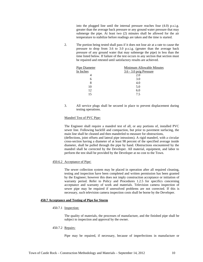into the plugged line until the internal pressure reaches four (4.0) p.s.i.g. greater than the average back pressure or any ground water pressure that may submerge the pipe. At least two (2) minutes shall be allowed for the air temperature to stabilize before readings are taken and the time is started.

2. The portion being tested shall pass if it does not lose air at a rate to cause the pressure to drop from 3.6 to 3.0 p.s.i.g. (greater than the average back pressure of any ground water that may submerge the pipe) in less than the time listed below. If failure of the test occurs in any section that section must be repaired and retested until satisfactory results are achieved.

| <b>Pipe Diameter</b> | <b>Minimum Allowable Minutes</b> |
|----------------------|----------------------------------|
| In Inches            | $3.6 - 3.0$ psig Pressure        |
| 4                    | 2.0                              |
| 6                    | 3.0                              |
| 8                    | 4.0                              |
| 10                   | 5.0                              |
| 12                   | 6.0                              |
|                      | 7.5                              |

3. All service plugs shall be secured in place to prevent displacement during testing operations.

### Mandrel Test of PVC Pipe:

The Engineer shall require a mandrel test of all, or any portions of, installed PVC sewer line. Following backfill and compaction, but prior to pavement surfacing, the main line shall be cleaned and then mandreled to measure for obstructions, (deflections, joint offsets and lateral pipe intrusions). A rigid mandrel, with a circular cross-section having a diameter of at least 98 percent of the specified average inside diameter, shall be pulled through the pipe by hand. Obstructions encountered by the

mandrel shall be corrected by the Developer. All material, equipment, and labor to

perform the test shall be provided by the Developer at no cost to the Town.

### 450.6.2 Acceptance of Pipe:

The sewer collection system may be placed in operation after all required cleaning, testing and inspection have been completed and written permission has been granted by the Engineer; however this does not imply construction acceptance or initiation of warranty period. Refer to Policy and Procedures 1.2.5 for specifics concerning acceptance and warranty of work and materials. Television camera inspection of sewer pipe may be required if unresolved problems are not corrected. If this is necessary, such television camera inspection costs shall be borne by the Developer.

### **450.7 Acceptance and Testing of Pipe for Storm**

### 450.7.1 Inspection:

The quality of materials, the processes of manufacture, and the finished pipe shall be subject to inspection and approval by the owner.

### 450.7.2 Repairs:

Pipe may be repaired, if necessary, because of imperfections in manufacture or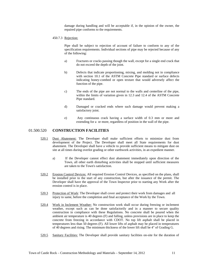damage during handling and will be acceptable if, in the opinion of the owner, the repaired pipe conforms to the requirements.

### 450.7.3 Rejection:

Pipe shall be subject to rejection of account of failure to conform to any of the specification requirements. Individual sections of pipe may be rejected because of any of the following:

- a) Fractures or cracks passing though the wall, except for a single end crack that do not exceed the depth of the joint.
- b) Defects that indicate proportioning, mixing, and molding not in compliance with section 10.1 of the ASTM Concrete Pipe standard or surface defects indicating honey-combed or open texture that would adversely affect the function of the pipe.
- c) The ends of the pipe are not normal to the walls and centerline of the pipe, within the limits of variation given in 12.3 and 12.4 of the ASTM Concrete Pipe standard.
- d) Damaged or cracked ends where such damage would prevent making a satisfactory joint.
- e) Any continuous crack having a surface width of 0.3 mm or more and extending for a or more, regardless of position in the wall of the pipe.

### 01.500.520 **CONSTRUCTION FACILITIES**

- 520.1 Dust Abatement: The Developer shall make sufficient efforts to minimize dust from development of the Project. The Developer shall meet all State requirements for dust abatement. The Developer shall have a vehicle to provide sufficient means to mitigate dust on site at all times during overlot grading or other earthwork activities, in an expedient manner.
	- a) If the Developer cannot effect dust abatement immediately upon direction of the Town, all other earth disturbing activities shall be stopped until sufficient measures are taken to the Town's satisfaction.
- 520.2 Erosion Control Devices: All required Erosion Control Devices, as specified on the plans, shall be installed prior to the start of any construction, but after the issuance of the permit. The Developer shall have the approval of the Town Inspector prior to starting any Work after the erosion control is in place.
- 520.3 Protection of Work: The Developer shall cover and protect their work from damages and all injury to same, before the completion and final acceptance of the Work by the Town.
- 520.4 Work in Inclement Weather: No construction work shall occur during freezing or inclement weather, except such as can be done satisfactorily and in a manner to secure quality construction in compliance with these Regulations. No concrete shall be poured when the ambient air temperature is 40 degrees (F) and falling, unless provisions are in place to keep the concrete from freezing in accordance with CDOT. No top lift asphalt shall be placed in temperatures less than 50 degrees (F). All lower lifts of asphalt may be placed in temperatures of 40 degrees and rising. The minimum thickness of the lower lift shall be 4" of Grading G.
- 520.5 Sanitary Facilities: The Developer shall provide sanitary facilities on-site for the duration of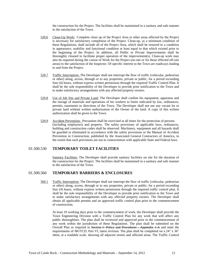the construction for the Project. The facilities shall be maintained in a sanitary and safe manner to the satisfaction of the Town.

- 520.6 Clean-Up Work: Complete clean up of the Project Area or other areas affected by the Project is necessary for satisfactory completion of the Project. Clean-up, as a minimum condition of these Regulations, shall include all of the Project Area, which shall be restored to a condition in appearance, usability and functional condition at least equal to that which existed prior to the beginning of the Project. In addition, all Public or Private Improvements shall be thoroughly cleaned to facilitate proper operation of the improvement(s). Clean-up work may also be required during the course of Work for the Project (on-site or for those effected off-site areas) to the satisfaction of the Inspector. Of specific interest to the Town are roadways leading to and from the Project.
- 520.7 Traffic Interruption: The Developer shall not interrupt the flow of traffic (vehicular, pedestrian or other) along, across, through or to any properties, private or public, for a period exceeding four (4) hours, without express written permission through the required Traffic Control Plan. It shall be the sole responsibility of the Developer to provide prior notification to the Town and to make satisfactory arrangements with any affected property owners.
- 520.8 Use of Job Site and Private Land: The Developer shall confine his equipment, apparatus and the storage of materials and operations of his workers to limits indicated by law, ordinances, permits, easements or directions of the Town. The Developer shall not use any vacant lot or private land without written authorization of the Owner of the land. A copy of this written authorization shall be given to the Town.
- 520.9 Accident Prevention: Precaution shall be exercised at all times for the protection of persons (including employees) and property. The safety provisions of applicable laws, ordinances, building and construction codes shall be observed. Machinery, equipment and all hazards shall be guarded or eliminated in accordance with the safety provisions or the Manual of Accident Prevention in Construction, published by the Associated General Contractors of America, to the extent that such provisions are not in contravention with applicable State and Federal laws.

### 01.500.530 **TEMPORARY TOILET FACILITIES**

Sanitary Facilities: The Developer shall provide sanitary facilities on site for the duration of the construction for the Project. The facilities shall be maintained in a sanitary and safe manner to the satisfaction of the Town.

### 01.500.560 **TEMPORARY BARRIERS & ENCLOSURES**

560.1 Traffic Interruption: The Developer shall not interrupt the flow of traffic (vehicular, pedestrian or other) along, across, through or to any properties, private or public, for a period exceeding four (4) hours, without express written permission through the required traffic control plan. It shall be the sole responsibility of the Developer to provide prior notification to the Town and to make satisfactory arrangements with any affected property owners. The Developer shall obtain all applicable permits and an approved traffic control plan prior to the commencement of construction.

At least 10 working days prior to the commencement of work, the Developer shall provide the Town Engineering Division with a Traffic Control Plan for any work that will affect any public thoroughfare. The plan shall be reviewed and approved prior to the commencement of any work within the jurisdiction of these Regulations. The plan shall be submitted on the Overall Plan as required in Section I- Policy and Procedures - Appendix 1-A and meet the requirements of MUTCD, Part VI, latest revision. The plan shall be completed on a 24" x 36" sheet, at a readable scale, showing all adjacent streets and affected areas. The Traffic Control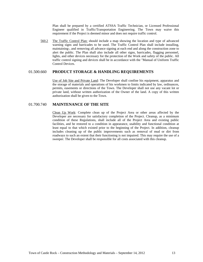Plan shall be prepared by a certified ATSSA Traffic Technician, or Licensed Professional Engineer qualified in Traffic/Transportation Engineering. The Town may waive this requirement if the Project is deemed minor and does not require traffic control.

560.2 The Traffic Control Plan: should include a map showing the location and type of advanced warning signs and barricades to be used. The Traffic Control Plan shall include installing, maintaining-, and removing all advance signing at each end and along the construction zone to alert the public. The Plan shall also include all other signs, barricades, flagging personnel, lights, and other devices necessary for the protection of the Work and safety of the public. All traffic control signing and devices shall be in accordance with the "Manual of Uniform Traffic Control Devices.

### 01.500.660 **PRODUCT STORAGE & HANDLING REQUIREMENTS**

Use of Job Site and Private Land: The Developer shall confine his equipment, apparatus and the storage of materials and operations of his workmen to limits indicated by law, ordinances, permits, easements or directions of the Town. The Developer shall not use any vacant lot or private land, without written authorization of the Owner of the land. A copy of this written authorization shall be given to the Town.

### 01.700.740 **MAINTENANCE OF THE SITE**

Clean Up Work: Complete clean up of the Project Area or other areas affected by the Developer are necessary for satisfactory completion of the Project. Cleanup, as a minimum condition of these Regulations, shall include all of the Project Area and existing public facilities, and be restored to a condition in appearance, usability and functional condition at least equal to that which existed prior to the beginning of the Project. In addition, cleanup includes cleaning up of the public improvements such as removal of mud or dirt from roadways to such an extent that their functioning is not impaired. This may require the use of a sweeper. The Developer shall be responsible for all costs associated with this cleanup.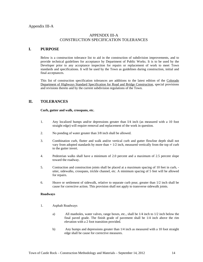### APPENDIX III-A CONSTRUCTION SPECIFICATION TOLERANCES

### **I. PURPOSE**

Below is a construction tolerance list to aid in the construction of subdivision improvements, and to provide technical guidelines for acceptance by Department of Public Works. It is to be used by the Developer prior to any acceptance inspection for repairs or replacement of work to meet Town standards and specifications. It will be used by the Town as guidelines during construction, initial and final acceptances.

This list of construction specification tolerances are additions to the latest edition of the Colorado Department of Highways Standard Specification for Road and Bridge Construction, special provisions and revisions thereto and by the current subdivision regulations of the Town.

### **IL TOLERANCES**

**Curb, gutter and walk, crosspans, etc.** 

- 1. Any localized humps and/or depressions greater than I/4 inch (as measured with a 10 foot straight edge) will require removal and replacement of the work in question.
- 2. No ponding of water greater than 3/8 inch shall be allowed.
- 3. Combination curb, flutter and walk and/or vertical curb and gutter flowline depth shall not vary from adopted standards by more than + 1/2 inch, measured vertically from the top of curb to the gutter invert.
- 4. Pedestrian walks shall have a minimum of 2.0 percent and a maximum of 2.5 percent slope toward the roadway.
- 5. Contraction and construction joints shall be placed at a maximum spacing of 10 feet in curb, utter, sidewalks, crosspans, trickle channel, etc. A minimum spacing of 5 feet will be allowed for repairs.
- 6. Heave or settlement of sidewalk, relative to separate curb pour, greater than 1/2 inch shall be cause for corrective action. This provision shall not apply to transverse sidewalk joints.

### **Roadways**

- 1. Asphalt Roadways
	- a) All manholes, water valves, range boxes, etc., shall be 1/4 inch to 1/2 inch below the final paved grade. The finish grade of pavement shall be 1/4 inch above the rim elevation with a 2 foot transition provided.
	- b) Any humps and depressions greater than 1/4 inch as measured with a 10 foot straight edge shall be cause for corrective measures.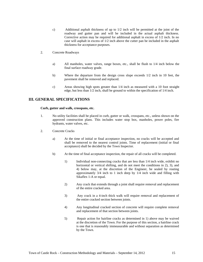- c) Additional asphalt thickness of up to 1/2 inch will be permitted at the joint of the roadway and gutter pan and will be included in the actual asphalt thickness. Corrective action may be required for additional asphalt in excess of 1/2 inch. In no case will asphalt in excess of 1/2 inch above the cutter pan be included in the asphalt thickness for acceptance purposes.
- 2. Concrete Roadways
	- a) All manholes, water valves, range boxes, etc., shall be flush to 1/4 inch below the final surface roadway grade.
	- b) Where the departure from the design cross slope exceeds 1/2 inch in 10 feet, the pavement shall be removed and replaced.
	- c) Areas showing high spots greater than 1/4 inch as measured with a 10 foot straight edge, but less than 1/2 inch, shall be ground to within the specification of 1/4 inch.

### **III. GENERAL SPECIFICATIONS**

### **Curb, gutter and walk, crosspans, etc.**

- 1. No utility facilities shall be placed in curb, gutter or walk, crosspans, etc., unless shown on the approved construction plans. This includes water stop box, manholes, power poles, fire hydrants, water valves, etc.
- 2. Concrete Cracks
	- a) At the time of initial or final acceptance inspection, no cracks will be accepted and shall be removed to the nearest control joints. Time of replacement (initial or final acceptance) shall be decided by the Town Inspector.
	- b) At the time of final acceptance inspection, the repair of all cracks will be completed.
		- 1) Individual non-connecting cracks that are less than 1/4 inch wide, exhibit no horizontal or vertical shifting, and do not meet the conditions in 2), 3), and 4) below may, at the discretion of the Engineer, be sealed by routing approximately 3/4 inch to 1 inch deep by 1/4 inch wide and filling with Sikaflex 1-A or equal.
		- 2) Any crack that extends through a joint shall require removal and replacement of the entire cracked area.
		- 3) Any crack in a 4-inch thick walk will require removal and replacement of the entire cracked section between joints.
		- 4) Any longitudinal cracked section of concrete will require complete removal and replacement of that section between joints.
		- 5) Repair action for hairline cracks as determined in 1) above may be waived at the discretion of the Town. For the purpose of this section, a hairline crack is one that is reasonably immeasurable and without separation as determined by the Town.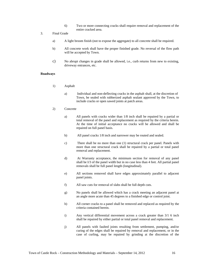- 6) Two or more connecting cracks shall require removal and replacement of the entire cracked area.
- 3. Final Grade
	- a) A light broom finish (not to expose the aggregate) to all concrete shall be required.
	- b) All concrete work shall have the proper finished grade. No reversal of the flow path will be accepted by Town.
	- c) No abrupt changes in grade shall be allowed, i.e., curb returns from new to existing, driveway entrances, etc.

### **Roadways**

- 1) Asphalt
	- a) Individual and non-deflecting cracks in the asphalt shall, at the discretion of Town, be sealed with rubberized asphalt sealant approved by the Town, to include cracks or open sawed joints at patch areas.

### 2) Concrete

- a) All panels with cracks wider than 1/8 inch shall be repaired by a partial or total removal of the panel and replacement as required by the criteria herein. At the time of initial acceptance no cracks will be allowed and shall be repaired on full panel basis.
- b) All panel cracks 1/8 inch and narrower may be routed and sealed.
- c) There shall be no more than one (1) structural crack per panel. Panels with more than one structural crack shall be repaired by a partial or total panel removal and replacement.
- d) At Warranty acceptance, the minimum section for removal of any panel shall be I/3 of the panel width but in no case less than 4 feet. All partial panel removals shall be full panel length (longitudinal).
- e) All sections removed shall have edges approximately parallel to adjacent panel joints.
- f) All saw cuts for removal of slabs shall be full depth cuts.
- g) No panels shall be allowed which has a crack meeting an adjacent panel at an angle more acute than 45 degrees to a finished edge or control joint.
- h) All corner cracks to a panel shall be removed and replaced as required by the criteria contained herein.
- i) Any vertical differential movement across a crack greater than 3/1 6 inch shall be repaired by either partial or total panel removal and replacement.
- j) All panels with faulted joints resulting from settlement, pumping, and/or curing of the edges shall be repaired by removal and replacement, or in the case of curling, may be repaired by grinding at the discretion of the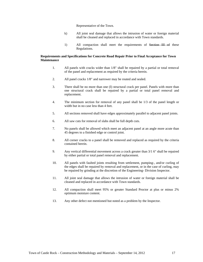Representative of the Town.

- k) All joint seal damage that allows the intrusion of water or foreign material shall be cleaned and replaced in accordance with Town standards.
- 1) All compaction shall meet the requirements of Section III of these Regulations.

### **Requirements and Specifications for Concrete Road Repair Prior to Final Acceptance for Town Maintenance**

- 1. All panels with cracks wider than 1/8" shall be repaired by a partial or total removal of the panel and replacement as required by the criteria herein.
- 2. All panel cracks 1/8" and narrower may be routed and sealed.
- 3. There shall be no more than one (I) structural crack per panel. Panels with more than one structural crack shall be repaired by a partial or total panel removal and replacement.
- 4. The minimum section for removal of any panel shall be 1/3 of the panel length or width but in no case less than 4 feet.
- 5. All sections removed shall have edges approximately parallel to adjacent panel joints.
- 6. All saw cuts for removal of slabs shall be full depth cuts.
- 7. No panels shall be allowed which meet an adjacent panel at an angle more acute than 45 degrees to a finished edge or control joint.
- 8. All corner cracks to a panel shall be removed and replaced as required by the criteria contained herein.
- 9. Any vertical differential movement across a crack greater than 3/1 6" shall be repaired by either partial or total panel removal and replacement.
- 10. All panels with faulted joints resulting from settlement, pumping-, and/or curling of the edges shall be repaired by removal and replacement, or in the case of curling, may be repaired by grinding at the discretion of the Engineering- Division Inspector.
- 11. All joint seal damage that allows the intrusion of water or foreign material shall be cleaned and replaced in accordance with Town standards.
- 12. All compaction shall meet 95% or greater Standard Proctor at plus or minus 2% optimum moisture content.
- 13. Any other defect not mentioned but noted as a problem by the Inspector.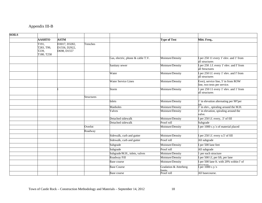### Appendix III-B

| <b>SOILS</b> |                                            |                                               |                   |                                   |                                 |                                                                     |
|--------------|--------------------------------------------|-----------------------------------------------|-------------------|-----------------------------------|---------------------------------|---------------------------------------------------------------------|
|              | <b>AASHTO</b>                              | <b>ASTM</b>                                   |                   |                                   | <b>Type of Test</b>             | Mitt. Freq                                                          |
|              | T191,<br>T283, T99,<br>T239,<br>T180, T258 | D3017, D3282,<br>D1556, D2922,<br>D698, D1557 | Trenches          |                                   |                                 |                                                                     |
|              |                                            |                                               |                   | Gas, electric, phone & cable T.V. | Moisture/Density                | I per 250 11 every 1' elev. and 1' from<br>all structures           |
|              |                                            |                                               |                   | Sanitary sewer                    | Moisture/Density                | I per 250 .l.f. every 1' elev. and I' from<br>all Structures        |
|              |                                            |                                               |                   | Water                             | Moisture/Density                | I per 250 I.f. every 1' elev. and I' from<br>all structures         |
|              |                                            |                                               |                   | <b>Water Service Lines</b>        | Moisture/Density                | Ever), service line, 5' in from ROW<br>line, two tests per service. |
|              |                                            |                                               |                   | Storm                             | Moisture/Density                | 1 per 250 11 every 1' elev. and 1' from<br>all structures           |
|              |                                            |                                               | <b>Structures</b> |                                   |                                 |                                                                     |
|              |                                            |                                               |                   | Inlets                            | Moisture/Density                | 1' in elevation alternating per 90°per<br>lift                      |
|              |                                            |                                               |                   | Manholes                          | Moisture/Density                | $1'$ in elev., spiraling around the M.H.                            |
|              |                                            |                                               |                   | Valves                            | Moisture/Density                | 1' in elevation, spiraling around the<br>valve.                     |
|              |                                            |                                               |                   | Detached sidewalk                 | Moisture/Density                | I per 250 l.f. every, .5' of fill                                   |
|              |                                            |                                               |                   | Detached sidewalk                 | Proof roll                      | Subgrade                                                            |
|              |                                            |                                               | Overlot           |                                   | Moisture/Density                | I per 1000 c.y.'s of material placed                                |
|              |                                            |                                               | Roadway           |                                   |                                 |                                                                     |
|              |                                            |                                               |                   | Sidewalk, curb and gutter         | Moisture/Density                | I per 250 l.f. every o.5' of fill                                   |
|              |                                            |                                               |                   | Sidewalk, curb and gutter         | Proof roll                      | All subgrade                                                        |
|              |                                            |                                               |                   | Subgrade                          | Moisture/Density                | I per 500 lane feet                                                 |
|              |                                            |                                               |                   | Subgrade                          | Proof roll                      | All subgrade                                                        |
|              |                                            |                                               |                   | Subgrade/M.H., inlets, valves     | Moisture/Density                | per each structure                                                  |
|              |                                            |                                               |                   | Roadway Fill                      | Moisture/Density                | per 500 l.f, per lift, per lane                                     |
|              |                                            |                                               |                   | Base course                       | Moisture/Density                | per 500 lane ft. with 20% within I' of                              |
|              |                                            |                                               |                   | <b>Base Course</b>                | Gradation & Atterberg<br>limits | I per 1000 c.y.'s                                                   |
|              |                                            |                                               |                   | Base course                       | Proof roll                      | All basecourse.                                                     |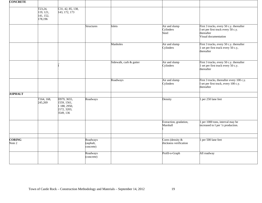| <b>CONCRETE</b>         |                                              |                                                                        |                                    |                         |                                               |                                                                                                                     |
|-------------------------|----------------------------------------------|------------------------------------------------------------------------|------------------------------------|-------------------------|-----------------------------------------------|---------------------------------------------------------------------------------------------------------------------|
|                         | T23,24,<br>119, 121,<br>141, 152,<br>178,196 | C31, 42, 85, 138,<br>143, 172, 173                                     |                                    |                         |                                               |                                                                                                                     |
|                         |                                              |                                                                        | <b>Structures</b>                  | Inlets                  | Air and slump<br>Cylinders<br>Steel           | First 3 trucks, every 50 c.y. thereafter<br>set per first truck every 50 c.y.<br>thereafter<br>Visual documentation |
|                         |                                              |                                                                        |                                    | Manholes                | Air and slump<br>Cylinders                    | First 3 trucks, every 50 c.y. thereafter<br>1 set per first truck every 50 c.y,<br>thereafter                       |
|                         |                                              |                                                                        |                                    | Sidewalk, curb & gutter | Air and slump<br>Cylinders                    | First 3 trucks, every 50 c.y. thereafter<br>1 set per first truck every 50 c.y.<br>thereafter                       |
|                         |                                              |                                                                        |                                    | Roadways                | Air and slump<br>Cylinders                    | First 3 trucks, thereafter every 100 c.y.<br>set per first truck, every 100 c.y.<br>thereafter                      |
| <b>ASPHALT</b>          |                                              |                                                                        |                                    |                         |                                               |                                                                                                                     |
|                         | T164, 168,<br>245,269                        | D979, 3655,<br>1559, 1561,<br>1 188, 2950,<br>2172, 3203,<br>3549, 136 | Roadways                           |                         | Density                                       | 1 per 250 lane feet                                                                                                 |
|                         |                                              |                                                                        |                                    |                         | Extraction, gradation,<br>Marshall            | 1 per 1000 tons, interval may be<br>increased to I per '/z production.                                              |
|                         |                                              |                                                                        |                                    |                         |                                               |                                                                                                                     |
| <b>CORING</b><br>Note 2 |                                              |                                                                        | Roadways<br>(asphalt,<br>concrete) |                         | Cores (density $\&$<br>thickness verification | 1 per 500 lane feet                                                                                                 |
|                         |                                              |                                                                        | Roadways<br>(concrete)             |                         | Profil-o-Graph                                | All roadway                                                                                                         |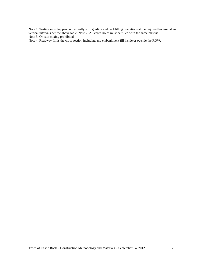Note 1: Testing must happen concurrently with grading and backfilling operations at the required horizontal and vertical intervals per the above table. Note 2: All cored holes must be filled with the same material. Note 3: On-site mixing prohibited.

Note 4: Roadway fill is the cross section including any embankment fill inside or outside the ROW.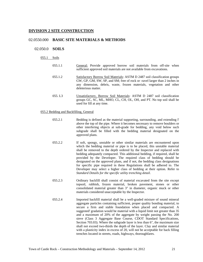### **DIVISION 2 SITE CONSTRUCTION**

### 02.0550.000 **BASIC SITE MATERIALS & METHODS**

### 02.050.0 **SOILS**

### 055.1 Soils

| 055.1.1 | General: Provide approved borrow soil materials from off-site when<br>sufficient approved soil materials are not available from excavations.                                                                                                            |
|---------|---------------------------------------------------------------------------------------------------------------------------------------------------------------------------------------------------------------------------------------------------------|
| 055.1.2 | Satisfactory Borrow Soil Materials: ASTM D 2487 soil classification groups<br>GW, GP, GM, SW, SP, and SM; free of rock or -ravel larger than 2 inches in<br>any dimension, debris, waste, frozen materials, vegetation and other<br>deleterious matter. |
| 055. L3 | Unsatisfactory, Borrow Soil Materials: ASTM D 2487 soil classification<br>groups GC, SC, ML, MHO, CL, CH, OL, OH, and PT. No top soil shall be<br>used for fill at any time.                                                                            |

### 055.2 Bedding and Backfilling, General

- 055.2.1 Bedding is defined as the material supporting, surrounding, and extending l' above the top of the pipe. Where it becomes necessary to remove boulders or other interfering objects at sub-grade for bedding, any void below such subgrade shall be filled with the bedding material designated on the approved plans.
- 055.2.2 If soft, spongy, unstable or other similar materials are encountered upon which the bedding material or pipe is to be placed, this unstable material shall be removed to the depth ordered by the Inspector and replaced with bedding adequately compacted. This additional bedding, if required, shall be provided by the Developer. The required class of bedding should be designated on the approved plans, and if not, the bedding class designations for specific pipe required in these Regulations shall be adhered to. The Developer may select a higher class of bedding at their option. Refer to *Standard Details for the specific utility trenching detail*.
- 055.2.3 Ordinary backfill shall consist of material excavated from the site except topsoil, rubbish, frozen material, broken pavement, stones or other consolidated material greater than 3" in diameter, organic muck or other materials considered unacceptable by the Inspector.
- 055.2.4 Imported backfill material shall be a well-graded mixture of sound mineral aggregate particles containing sufficient, proper quality bonding material, to secure a firm and stable foundation when placed and compacted. A suggested' gradation would be material with a liquid limit not greater than 35 and a maximum of 20% of the aggregate by weight passing the No. 200 sieve (Class 3 Aggregate Base Course, CDOT Standard Specifications, Section 703.03). Where the subgrade layer is less than 6", the maximum size shall not exceed two-thirds the depth of the layer. Clay and similar material with a plasticity index in excess of 20, will not be acceptable for back filling trenches located in streets, roads, highways, thoroughfares.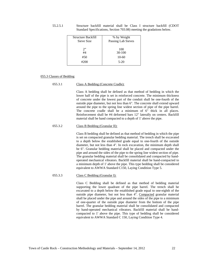55.2.5.1 Structure backfill material shall be Class I structure backfill (CDOT Standard Specifications, Section 703.08) meeting the gradations below.

| Structure Backfill | % by Weight        |
|--------------------|--------------------|
| Sieve Size         | Passing Lab Sieves |
| 2"                 | 100                |
| #4                 | $30-100$           |
| #50                | $10-60$            |
| #200               | $5-20$             |

### 055.3 Classes of Bedding

### 055.3.1 Class A Bedding (Concrete Cradle):

Class A bedding shall be defined as that method of bedding in which the lower half of the pipe is set in reinforced concrete. The minimum thickness of concrete under the lowest part of the conduit shall be one-fourth of the outside pipe diameter, but not less than 6". The concrete shall extend upward around the pipe to the spring line widest section of pipe of the pipe barrel. The concrete cradle shall be a minimum of 6" thick in all places. Reinforcement shall be #4 deformed bars 12" laterally on centers. Backfill material shall be hand compacted to a depth of 1' above the pipe.

### 055.3.2 Class B Bedding (Granular II):

Class B bedding shall be defined as that method of bedding in which the pipe is set on compacted granular bedding material. The trench shall be excavated to a depth below the established grade equal to one-fourth of the outside diameter, but not less than 4". In rock excavation, the minimum depth shall be 6". Granular bedding material shall be placed and compacted under the pipe and around the sides of the pipe to the spring line widest section of pipe. The granular bedding material shall be consolidated and compacted by handoperated mechanical vibrators. Backfill material shall be hand-compacted to a minimum depth of 1' above the pipe. This type bedding shall be considered equivalent to AWWA Standard C150, Laying Condition Type 5.

### 055.3.3 Class C Bedding (Granular I):

Class C Bedding shall be defined as that method of bedding material supporting the lower quadrant of the pipe barrel. The trench shall be excavated to a depth below the established grade equal to one-eighth of the outside pipe diameter, but not less than 4". Compacted granular material shall be placed under the pipe and around the sides of the pipe to a minimum of one-quarter of the outside pipe diameter from the bottom of the pipe barrel. The granular bedding material shall be consolidated and compacted by hand-operated mechanical vibrators. Backfill material shall be handcompacted to 1' above the pipe. This type of bedding shall be considered equivalent to AWWA Standard C 150, Laying Condition Type 4.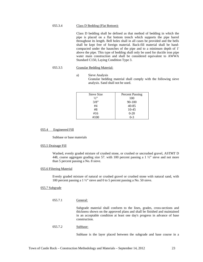### 055.3.4 Class D Bedding (Flat Bottom):

Class D bedding shall be defined as that method of bedding in which the pipe is placed on a flat bottom trench which supports the pipe barrel throughout its length. Bell holes shall in all cases be provided and the bells shall be kept free of foreign material. Back-fill material shall be handcompacted under the haunches of the pipe and to a minimum depth of 1' above the pipe. This type of bedding shall only be used for ductile iron pipe water main construction and shall be considered equivalent to AWWA Standard C150, Laying Condition Type 3.

### 055.3.5 Granular Bedding Material:

a) Sieve Analysis Granular bedding material shall comply with the following sieve analysis. Sand shall not be used.

| Sieve Size | <b>Percent Passing</b> |
|------------|------------------------|
| 1/2        | 100                    |
| 3/8"       | $90 - 100$             |
| #4         | $40 - 85$              |
| #8         | 10-45                  |
| #16        | $0 - 20$               |
| #100       | $0 - 3$                |

### 055.4 Engineered Fill

Subbase or base materials

### 055.5 Drainage Fill

Washed, evenly graded mixture of crushed stone, or crushed or uncrushed gravel, ASTMT D 448, coarse aggregate grading size 57. with 100 percent passing a  $1 \frac{1}{2}$  sieve and not more than 5 percent passing a No. 8 sieve.

### 055.6 Filtering Material

Evenly graded mixture of natural or crushed gravel or crushed stone with natural sand, with 100 percent passing a 1 ½" sieve and 0 to 5 percent passing a No. 50 sieve.

### 055.7 Subgrade

055.7.1 General:

Subgrade material shall conform to the lines, grades, cross-sections and thickness shown on the approved plans and shall be finished and maintained in an acceptable condition at least one day's progress in advance of base construction.

### 055.7.2 Subbase:

Subbase is the layer placed between the subgrade and base course in a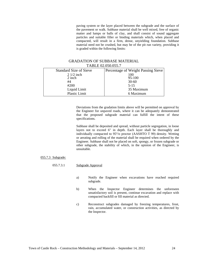paving system or the layer placed between the subgrade and the surface of the pavement or walk. Subbase material shall be well mixed, free of organic matter and lumps or balls of clay, and shall consist of sound aggregate particles and suitable filler or binding materials which, when placed and compacted, will result in a firm, dense, unyielding foundation. Subbase material need not be crushed, but may be of the pit run variety, providing it is graded within the following limits:

### GRADATION OF SUBBASE MATERIAL TABLE 02.050.055.7

| <b>Standard Size of Sieve</b> | Percentage of Weight Passing Sieve |  |  |  |  |
|-------------------------------|------------------------------------|--|--|--|--|
| $21/2$ inch                   | 100                                |  |  |  |  |
| 2 inch                        | 95-100                             |  |  |  |  |
| #4                            | $30 - 60$                          |  |  |  |  |
| #200                          | $5 - 15$                           |  |  |  |  |
| Liquid Limit                  | 35 Maximum                         |  |  |  |  |
| Plastic Limit                 | 6 Maximum                          |  |  |  |  |

Deviations from the gradation limits above will be permitted on approval by the Engineer for unpaved roads, where it can be adequately demonstrated that the proposed subgrade material can fulfill the intent of these specifications.

Subbase shall be deposited and spread, without particle segregation, in loose layers not to exceed 6" in depth. Each layer shall be thoroughly and individually compacted to 95°/o proctor (AASHTO T 99) density. Wetting or aerating and rolling of the material shall be required when ordered by the Engineer. Subbase shall not be placed on soft, spongy, or frozen subgrade or other subgrade, the stability of which, in the opinion of the Engineer, is unsuitable.

### 055.7.3 Subgrade:

### 055.7.3.1 Subgrade Approval

- a) Notify the Engineer when excavations have reached required subgrade.
- b) When the Inspector Engineer determines the unforeseen unsatisfactory soil is present, continue excavation and replace with compacted backfill or fill material as directed.
- c) Reconstruct subgrades damaged by freezing temperatures, frost, rain, accumulated water, or construction activities, as directed by the Inspector.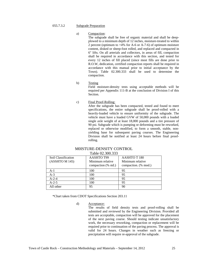### 055.7.3.2 Subgrade Preparation

### a) Compaction:

The subgrade shall be free of organic material and shall be deepplowed to a minimum depth of 12 inches, moisture-treated to within 2 percent (optimum to +4% for A-6 or A-7-6) of optimum moisture content, disked or sheep-foot rolled, and replaced and compacted in 6" lifts. On all arterials and collectors, in areas of fill, compaction shall be required in accordance with this section, and tested for every 12 inches of fill placed (since most fills are done prior to R.O.W, dedication, certified compaction reports shall be required in accordance with this manual prior to initial acceptance by the Town). Table 02.300.333 shall be used to determine the compaction.

### b) Testing

Field moisture-density tests using acceptable methods will be required per Appendix 111-B at the conclusion of Division I of this Section.

### c) Final Proof-Rolling:

After the subgrade has been compacted, tested and found to meet specifications, the entire subgrade shall be proof-rolled with a heavily-loaded vehicle to ensure uniformity of the subgrade. The vehicle must have a loaded GVW of 50,000 pounds with a loaded single axle weight of at least 18,000 pounds and a tire pressure of 90 psi. Subgrade which is pumping or deforming must be reworked, replaced or otherwise modified, to form a smooth, stable, nonyielding base for subsequent paving courses. The Engineering Division shall be notified at least 24 hours before final proofrolling.

### M0ISTURE-DENSITY CONTROL Table 02.300.333

| 1 0010 0010 0010 0  |                     |                                  |  |  |  |  |
|---------------------|---------------------|----------------------------------|--|--|--|--|
| Soil Classification | <b>AASHTO T99</b>   | AASHTO T 180<br>Minimum relative |  |  |  |  |
| (ASSHTO M 145)      | Minimum relative    |                                  |  |  |  |  |
|                     | compaction (% std.) | compaction. (% mod.)             |  |  |  |  |
| $A-1$               | 100                 | 95                               |  |  |  |  |
| $A-3$               | 100                 | 95                               |  |  |  |  |
| $A - 2 - 4$         | 100                 | 95                               |  |  |  |  |
| $A-2-5$             | 100                 | 95                               |  |  |  |  |
| All other           | 95                  | 90                               |  |  |  |  |
|                     |                     |                                  |  |  |  |  |

\*Chart taken from CDOT Specifications Section 203.11

### d) Acceptance:

The results of field density tests and proof-rolling shall be submitted and reviewed by the Engineering Division. Provided all tests are acceptable, compaction will be approved for the placement of the next paving course. Should testing indicate unsatisfactory work, the necessary reworking, compaction or replacement will be required prior to continuation of the paving process. The approval is valid for 24 hours. Changes in weather such as freezing or precipitation will require re-approval of the subgrade.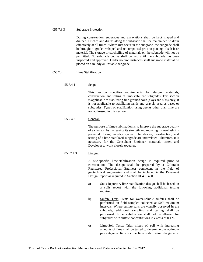### 055.7.3.3 Subgrade Protection:

During construction, subgrades and excavations shall be kept shaped and drained. Ditches and drains along the subgrade shall be maintained to drain effectively at all times. Where ruts occur in the subgrade, the subgrade shall be brought to grade, reshaped and re-compacted prior to placing of sub-base material. The storage or stockpiling of materials on the subgrade will not be permitted. No subgrade course shall be laid until the subgrade has been inspected and approved. Under no circumstances shall subgrade material be placed on a muddy or unstable subgrade.

### 055.7.4 Lime Stabilization

### 55.7.4.1 Scope:

This section specifies requirements for design, materials, construction, and testing of lime-stabilized subgrades. This section is applicable to stabilizing fine-grained soils (clays and silts) only; it is not applicable to stabilizing sands and gravels used as bases or subgrades. Types of stabilization using agents other than lime are not addressed in this section.

### 55.7.4.2 General:

The purpose of lime-stabilization is to improve the subgrade quality of a clay soil by increasing its strength and reducing its swell-shrink potential during wet-dry cycles. The design, construction, and testing of a lime-stabilized subgrade are interrelated. Therefore, it is necessary for the Consultant Engineer, materials tester, and Developer to work closely together.

### 055.7.4.3 Design:

A site-specific lime-stabilization design is required prior to construction. The design shall be prepared by a Colorado Registered Professional Engineer competent in the field of geotechnical engineering and shall be included in the Pavement Design Report as required in Section 01.400.430.3.

- a) Soils Report: A lime-stabilization design shall be based on a soils report with the following additional testing required.
- b) Sulfate Tests: Tests for water-soluble sulfates shall be performed on field samples collected at 500' maximum intervals. Where sulfate salts are visually observed in the subgrade, additional sampling and testing shall be performed. Lime stabilization shall not be allowed for subgrades with sulfate concentrations in excess of 0.1 %.
- c) Lime-Soil Tests: Trial mixes of soil with increasing amounts of lime shall be tested to determine the optimum percentage of lime for the lime stabilization design mix.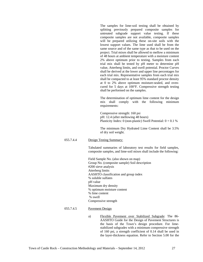The samples for lime-soil testing shall be obtained by splitting previously prepared composite samples for untreated subgrade support value testing. If these composite samples are not available, composite samples will be prepared utilizing these on-site soils with the lowest support values. The lime used shall be from the same source and of the same type as that to be used on the project. Trial mixes shall be allowed to mellow a minimum of 48 hours at ambient temperature with a moisture content 2% above optimum prior to testing. Samples from each trial mix shall be tested by pH meter to determine pH value, Atterberg limits, and swell potential. Proctor Curves shall be derived at the lower and upper line percentages for each trial mix. Representative samples from each trial mix shall be compacted to at least 95% standard proctor density at 0 to 2% above optimum moisture-sealed, and ovencured for 5 days at 100°F. Compressive strength testing shall be performed on the samples.

The determination of optimum lime content for the design mix shall comply with the following minimum requirements:

Compressive strength: 160 psi pH: 12.4 (after mellowing 48 hours) Plasticity Index: 0 (non-plastic) Swell Potential:  $0 + 0.1$  %

The minimum Dry Hydrated Lime Content shall be 3.5% of dry soil weight.

055.7.4.4 Design Testing Summary:

Tabulated summaries of laboratory test results for field samples, composite samples, and lime-soil mixes shall include the following:

Field Sample No. (also shown on map) Group No. (composite sample) Soil description #200 sieve analysis Atterberg limits AASHTO classification and group index % soluble sulfates pH value Maximum dry density % optimum moisture content % lime content % swell Compressive strength

### 055.7.4.5 Pavement Design

a) Flexible Pavement over Stabilized Subgrade: The 86- AASHTO Guide for the Design of Pavement Structures is the basis of the Town's design procedure. For limestabilized subgrades with a minimum compressive strength of 160 psi, a strength coefficient of 0.14 shall be used in the layer-thickness equation. Refer to Section 5.00 for the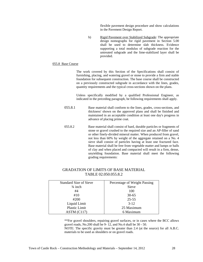flexible pavement design procedure and show calculations in the Pavement Design Report.

b) Rigid Pavement over Stabilized Subgrade: The appropriate design nomographs for rigid pavement in Section 5.00 shall be used to determine slab thickness. Evidence supporting a total modulus of subgrade reaction for the untreated subgrade and the lime-stabilized layer shall be provided.

### 055.8 Base Course

The work covered by this Section of the Specifications shall consist of furnishing, placing, and watering gravel or stone to provide a firm and stable foundation for subsequent construction. The base course shall be constructed on a previously constructed subgrade in accordance with the lines, grades, quantity requirements and the typical cross-sections shown on the plans.

Unless specifically modified by a qualified Professional Engineer, as indicated in the preceding paragraph, be following requirements shall apply.

- 055.8.1 Base material shall conform to the lines, grades, cross-sections, and thickness' shown on the approved plans and shall be finished and maintained in an acceptable condition at least one day's progress in advance of placing prime coat.
- 055.8.2 Base material shall consist of hard, durable particles or fragments of stone or gravel crushed to the required size and an AP-filler of sand or other finely-divided mineral matter. When produced from gravel, not less than 60% by weight of the aggregate retained on a No. 4 sieve shall consist of particles having at least one fractured face. Base material shall be free from vegetable matter and lumps or balls of clay and when placed and compacted will result in a firm, dense, unyielding foundation. Base material shall meet the following grading requirements:

### GRADATION OF LIMITS OF BASE MATERIAL TABLE 02.050.055.8.2

| <b>Standard Size of Sieve</b> | Percentage of Weight Passing |  |  |
|-------------------------------|------------------------------|--|--|
| $\frac{3}{4}$ inch            | Sieve                        |  |  |
| #4                            | 100                          |  |  |
| #10                           | $30 - 65$                    |  |  |
| #200                          | $25 - 55$                    |  |  |
| Liquid Limit                  | $3-12$                       |  |  |
| Plastic Limit                 | 25 Maximum                   |  |  |
| ASTM (C117)                   | 6 Maximum                    |  |  |

\*\*For gravel shoulders, repairing gravel surfaces, or in cases where the BCC allows gravel roads, No.200 shall be 9- 12, and No.4 shall be 30 - 50.

NOTE: The specific gravity must be greater than 2.4 (at the source) for all A.B.C. materials to be used as shoulders or on gravel roads.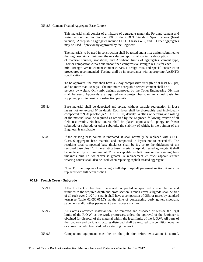### 055.8.3 Cement Treated Aggregate Base Course

This material shall consist of a mixture of aggregate materials, Portland cement and water as outlined in Section 308 of the CDOT Standard Specifications (latest version). Acceptable aggregates include CDOT Classes 4, 5, and 6. Other aggregates may be used, if previously approved by the Engineer.

The materials to be used in construction shall be tested and a mix design submitted to the Engineer. As a minimum, the mix design report shall contain a description of material sources, gradations, and Atterberc, limits of aggregates, cement type, Proctor compaction curves and unconfined compressive strength results for each mix, strength versus cement content curves, a design mix, and special construction procedures recommended. Testing shall be in accordance with appropriate AASHTO specifications.

To be approved, the mix shall have a 7-day compressive strength of at least 650 psi, and no more than 1000 psi. The minimum acceptable cement content shall be 5 percent by weight. Only mix designs approved by the Town Engineering Division shall be used. Approvals are required on a project basis, or an annual basis for suppliers, prior to issuing construction permits.

- 055.8.4 Base material shall be deposited and spread without particle segregation in loose layers not to- exceed 6" in depth. Each layer shall be thoroughly and individually compacted to 95% proctor (AASHTO T 180) density. Wetting or aerating and rolling of the material shall be required as ordered by the Engineer, following review of all field test results. No base course shall be placed upon a soft, spongy or frozen subgrade or subgrade or other subgrade, the stability of which, in the opinion of the Engineer, is unsuitable.
- 055.8.5 If the existing base course is untreated, it shall normally be replaced with CDOT Class 6 aggregate base material and compacted in layers not to exceed 6". The resulting total compacted base thickness shall be 8", or to the thickness of the removed base plus 2". If the existing base material is asphalt treated aggregate, it shall be replaced by a minimum of 3" of acceptable asphalt base or the existing base thickness plus 1", whichever is greater. A replacement 2" thick asphalt surface wearing course shall also be used when replacing asphalt treated aggregate.

Note: For the purpose of replacing a full depth asphalt pavement section, it must be replaced with full depth asphalt.

### **055.9 Trench Cover - Subgrade**

- 055.9.1 After the backfill has been made and compacted as specified, it shall be cut and trimmed to the required depth and cross section. Trench cover subgrade shall be free of all rock over 2 1/2" in size. It shall have a compaction of 95% or more, by standard tests,(see Table 02.050.055.7), at the time of constructing curb, gutter, sidewalk, pavement and/or other permanent trench cover structure.
- 055.9.2 All excess excavated material shall be removed and disposed of outside the legal limits of the R.O.W. as the work progresses, unless the approval of the Engineer is obtained for disposal of the material within the legal limits of the R.O.W. All parts of the roadway and various structures disturbed shall be restored to a condition equal to or above that which existed before starting the work.
- 055.9.3 Compaction equipment must be on the job site before excavation is started.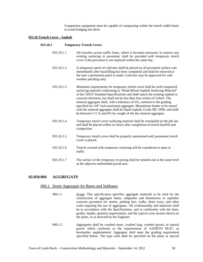Compaction equipment must be capable of compacting within the trench width limits to avoid bridging the ditch.

### **055.10 Trench Cover - Asphalt**

### **055.10.1 Temporary Trench Cover:**

- 055.10.1.1 All trenches across traffic lanes, where it becomes necessary to remove any existing surfacing or pavement, shall be provided with temporary trench cover if the pavement is not replaced within the same day.
- 055.10.1.2 A temporary patch of cold-mix shall be placed on all pavement surface cuts immediately after backfilling has been completed and shall be removed at the time a permanent patch is made. Cold mix may be approved for cold weather patching only.
- 055.10.1.3 Minimum requirements for temporary trench cover shall be well-compacted surfacing material conforming to "Road Mixed Asphalt Surfacing Material" of the CDOT Standard Specifications and shall match the existing asphalt or concrete thickness, but shall not be less than four inches (4") thick. The mineral aggregate shall, with a tolerance of 5%, conform to the grading specified for 3/8" inch maximum aggregate. Bituminous binder to be mixed with the mineral aggregate shall be liquid asphalt, Grade MC-3000, and shall be between 5 ½ % and 6% by weight of the dry mineral aggregate.
- 055.10.1.4 Temporary trench cover surfacing material shall be stockpiled on the job site and shall be placed within six hours after completion of trench backfill and compaction.
- 055.10.1.5 Temporary trench cover shall be properly maintained until permanent trench cover is placed.
- 055.10.1.6 Trench covered with temporary surfacing will be considered as open to traffic.
- 055.10.1.7 The surface of the temporary re-paving shall be smooth and at the same level as the adjacent undisturbed paved area.

### **02.050.060 AGGREGATE**

### 060.1 Street Aggregate for Bases and Subbases

- 060.1.1 Scope: This specification specifies aggregate materials to be used for the construction of aggregate bases, subgrades and bituminous or asphaltic concrete pavement for streets, parking lots, walks, drain ways, and other work requiring the use of aggregates. All workmanship and materials shall be in accordance with the Specifications, and in conformity with the lines, grades, depths, quantity requirements, and the typical cross section shown on the plans, or as directed by the Engineer.
- 060.1.2 Aggregates shall be crushed stone, crushed slag, crushed gravel, or natural gravel which conforms to the requirements of AASHTO M147, as hereinafter supplemented. Aggregate shall meet the grading requirement specified below. The type used shall be specified on the plans or special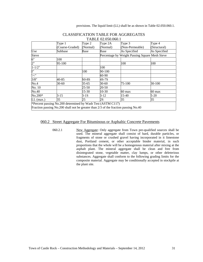|             | Type 1                                                                              | Type 2   | 1710 U.O.O.OOO.I<br>Type 2A | Type $3$                                       | Type 4       |  |
|-------------|-------------------------------------------------------------------------------------|----------|-----------------------------|------------------------------------------------|--------------|--|
|             | (Coarse-Graded)                                                                     | (Normal) | (Normal)                    | (Non-Permeable)                                | (Structural) |  |
| Use         | Subbase                                                                             | Base     | Base                        | As Specified                                   | As Specified |  |
| Sieve       |                                                                                     |          |                             | Percentage by Weight Passing Square Mesh Sieve |              |  |
| 6"          | 100                                                                                 |          |                             |                                                |              |  |
| 2"          | 95-100                                                                              |          |                             | 100                                            | 100          |  |
| $1 - 1/2"$  |                                                                                     |          | 100                         |                                                |              |  |
| I"          |                                                                                     | 100      | 90-100                      |                                                |              |  |
| '/<"        |                                                                                     |          | 60-90                       |                                                |              |  |
| 3/8"        | 40-85                                                                               | $S0-8S$  | 4S-7S                       |                                                |              |  |
| No.4        | 30-60                                                                               | 35-65    | 30-60                       | 75-100                                         | 30-100       |  |
| No. 10      |                                                                                     | 25-50    | 20-50                       |                                                |              |  |
| No.40       |                                                                                     | 15-30    | $10-30$                     | 60 max                                         | 60 max       |  |
| $No.200*$   | $3-15$                                                                              | $3-1S$   | $3-12$                      | 15-40                                          | $5-20$       |  |
| $LL$ (max.) | 35                                                                                  | 25       | 2S                          | 35                                             | 35           |  |
|             | *Percent passing No.200 determined by Wash Test (ASTM C117)                         |          |                             |                                                |              |  |
|             | Fraction passing No.200 shall not be greater than 2/3 of the fraction passing No.40 |          |                             |                                                |              |  |

### CLASSIFICATION TABLE FOR AGGREGATES TABLE 02.050.060.1

### 060.2 Street Aggregate For Bituminous or Asphaltic Concrete Pavements

060.2.1 New Aggregate: Only aggregate from Town pre-qualified sources shall be used. The mineral aggregate shall consist of hard, durable particles, or fragments of stone or crushed gravel having incorporated in it limestone dust, Portland cement, or other acceptable binder material, in such proportions that the whole will be a homogenous material after mixing at the asphalt plant. The mineral aggregate shall be clean and free from disintegrated stone, vegetable matter, clay lumps, or other deleterious substances. Aggregate shall conform to the following grading limits for the composite material. Aggregate may be conditionally accepted in stockpile at the plant site.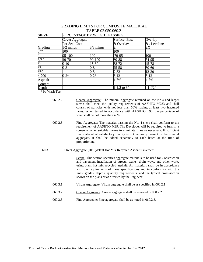| <b>SIEVE</b> | PERCENTAGE BY WEIGHT PASSING |             |                 |                |  |
|--------------|------------------------------|-------------|-----------------|----------------|--|
|              | Cover Aggregate              |             | Surface, Base   | Overlay        |  |
|              | For Seal Coat                |             |                 | $&$ . Leveling |  |
| Grading      | $1/2$ minus                  | $3/8$ minus | Е               | EX             |  |
| '4''         | 100                          |             | 100             |                |  |
| h۱           | 95-100                       | 100         | 70-95           | 100            |  |
| 3/8"         | 40-70                        | 90-100      | 60-88           | 74-95          |  |
| #4           | $0 - 10$                     | 15-30       | 38-72           | 45-78          |  |
| #8           | $0 - 3$                      | 0-8         | $25 - 58$       | 30-60          |  |
| #50          |                              | $0 - 5$     | $9 - 32$        | 12-30          |  |
| 4 200        | $0 - 2*$                     | $0 - 2*$    | $3 - 12$        | $3 - 12$       |  |
| Asphalt      |                              |             | $4 - 7%$        | 4-7%           |  |
| Content      |                              |             |                 |                |  |
| Depth        |                              |             | $1 - 1/2$ to 3" | $<1 - 1/2"$    |  |

### GRADING LIMITS FOR COMPOSITE MATERIAL TABLE 02.050.060.2

\* by Wash Test

- 060.2.2. Coarse Aggregate: The mineral aggregate retained on the No.4 and larger sieves shall meet the quality requirements of AASHTO M283 and shall consist of particles with not less than 50% having at least two fractured faces. When tested in accordance with AASHTO T96, the percentage of wear shall be not more than 45%.
- 060.2.3 Fine Aggregate: The material passing the No. 4 sieve shall conform to the requirement of AASHTO M29. The Developer will be required to furnish a screen or other suitable means to eliminate fines as necessary. If sufficient fine material of satisfactory quality is not naturally present in the mineral aggregate, it shall be added separately to each batch at the time of proportioning.

### 060.3 Street Aggregate (HBP)/Plant Hot Mix Recycled Asphalt Pavement

Scope: This section specifies aggregate materials to be used for Construction and pavement installation of streets, walks, drain ways, and other work, using plant hot mix recycled asphalt. All materials shall be in accordance with the requirements of these specifications and in conformity with the lines, grades, depths, quantity requirements, and the typical cross-section shown on the plans or as directed by the Engineer.

- 060.3.1 Virgin Aggregate: Virgin aggregate shall be as specified in 060.2.1
- 060.3.2 Coarse Aggregate: Coarse aggregate shall be as noted in 060.2.2.
- 060.3.3 Fine Aggregate: Fine aggregate shall be as noted in 060.2.3.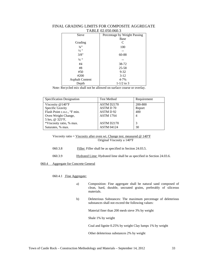| Sieve                  | Percentage by Weight Passing |
|------------------------|------------------------------|
|                        |                              |
|                        | Base                         |
| Grading                | C                            |
| $3/4$ <sup>22</sup>    | 100                          |
| $\frac{1}{2}$ "        |                              |
| 3/8"                   | 60-88                        |
| $\frac{1}{4}$ "        |                              |
| #4                     | 38-72                        |
| #8                     | 25-58                        |
| #50                    | $9 - 32$                     |
| #200                   | $3-12$                       |
| <b>Asphalt Content</b> | $4 - 7%$                     |
| Depth                  | $1 - 1/2$ to 3               |

# FINAL GRADING LIMITS FOR COMPOSITE AGGREGATE TABLE 02.050.060.3

Note: Recycled mix shall not be allowed on surface course or overlay.

| <b>Specification Designation</b>        | <b>Test Method</b> | Requirement |
|-----------------------------------------|--------------------|-------------|
| Viscosity $@140"F$                      | ASTM D2170         | 200-800     |
| Specific Gravity                        | ASTM D 70          | Report      |
| Flash Point c.o.c., <sup>o</sup> F min. | ASTM D 92          | 400         |
| Oven Weight Change,                     | ASTM 17S4          | 4           |
| 5 hrs, @ 325°F,                         |                    |             |
| *Viscosity ratio, % max.                | ASTM D2170         | 3           |
| Saturates, % max.                       | <b>ASTM 04124</b>  | 30          |

# Viscosity ratio = Viscosity after oven wt. Change test. measured  $@ 140^\circ F$ Original Viscosity a 140°F

- 060.3.8 Filler: Filler shall be as specified in Section 24.03.5.
- 060.3.9 Hydrated Lime: Hydrated lime shall be as specified in Section 24.03.6.

# 060.4 Aggregate for Concrete General

060.4.1 Fine Aggregate:

- a) Composition: Fine aggregate shall be natural sand composed of clean, hard, durable, uncoated grains, preferably of siliceous materials.
- b) Deleterious Substances: The maximum percentage of deleterious substances shall not exceed the following values:

Material finer than 200 mesh sieve 3% by weight

Shale 1% by weight

Coal and lignite 0.25% by weight Clay lumps 1% by weight

Other deleterious substances 2% by weight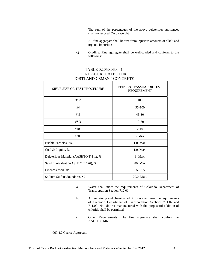The sum of the percentages of the above deleterious substances shall not exceed 5% by weight.

All fine aggregate shall be free from injurious amounts of alkali and organic impurities.

c) Grading: Fine aggregate shall be well-graded and conform to the following:

# TABLE 02.050.060.4.1 FINE AGGREGATES FOR PORTLAND CEMENT CONCRETE

| <b>SIEVE SIZE OR TEST PROCEDURE</b>    | PERCENT PASSING OR TEST<br><b>REQUIREMENT</b> |
|----------------------------------------|-----------------------------------------------|
| 3/8"                                   | 100                                           |
| #4                                     | $95-100$                                      |
| #16                                    | 45-80                                         |
| #SO                                    | $10-30$                                       |
| #100                                   | $2 - 10$                                      |
| #200                                   | 3, Max.                                       |
| Friable Particles, <sup>o</sup> %      | 1.0, Max.                                     |
| Coal & Lignite, %                      | 1.0, Max.                                     |
| Deleterious Material (AASHTO T-1 1), % | 3, Max.                                       |
| Sand Equivalent (AASHTO T 176), %      | 80, Min.                                      |
| <b>Fineness Modulus</b>                | 2.50-3.50                                     |
| Sodium Sulfate Soundness, %            | 20.0, Max.                                    |

- a. Water shall meet the requirements of Colorado Department of Transportation Section 712.01.
- b. Air entraining and chemical admixtures shall meet the requirements of Colorado Department of Transportation Sections 711.02 and 711.03. No additive manufactured with the purposeful addition of chloride shall be permitted.
- c. Other Requirements: The fine aggregate shall conform to AADHTO M6.

# 060.4.2 Coarse Aggregate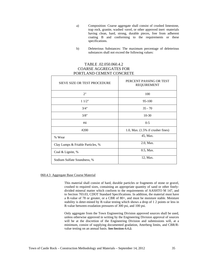- a) Composition: Coarse aggregate shall consist of crushed limestone, trap rock, granite, washed -ravel, or other approved inert -materials having clean, hard, strong, durable pieces, free from adherent coating B and conforming to the requirements or these specifications.
- b) Deleterious Substances: The maximum percentage of deleterious substances shall not exceed the following values:

# TABLE .02.050.060.4.2 COARSE AGGREGATES FOR PORTLAND CEMENT CONCRETE

| <b>SIEVE SIZE OR TEST PROCEDURE</b> | PERCENT PASSING OR TEST<br><b>REQUIREMENT</b> |
|-------------------------------------|-----------------------------------------------|
| 2"                                  | 100                                           |
| 11/2"                               | 95-100                                        |
| 3/4"                                | $35 - 70$                                     |
| 3/8"                                | $10-30$                                       |
| #4                                  | $0-5$                                         |
| #200                                | 1.0, Max. $(1.5\%$ if crusher fines)          |
| % Wear                              | 45, Max.                                      |
| Clay Lumps & Friable Particles, %   | 2.0, Max.                                     |
| Coal & Lignite, %                   | 0.5, Max.                                     |
| Sodium Sulfate Soundness, %         | 12, Max.                                      |

#### 060.4.3 Aggregate Base Course Material

This material shall consist of hard, durable particles or fragments of stone or gravel, crushed to required sizes, containing an appropriate quantity of sand or other finelydivided mineral matter which conform to the requirements of AASHTO M 147, and to Section 703.03, CDOT Standard Specifications. In addition, the material must have a R-value of 78 or greater, or a CBR of 80+, and must be moisture stable. Moisture stability is deter-mined by R-value testing which shows a drop of 1 2 points or less in R-value between exudation pressures of 300 psi, and 100 psi.

Only aggregate from the Town Engineering Division approved sources shall be used, unless otherwise approved in writing by the Engineering Division approval of sources will be at the discretion of the Engineering Division and submissions will, at a minimum, consist of supplying documented gradation, Atterberg limits, and CBR/Rvalue testing on an annual basis. See Section 4.4.2.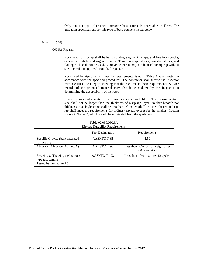Only one (1) type of crushed aggregate base course is acceptable in Town. The gradation specifications for this type of base course is listed below:

#### 060.5 Rip-rap

060.5.1 Rip-rap:

Rock used for rip-rap shall be hard, durable, angular in shape, and free from cracks, overburden, shale and organic matter. Thin, slab-type stones, rounded stones, and flaking rock shall not be used. Removed concrete may not be used for rip-rap without specific written approval from the Inspector.

Rock used for rip-rap shall meet the requirements listed in Table A when tested in accordance with the specified procedures. The contractor shall furnish the Inspector with a certified test report showing that the rock meets these requirements. Service records of the proposed material may also be considered by the Inspector in determining the acceptability of the rock.

Classifications and gradations for rip-rap are shown in Table B. The maximum stone size shall not be larger than the thickness of a rip-rap layer. Neither breadth nor thickness of a single stone shall be less than 1/3 its length. Rock used for grouted riprap shall meet the requirements for ordinary rip-rap except for the smallest fraction shown in Table C, which should be eliminated from the gradation.

|                                                                               | <b>Test Designation</b> | Requirements                                          |
|-------------------------------------------------------------------------------|-------------------------|-------------------------------------------------------|
| Specific Gravity (bulk saturated<br>surface dry)                              | AASHTO T 85             | 2.50                                                  |
| Abrasion (Abrasion Grading A)                                                 | AAHSTO T 96             | Less than 40% loss of weight after<br>500 revolutions |
| Freezing & Thawing () edge rock<br>type test sample<br>Tested by Procedure A) | AASHTO T 103            | Less than 10% loss after 12 cycles                    |

Table 02.050.060.5A Rip-rap Durability Requirements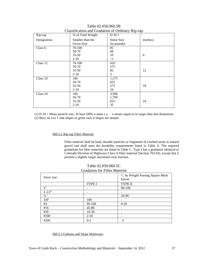| Rip-rap     | % of Total Weight                                  | $     -$<br>D 50 1          |          |
|-------------|----------------------------------------------------|-----------------------------|----------|
| Designation | Smaller than the<br>Given Size                     | Stone Size<br>(in pounds)   | (inches) |
| Class 6     | 70-100<br>50-70<br>$35 - 50$                       | 85<br>68<br>10              | 6        |
| Class 12    | $2-10$<br>70-100<br>50-70<br>$35 - 50$<br>$2 - 10$ | <1<br>410<br>275<br>85<br>3 | 12       |
| Class 18    | 100<br>50-70<br>$35 - 50$<br>$2-10$                | 1,275<br>655<br>275<br>10   | 18       |
| Class 24    | 100<br>50-70<br>$35 - 50$<br>$2-10$                | 3,500<br>1,700<br>655<br>35 | 24       |

Table 02.050.060.5B Classification and Gradation of Ordinary Rip-rap

(1) D 50 = Mean particle size. At least D0% o mass s a e stones equal to or larger than this dimension. (2) Bury on 4 to 1 side slopes or grout rock if slopes are steeper.

# 060.5.2 Rip-rap Filter Material

Filter material shall be hard, durable particles or fragments of crushed stone or natural gravel and shall meet the durability requirements listed in Table A. The required gradations for filter materials are listed in Table C. Type I has a gradation identical to Colorado Division of Highways Class A filter material (Section 703.03), except that it permits a slightly larger maximum rock fraction.

| Sieve size    |               | °/, by Weight Passing Square Mesh<br><b>Sieves</b> |
|---------------|---------------|----------------------------------------------------|
|               | <b>TYPE I</b> | <b>TYPE II</b>                                     |
| 3"            |               | 90-100                                             |
| $1 - 1/2"$    |               |                                                    |
| $\frac{3}{4}$ |               | 20-90                                              |
| 3/8"          | 100           | -                                                  |
| #4            | 95-100        | $0 - 20$                                           |
| #16           | $45 - 80$     |                                                    |
| #50           | $10-30$       | -                                                  |
| #100          | $2-10$        | -                                                  |
| #200          | $0 - 2$       | $-3$                                               |

| Table 02.050.060.5C                  |
|--------------------------------------|
| <b>Gradation for Filter Material</b> |

060.5.3 Gabions and Slope Mattresses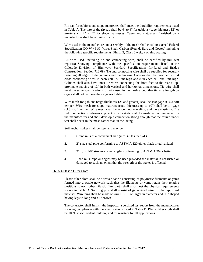Rip-rap for gabions and slope mattresses shall meet the durability requirements listed in Table A. The size of the rip-rap shall be 4" to 8" for gabions (cage thickness 12" or greater) and 2" to 4" for slope mattresses. Cages and mattresses furnished by a manufacturer shall be of uniform size.

Wire used in the manufacture and assembly of the mesh shall equal or exceed Federal Specification QQ-W-461G, Wire, Steel, Carbon (Round, Bare and Coated) including the following specific requirements; Finish 5, Class 3 weight of zinc coating.

All wire used, including tie and connecting wire, shall be certified by mill test report(s) Showing compliance with the specification requirements listed in the Colorado Division of Highways Standard Specifications for-Road and Bridge Construction (Section 712.09). Tie and connecting wire shall be supplied for securely fastening all edges of the gabions and diaphragms. Gabions shall be provided with 4 cross connecting wires in each cell 1/2 unit high and 8 in each cell one unit high. Gabions shall also have inner tie wires connecting the front face to the rear at approximate spacing of 12" in both vertical and horizontal dimensions. Tie wire shall meet the same specifications for wire used in the mesh except that tie wire for gabion cages shall not be more than 2 gages lighter.

Wire mesh for gabions (cage thickness 12" and greater) shall be 100 gage (U.S.) soft temper. Wire mesh for slope mattress (cage thickness up to 10") shall be 14 gage (U.S.) soft temper. Wire mesh shall be woven, non-raveling, and have elasticity. The field connections between adjacent wire baskets shall he made as recommended by the manufacturer and shall develop a connection strong enough that the failure under test shall occur in the mesh rather than in the lacing .

Soil anchor stakes shall be steel and may be:

- 1. Crane rails of a convenient size (mm. 40 lbs. per yd.)
- 2. 2" size steel pipe conforming to ASTM A 120 either black or galvanized
- 3. 3" x;" x 3/8" structural steel angles conforming to ASTM A 36 or better
- 4. Used rails, pipe or angles may be used provided the material is not rusted or damaged to such an extent that the strength of the stakes is affected.

### 060.5.4 Plastic Filter Cloth

Plastic filter cloth shall be a woven fabric consisting of polymeric filaments or yams formed into a stable network such that the filaments or yams retain their relative positions to each other. Plastic filter cloth shall also meet the physical requirements shown in Table D. Securing pins shall consist of galvanized wire or other approved material. Wire pins shall be made of wire 0.091" or larger in diameter and "U" shaped having legs 6" long and a 1" crown.

The contractor shall furnish the Inspector a certified test report from the manufacturer showing compliance with the specifications listed in Table D. Plastic filter cloth shall be 100% insect, rodent, mildew, and rot resistant for all applications.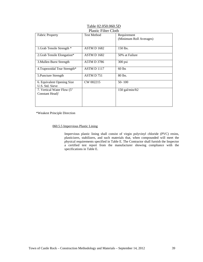| 1 iastie 1 mei Cioni                          |                    |                                        |  |  |
|-----------------------------------------------|--------------------|----------------------------------------|--|--|
| <b>Fabric Property</b>                        | <b>Test Method</b> | Requirement<br>(Minimum Roll Averages) |  |  |
| 1. Grab Tensile Strength *                    | ASTM D 1682        | 150 lbs.                               |  |  |
| 2. Grab Tensile Elongation*                   | <b>ASTM D 1682</b> | 50% at Failure                         |  |  |
| 3. Mullen Burst Strength                      | <b>A5TM D 3786</b> | $300$ psi                              |  |  |
| 4. Trapezoidal Tear Strength*                 | ASTM D 1117        | $60$ lbs                               |  |  |
| 5. Puncture Strength                          | ASTM D751          | 80 lbs.                                |  |  |
| 6. Equivalent Opening Size<br>U.S. Std. Sieve | CW 002215          | $50 - 100$                             |  |  |
| 7. Vertical Water Flow (5"<br>Constant Head)' |                    | 150 gal/min/ft2                        |  |  |

# Table 02.050.060.5D Plastic Filter Cloth

\*Weakest Principle Direction

060.5.5 Impervious Plastic Lining

Impervious plastic lining shall consist of virgin polyvinyl chloride (PVC) resins, plasticizers, stabilizers, and such materials that, when compounded will meet the physical requirements specified in Table E. The Contractor shall furnish the Inspector a certified test report from the manufacturer showing compliance with the specifications in Table E.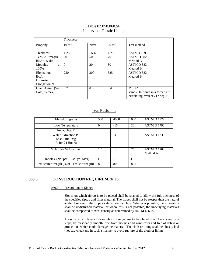# Table 02.050.060.5E Impervious Plastic Lining

|                              | <b>Thickness</b> |       |                  |                                 |
|------------------------------|------------------|-------|------------------|---------------------------------|
| Property                     | $10 \text{ mil}$ | 20mi1 | $30 \text{ mil}$ | Test method                     |
|                              |                  |       |                  |                                 |
| Thickness                    | $+7\%$           | $+5%$ | $+5%$            | ASTMD 1593                      |
| Tensile Strength,            | 20               | 50    | 70               | ASTM D 882,                     |
| $\frac{1}{s}$ lbs./in. width |                  |       |                  | Method B                        |
| <b>Modulus</b><br>at         | 9                | 20    | 30               | ASTM D 882.                     |
| 100%                         |                  |       |                  | Method B                        |
| Elongation,                  | 250              | 300   | 325              | ASTM D 882,                     |
| lbs/in                       |                  |       |                  | Method B                        |
| <b>Ultimate</b>              |                  |       |                  |                                 |
| Elongation, %                |                  |       |                  |                                 |
| Oven Aging (Wt.              | 0.7              | 0.5   | .04              | $2" \times 4"$                  |
| Loss, $%$ max)               |                  |       |                  | sample 16 hours in a forced air |
|                              |                  |       |                  | circulating oven at 212 deg. F. |

# Tear Resistant:

| Elemdorf, grams                                           | 500         | 4000  | 000 | <b>ASTM D 1922</b>             |
|-----------------------------------------------------------|-------------|-------|-----|--------------------------------|
| Low Temperature                                           | $\Omega$    | $-15$ | 20  | ASTM D 1790                    |
| Impa, Deg. F.                                             |             |       |     |                                |
| Water Extraction (%<br>Loss. 104 Deg.<br>F. for 24 Hours) | 1.0         | .3    | 15  | <b>ASTM D 1239</b>             |
| Volatility '% loss max.                                   | 1.5         | 1.0   | 75  | <b>ASTM D 1203</b><br>Method A |
| Pinholes (No. per 10 sq. yd. Max)                         | $\mathbf I$ |       |     |                                |
| ed Seam Strength (% of Tensile Strength)                  | 80          | 80    | 801 |                                |

# **060.6 CONSTRUCTION REQUIREMENTS**

# 060.6.1 Preparation of Slopes

Slopes on which riprap is to be placed shall be shaped to allow the full thickness of the specified riprap and filter material. The slopes shall not be steeper than the natural angle of repose of the slope as shown on the plans. Wherever possible, the excavation shall be undisturbed material, or where this is not possible, the underlying materials shall be compacted to 95% density as determined by ASTM D 698.

Areas in which fiber cloth or plastic linings are to be placed shall have a uniform slope, be reasonably smooth, free from mounds and wind-rows and free of debris or projections which could damage the material. The cloth or lining shall be closely laid (not stretched) and in such a manner to avoid rupture of the cloth or lining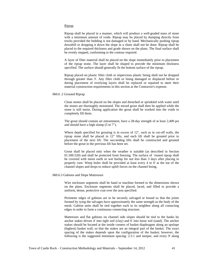#### Riprap

Riprap shall be placed in a manner, which will produce a well-graded mass of stone with a minimum amount of voids. Riprap may be placed by dumping directly from trucks provided the bedding is not damaged or by hand. Mechanically pushing riprap downhill or dropping it down the slope in a chute shall not be done. Riprap shall be placed to the required thickness and grade shown on the plans. The final surface shall be evenly stepped, conforming to the contour required.

A layer of filter material shall be placed on the slope immediately prior to placement of the riprap stone. The layer shall be shaped to provide the minimum thickness specified. The surface should generally fit the bottom surface of the riprap.

Riprap placed on plastic filter cloth or impervious plastic lining shall not be dropped through greater than 3'. Any filter cloth or lining damaged or displaced before or during placement of overlying layers shall be replaced or repaired to meet their material construction requirements in this section at the Contractor's expense.

#### 060.6 .2 Grouted Riprap

Clean stones shall be placed on the slopes and drenched or sprinkled with water until the stones are thoroughly moistened. The mixed grout shall then be applied while the stone is still moist. During application the grout shall be worked into the voids to completely fill them.

The grout should contain air entrainment, have a 28-day strength of at least 2,400 psi and should have a high slump (5 to 7").

Where depth specified for grouting is in excess of 12", such as in cut-off walls, the riprap stone shall be placed in 12" lifts, and each lift shall be grouted prior to placement of the next lift. The succeeding lifts shall be constructed and grouted before the grout in the previous lift has been set.

Grout shall be placed only when the weather is suitable (as described in Section 01.500.520) and shall be protected from freezing. The surface of `routed riprap shall be covered with moist earth or wet burlap for not less than 3 days after placing to properly cure. Weep holes shall be provided at least every 4 to 6' at the toe of the channel slopes and drops to reduce uplift forces on the channel lining.

#### 060.6.3 Gabions and Slope Mattresses

Wire enclosure segments shall be hand or machine formed to the dimensions shown on the plans. Enclosure segments shall be placed, laced, and filled to provide a uniform, dense, protective coat over the area specified.

Perimeter edges of gabions are to be securely salvaged or bound so that the joints formed by tying the salvages have approximately the same strength as the body of the mesh. Gabion units shall be tied together each to its neighbor along all contacting edges in order to form a continuous connecting structure.

Mattresses and flat gabions on channel side slopes should be tied to the banks by anchor stakes driven 4' into tight soil (clay) and 6' into loose soil (sand). The anchor stakes should be located at the inside corners of basket diaphragms along an upslope (highest) basket wall, so that the stakes are an integral part of the basket. The exact spacing of the stakes depends upon the configuration of the basket; however, the following is the suggested minimum spacing: 2.5:1 and steeper, and every 9' along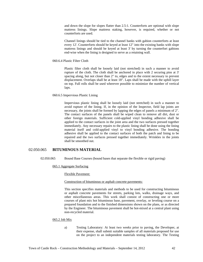and down the slope for slopes flatter than 2.5:1. Counterforts are optional with slope mattress linings. Slope mattress staking, however, is required, whether or not counterforts are used.

Channel linings should be tied to the channel banks with gabion counterforts at least every 12'. Counterforts should be keyed at least 12" into the existing banks with slope mattress linings and should be keyed at least 3' by turning the counterfort gabions end-wise when the lining is designed to serve as a retaining wall.

#### 060.6.4 Plastic Filter Cloth

Plastic filter cloth shall be loosely laid (not stretched) in such a manner to avoid rupture of the cloth. The cloth shall be anchored in place with 2 securing pins at 3' spacing along, but not closer than 2" to, edges and to the extent necessary to prevent displacement. Overlaps shall be at least 18". Laps shall be made with the uphill layer on top. Full rolls shall be used wherever possible to minimize the number of vertical laps.

#### 060.6.5 Impervious Plastic Lining

Impervious plastic lining shall be loosely laid (not stretched) in such a manner to avoid rupture of the lining. If, in the opinion of the Inspector, field lap joints are necessary, the joints shall be formed by lapping the edges of panels a minimum of 2". The contact surfaces of the panels shall be wiped clean to remove all dirt, dust or other foreign materials. Sufficient cold-applied vinyl bonding adhesive shall be applied to the contact surfaces in the joint area and the two surfaces pressed together immediately. Any necessary repairs to the plastic lining shall be done using the lining material itself and cold-applied vinyl to vinyl bonding adhesive. The bonding adhesive shall be applied to the contact surfaces of both the patch and lining to be repaired and the two surfaces pressed together immediately. Wrinkles in the joints shall be smoothed out.

# 02.050.065 **BITUMINOUS MATERIAL**

02.050.065 Bound Base Courses (bound bases that separate the flexible or rigid paving)

065.1 Aggregate Surfacing

Flexible Pavement:

#### Construction of bituminous or asphalt concrete pavements:

This section specifies materials and methods to be used for constructing bituminous or asphalt concrete pavements for streets, parking lots, walks, drainage ways, and other miscellaneous areas. This work shall consist of constructing one or more courses of plant mix hot bituminous base, pavement, overlay, or leveling course on a prepared foundation and to the finished dimensions shown on the plans, or as directed by the Engineer. The bituminous pavement shall be hot-mixed at a central plant using non-recycled material.

#### 065.2 Job Mix

a) Testing Laboratory: At least two weeks prior to paving, the Developer, at their expense, shall submit suitable samples of all materials proposed for use on the project to an independent materials testing laboratory. The Testing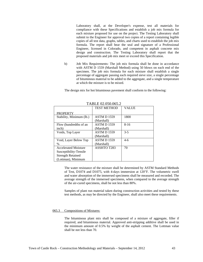Laboratory shall, at the Developer's expense, test all materials for compliance with these Specifications and establish a job mix formula for each mixture proposed for use on the project. The Testing Laboratory shall submit to the Engineer for approval two copies of a report containing legible copies of all test data, graphs, tables, and charts used to establish the job mix formula. The report shall bear the seal and signature of a Professional Engineer, licensed in Colorado, and competent in asphalt concrete mix design and construction. The Testing Laboratory shall report that the proposed materials and job mix meet or exceed this Specification.

b) Job Mix Requirements: The job mix formula shall be done in accordance with ASTM D 1559 (Marshall Method) using 50 blows on each end of the specimen. The job mix formula for each mixture shall establish a single percentage of aggregate passing each required sieve size, a single percentage of bituminous material to be added to the aggregate, and a single temperature at which the mixture is to be mixed.

The design mix for hot bituminous pavement shall conform to the following:

| TABLE 02.050.005.2          |                    |              |  |  |
|-----------------------------|--------------------|--------------|--|--|
|                             | <b>TEST METHOD</b> | <b>VALUE</b> |  |  |
| <b>PROPERTY</b>             |                    |              |  |  |
| Stability, Minimum (lb.)    | <b>ASTM D 1559</b> | 1800         |  |  |
|                             | (Marshall)         |              |  |  |
| Flow (hundredths of an      | <b>ASTM D 1559</b> | $8 - 16$     |  |  |
| inch)                       | (Marshall)         |              |  |  |
| Voids, Top Layer            | <b>ASTM D 1559</b> | $3-5$        |  |  |
|                             | (Marshall)         |              |  |  |
| Void, Layer Below Top       | <b>ASTM D 1559</b> | $4-6$        |  |  |
| $\%$                        | (Marshall)         |              |  |  |
| <b>Accelerated Moisture</b> | ASSHTO T283        | 70           |  |  |
| Susceptibility-Tensile      |                    |              |  |  |
| <b>Strength Retained</b>    |                    |              |  |  |
| (Lottman), Minimum          |                    |              |  |  |

 $TATL$  $D2.050.065.2$ 

The water resistance of the mixture shall be determined by ASTM Standard Methods of Test, D1074 and D1075, with 4-days immersion at 120"F. The volumetric swell and water absorption of the immersed specimens shall be measured and recorded. The average strength of the immersed specimens, when compared to the average strength of the air-cured specimens, shall be not less than 80%.

Samples of plant run material taken during construction activities and tested by these test methods, as may be directed by the Engineer, shall also meet these requirements.

#### 065.3 Compositions of Mixtures:

The bituminous plant mix shall be composed of a mixture of aggregate, filler if required, and bituminous material. Approved anti-stripping additive shall be used in the minimum amount of 0.5% by weight of the asphalt cement. The Lottman value shall be not less than 70.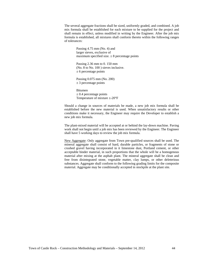The several aggregate fractions shall be sized, uniformly graded, and combined. A job mix formula shall be established for each mixture to be supplied for the project and shall remain in effect, unless modified in writing by the Engineer. After the job mix formula is established, all mixtures shall conform thereto within the following ranges of tolerances:

> Passing 4.75 mm (No. 4) and larger sieves, exclusive of maximum specified size.  $\pm 8$  percentage points

Passing 2.36 mm to 0. 150 mm (No. 8 to No. 100 ) sieves inclusive.  $\pm$  6 percentage points

Passing 0.075 mm (No. 200)  $\pm$  3 percentage points

Bitumen  $\pm$  0.4 percentage points Temperature of mixture  $\pm$ -20°F

Should a change in sources of materials be made, a new job mix formula shall be established before the new material is used. When unsatisfactory results or other conditions make it necessary, the Engineer may require the Developer to establish a new job mix formula.

The plant-mixed material will be accepted at or behind the lay-down machine. Paving work shall not begin until a job mix has been reviewed by the Engineer. The Engineer shall have 5 working days to review the job mix formula.

New Aggregate: Only aggregate from Town pre-qualified sources shall be used. The mineral aggregate shall consist of hard, durable particles, or fragments of stone or crushed gravel having incorporated in it limestone dust, Portland cement, or other acceptable binder material, in such proportions that the whole will be a homogenous material after mixing at the asphalt plant. The mineral aggregate shall be clean and free from disintegrated stone, vegetable matter, clay lumps, or other deleterious substances. Aggregate shall conform to the following grading limits for the composite material. Aggregate may be conditionally accepted in stockpile at the plant site.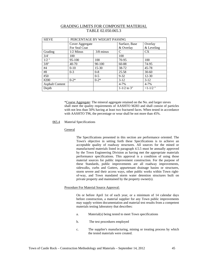| <b>SIEVE</b>           | PERCENTAGE BY WEIGHT PASSING |             |                             |            |
|------------------------|------------------------------|-------------|-----------------------------|------------|
|                        | Cover Aggregate              |             | Surface, Base               | Overlay    |
|                        | For Seal Coat                |             | & Overlay                   | & Leveling |
| Grading                | $1/2$ Minus                  | $3/8$ minus | $\mathcal{C}_{\mathcal{C}}$ | <b>CX</b>  |
| 3/4'                   | 100                          |             | 100                         |            |
| $1/2$ "                | 95-100                       | 100         | 70-95                       | 100        |
| 3/8"                   | 40-70                        | 90-100      | 60-88                       | 74-95      |
| #4                     | $0 - 10$                     | $15-30$     | 38-72                       | 45-78      |
| #8                     | $0 - 3$                      | $0 - 8$     | 25.58                       | $30-60$    |
| #50                    |                              | $0 - 5$     | $9 - 32$                    | $12 - 30$  |
| #200                   | $0 - 2*$                     | $0 - 2*$    | $3-12$                      | $3-12$     |
| <b>Asphalt Content</b> |                              |             | $4 - 7%$                    | $4 - 7%$   |
| Depth                  |                              |             | $1 - 1/2$ to 3"             | $<1-1/2$ " |

# GRADING LIMITS FOR COMPOSITE MATERIAL TABLE 02.050.065.3

\*Coarse Aggregate: The mineral aggregate retained on the No. and larger sieves shall meet the quality requirements of AASHTO M283 and shall consist of particles with not less than 50% having at least two fractured faces. When tested in accordance with AASHTO T96, the percentage or wear shall be not more than 45%.

#### 065.4 Material Specifications

#### General

The Specifications presented in this section are performance oriented. The Town's objective in setting forth these Specifications is to achieve an acceptable quality of roadway structures. All sources for the mined or manufactured materials listed in paragraph 4.5.5 must be annually approved by the Town Engineering Division as having met the appropriate materials performance specifications. This approval is a condition of using those material sources for public improvement construction. For the purpose of these Standards, public improvements are all roadway improvements, sidewalks, curbs and Gutters, appurtenant drainage basins or structures, storm severe and their access ways, other public works within Town rightof-way, and Town mandated storm water detention structures built on private property and maintained by the property owner(s).

#### Procedure For Material Source Approval:

On or before April 1st of each year, or a minimum of 14 calendar days before construction, a material supplier for any Town public improvements may supply written documentation and material test results from a competent materials testing laboratory that describes:

- a. Material(s) being tested to meet Town specifications
- b. The test procedures employed
- c. The supplier's manufacturing, mining or treating process by which the tested materials were created.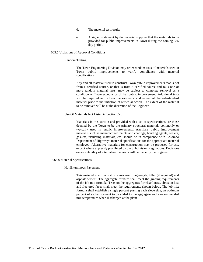- d. The material test results
- e. A signed statement by the material supplier that the materials to be provided for public improvements in Town during the coming 365 day period.

# 065.5 Violations of Approval Conditions

#### Random Testing

The Town Engineering Division may order random tests of materials used in Town public improvements to verify compliance with material specifications.

Any and all material used to construct Town public improvements that is not from a certified source, or that is from a certified source and fails one or more random material tests, may be subject to complete removal as a condition of Town acceptance of that public improvement. Additional tests will be required to confirm the existence and extent of the sub-standard material prior to the initiation of remedial action. The extent of the material to be removed will be at the discretion of the Engineer.

#### Use Of Materials Not Listed in Section .5.5

Materials in this section and provided with a set of specifications are those deemed by the Town to be the primary structural materials commonly or typically used in public improvements. Ancillary public improvement materials such as manufactured paints and coatings, bonding agents, sealers, gaskets, insulating materials, etc. should be in compliance with Colorado Department of Highways material specifications for the appropriate material employed. Alternative materials for construction may be proposed for use, except where expressly prohibited by the Subdivision Regulations. Decisions on acceptability of alternative materials will be made by the Engineer.

### 065.6 Material Specifications

#### Hot Bituminous Pavement

This material shall consist of a mixture of aggregate, filler (if required) and asphalt cement. The aggregate mixture shall meet the grading requirements of the job mix formula. Tests on the aggregates for cleanliness, abrasion loss and fractured faces shall meet the requirements shown below. The job mix formula shall establish a single percent passing each sieve size, an optimum percent of asphalt cement to be added to the aggregate and a recommended mix temperature when discharged at the plant.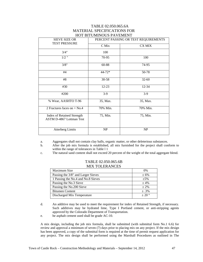# TABLE 02.050.065.6A MATERIAL SPECIFICATIONS FOR HOT BITUMINOUS PAVEMENT

| <b>SIEVE SIZE OR</b><br><b>TEST PRESSURE</b>                         | PERCENT PASSING OR TEST REQUIREMENTS |               |  |
|----------------------------------------------------------------------|--------------------------------------|---------------|--|
|                                                                      | C Mix                                | <b>CX MIX</b> |  |
| 3/4"                                                                 | 100                                  |               |  |
| $1/2$ "                                                              | 70-95                                | 100           |  |
| 3/8"                                                                 | 60-88                                | 74-95         |  |
| #4                                                                   | 44-72*                               | 50-78         |  |
| #8                                                                   | 30-58                                | $32 - 60$     |  |
| #30                                                                  | $12 - 23$                            | 12-34         |  |
| #200                                                                 | $3-9$                                | $3-9$         |  |
| % Wear, AASHTO T-96                                                  | 35, Max.                             | 35, Max.      |  |
| 2 Fractures faces on $+$ No.4                                        | 70% Min.                             | 70% Min.      |  |
| <b>Index of Retained Strength</b><br><b>ASTM D-4867 Lottman Test</b> | 75, Min.                             | 75, Min.      |  |
| <b>Atterberg Limits</b>                                              | NP                                   | <b>NP</b>     |  |

a. Aggregates shall not contain clay balls, organic matter, or other deleterious substances.

- b. After the job mix formula is established, all mix furnished for the project shall conform to within the range of tolerances in Table 1 1
- c. The natural sand content shall not exceed 20 percent of the weight of the total aggregate blend.

### TABLE 02.050.065.6B MIX TOLERANCES

| Maximum Size                       | 0%         |
|------------------------------------|------------|
| Passing the 3/8" and Larger Sieves | $± 6\%$    |
| 1 Passing the No.4 and No.8 Sieves | $+5%$      |
| Passing the No.3 Sieve             | $+4\%$     |
| Passing the No.200 Sieve           | $+2\%$     |
| <b>Bitumen Content</b>             | $\pm .3\%$ |
| Discharged Mix Temperature         | $+20°$     |

d. An additive may be used to meet the requirement for index of Retained Strength, if necessary. Such additives may be hydrated lime, Type I Portland cement, or anti-stripping agents approved by the Colorado Department of Transportation.

e. he asphalt cement used shall be grade AC-10.

A mix design, including the job mix formula, shall be submitted (with submittal form No.1 6.6) for review and approval a minimum of seven (7) days prior to placing mix on any project. If the mix design has been approved, a copy of the submittal form is required at the time of permit request application for any project. The mix design shall be performed using the Marshall Procedures as outlined in The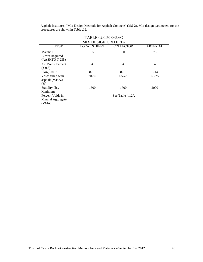Asphalt Institute's, "Mix Design Methods for Asphalt Concrete" (MS-2). Mix design parameters for the procedures are shown in Table .12.

|                                                     | MIA DESIGN UKHEKIA  |                  |                 |
|-----------------------------------------------------|---------------------|------------------|-----------------|
| <b>TEST</b>                                         | <b>LOCAL STREET</b> | <b>COLLECTOR</b> | <b>ARTERIAL</b> |
| Marshall<br><b>Blows Required</b><br>(AASHTO T 235) | 35                  | 50               | 75              |
| Air Voids, Percent<br>$(\pm 0.5)$                   | 4                   | $\overline{4}$   | 4               |
| Flow, $0.01$ "                                      | $8 - 18$            | $8 - 16$         | $8 - 14$        |
| Voids filled with<br>asphalt (V.F.A.)<br>(%)        | 70-80               | 65-78            | $65 - 75$       |
| Stability, lbs.<br>Minimum                          | 1500                | 1700             | 2000            |
| Percent Voids in<br>Mineral Aggregate<br>(VMA)      |                     | See Table 4.12A  |                 |

# TABLE 02.0.50.065.6C MIX DESIGN CRITERIA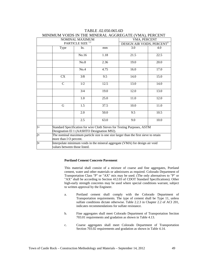| NOMINAL MAXIMUM |                                                                                                                       |       | VMA, PERCENT |                                        |      |
|-----------------|-----------------------------------------------------------------------------------------------------------------------|-------|--------------|----------------------------------------|------|
|                 | PARTICLE SIZE <sup>1,2</sup>                                                                                          |       |              | DESIGN AIR VOIDS, PERCENT <sup>3</sup> |      |
|                 | Type                                                                                                                  | In.   | mm           | 3.0                                    | 4.0  |
|                 |                                                                                                                       | No.16 | 1.18         | 21.5                                   | 22.5 |
|                 |                                                                                                                       | No.8  | 2.36         | 19.0                                   | 20.0 |
|                 |                                                                                                                       | No.4  | 4.75         | 16.0                                   | 17.0 |
|                 | <b>CX</b>                                                                                                             | 3/8   | 9.5          | 14.0                                   | 15.0 |
|                 | $\mathcal{C}$                                                                                                         | 1/2   | 12.5         | 13.0                                   | 14.0 |
|                 |                                                                                                                       | 3/4   | 19.0         | 12.0                                   | 13.0 |
|                 |                                                                                                                       | 1.0   | 25.0         | 11.0                                   | 12.0 |
|                 | G                                                                                                                     | 1.5   | 37.5         | 10.0                                   | 11.0 |
|                 |                                                                                                                       | 2.0   | 50.0         | 9.5                                    | 10.5 |
|                 |                                                                                                                       | 2.5   | 63.0         | 9.0                                    | 10.0 |
| $1\bullet$      | Standard Specification for wire Cloth Sieves for Testing Purposes, ASTM<br>Designation El 1 (AASHTO Designation M92). |       |              |                                        |      |
| $2\bullet$      | The nominal maximum particle size is one size larger than the first sieve to retain<br>more than I O percent.         |       |              |                                        |      |
| 3•              | Interpolate minimum voids in the mineral aggregate (VMA) for design air void<br>values between those listed.          |       |              |                                        |      |

# TABLE .02.050.065.6D MINIMUM VOIDS IN THE MINERAL AGGREGATE (VMA), PERCENT

### **Portland Cement Concrete Pavement**

This material shall consist of a mixture of coarse and fine aggregates, Portland cement, water and other materials or admixtures as required. Colorado Department of Transportation Class "P" or "AX" mix may be used. (The only alternatives to "P" or "AX" shall be according to Section 412.03 of CDOT Standard Specifications). Other high-early strength concretes may be used where special conditions warrant, subject to written approval by the Engineer.

- a. Portland cement shall comply with the Colorado Department of Transportation requirements. The type of cement shall be Type 11, unless sulfate conditions dictate otherwise. Table 2.2.3 in Chapter 2.2 of ACI 201, indicates recommendations for sulfate resistance.
- b. Fine aggregates shall meet Colorado Department of Transportation Section 703.01 requirements and gradation as shown in Table 4.13.
- c. Coarse aggregates shall meet Colorado Department of Transportation Section 703.02 requirements and gradation as shown in Table 4.14.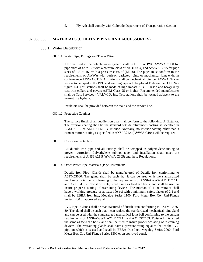d. Fly Ash shall comply with Colorado Department of Transportation Section

# 02.050.080 **MATERIALS (UTILITY PIPING AND ACCESSORIES)**

#### 080.1 Water Distribution

#### 080.1.1 Water Pipe, Fittings and Tracer Wire:

All pipe used in the potable water system shall be D.I.P. or PVC AWWA C900 for pipe sizes of 4" to 12" with a pressure class of 200 (DR14) and AWWA C905 for pipe sizes of 14" to 16" with a pressure class of (DR18). The pipes must conform to the requirements of AWWA with push-on gasketed joints or mechanical joint ends, in conformance AWWA C110. All fittings shall be mechanical joint per AWWA. Tracer wire is to be taped to the PVC and warning tape is to be placed 1' above the D.I.P. See figure 1-3. Test stations shall be made of high impact A.B.S. Plastic and heavy duty cast iron collars and covers ASTM Class 25 or higher. Recommended manufacturer shall be Test Services - VALVCO, Inc. Test stations shall be located adjacent to the nearest fire hydrant.

Insulators shall be provided between the main and the service line.

080.1.2 Protective Coatings:

The surface finish of all ductile iron pipe shall conform to the following: A. Exterior. The exterior coating shall be the standard outside bituminous coating as specified in ANSI A21.6 or ANSI 2 L51. B. Interior. Normally, no interior coating other than a cement mortar coating as specified in ANSI A21.4 (AWWA C104) will be required.

080.1.3 Corrosion Protection:

All ductile iron pipe and all Fittings shall be wrapped in polyethylene tubing to prevent corrosion. Polyethylene tubing, tape, and installation shall meet the requirements of ANSI A21.5 (AWWA C105) and these Regulations.

080.1.4 Other Water Pipe Materials (Pipe Restraints):

Ductile Iron Pipe- Glands shall be manufactured of Ductile iron conforming to ASTM53680. The gland shall be such that it can be used with the standardized mechanical joint bell conforming to the requirements of ANSI/AWWA A21.11/C111 and A21.53/C153. Twist off nuts, sized same as tee-head bolts, and shall be used to insure proper actuating of restraining devices. The mechanical joint restraint shall have a working pressure of at least 100 psi with a minimum safety factor of 2:1 and shall be EBBA Iron Inc., Megalug Series 1100, Ford Meter Box Co., Uni-Flange Series 1400 or approved equal.

PVC Pipe - Glands shall be manufactured of ductile iron conforming to ASTM A536- 80. The gland shall be such that it can replace the standardized mechanical joint gland and can be used with the standardized mechanical joint bell conforming to the current requirements of ANSI/AWWA A21.11/Cl 1 I and A21.53/C153. Twist off nuts, sized the same as tee-head bolts, and shall be used to insure proper actuating of restraining devices. The restraining glands shall have a pressure rating equal to that of the PVC pipe on which it is used and shall be EBBA Iron Inc., Megalug Series 2000, Ford Meter Box Co., Uni-Flange Series 1300 or an approved equal.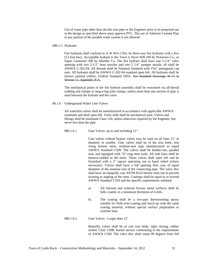Use of water pipe other than ductile iron pipe or the Engineer prior to its proposed use in the design as specified above must approve PVC. The use of Asbestos Cement Pipe in any portion of the potable water system is not allowed.

### 080.1.5 Hydrants

Fire hydrants shall conform to A W WA C502, be three-way fire hydrants with a five (5') foot bury. Acceptable hydrant to the Town is Pacer WB-100 by Waterous Co., or Super Centurion 200 by Mueller Co. The fire hydrant shall have one 5-1/4" valve opening with two 2-1/2" hose nozzles and one 5 1/4" pumper nozzle, all shall be AWWA C-502-94. All threads shall be National Standard with 1%s" pentagonal cap nuts. All hydrants shall be AWWA C-502-94 standard open left. All hydrants shall be factory painted yellow, Federal Standard 595A. See Standard Drawings W-11 in Section 11, Appendix II A.

The mechanical joints of the fire hydrant assembly shall be restrained via all-thread rodding and clamps or meg-a-lug joint clamps, unless more than one section of pipe is used between the hydrant and the valve.

### 80.1.6 Underground Water Line Valves

All waterline valves shall be manufactured in accordance with applicable AWWA standards and shall open left. Valve ends shall be mechanical joint. Valves and fittings shall be minimum Class 150, unless otherwise required by the Engineer, but never less than the pipe.

080.1.6.1 Gate Valves: up to and including 12":

Gate valves without bypass valves may be used on all lines 12" in diameter or smaller. Gate valves shall be of the iron body, non rising bronze stem, resilient-seat type manufactured to equal AWWA Standard C509. The valves shall be double-rise, parallel seat, and equipped with "O"-ring stem seals. All stub lines shall be harness-rodded to the main. These valves shall open left and be furnished with a 2" square operating nut or hand wheel (where necessary). Valves shall have a full opening flow way of equal diameter of the nominal size of the connecting pipe. The valve disc shall have an integrally cast ASTM B-62 bronze stem nut to prevent twisting or angling of the stem. Coatings shall be equal to or exceed AWWA Standard C550 and the specific requirements outlined.

- a) All internal and external ferrous metal surfaces shall be fully coated, to a minimum thickness of 4 mils.
- b) The coating shall be a two-part thermosetting epoxy suitable for field over-coating and touch-up with the same coating material, without special surface preparation or extreme heat.

### 080.1.6.2 Gate Valves - Larger than 12"

Butterfly valves shall be of cast iron body, tight closing, rubber sealed, Class 150B, buried service conforming to the requirements of AWWA C504. The valve disc shall rotate 90 degrees from full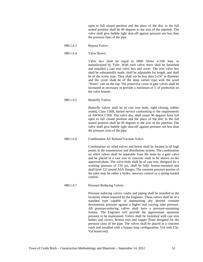open to full closed position and the place of the disc in the full seated position shall be 90 degrees to the axis of the pipeline. The valve shall give bubble tight shut-off against pressure not less than the pressure class of the pipe.

- 080.1.6.3 Bypass Valves
- 080.1.6.4 Valve Boxes:

Valve box shall be equal to 6860 Series w/160 base as manufactured by Tyler. With each valve, there shall be furnished and installed a cast iron valve box and cover. The iron valve box shall be substantially made, shall be adjustable for length, and shall be of the screw type. They shall not be less than 5-I!4" in diameter and the cover shall be of the deep socket type with the word "Water" cast on the top. The protective cover at gate valves shall be increased as necessary to provide a minimum of 5' of protection on the valve bonnet.

080.1.6.5 Butterfly Valves:

Butterfly valves shall be of cast iron body, tight closing, rubber sealed, Class 150B, buried service conforming to the requirements of AWWA C504. The valve disc shall rotate 90 degrees from full open to full closed position and the place of the disc in the full seated position shall be 90 degrees to the axis of the pipeline. The valve shall give bubble tight shut-off against pressure not less than the pressure class of the pipe.

080.1.6.6 Combination Air Release/Vacuum Valve:

Combination air relief valves and boxes shall be located at all high points in the transmission and distribution system. The combination air relief valves shall be separable from the main by a gate valve and be placed in a cast iron or concrete vault to be shown on the approved plans. The valve body shall be of cast iron, designed for a working pressure of 150 psi, shall be fully bronze-mounted and shall have 125 pound ASA flanges. The constant pressure portion of the pilot may be either a hydro, mercury control or a spring-loaded control.

080.1.6.7 Pressure Reducing Valves:

Pressure reducing valves, vaults and piping shall be installed in the locations where required by the Engineer. These valves shall be of a standard type capable of maintaining any desired constant downstream pressure against a higher and varying inlet pressure. All pressure-reducing valves shall have a pressure-sustaining feature. The Engineer will provide the approximate upstream pressure to be maintained. Valves shall be furnished with cast iron bodies and covers, bronze trim and copper floats designed for the pressure class of the pipe. The valves shall be placed in a concrete vault and installed with a bypass loop configuration. Use only Cla-Val brand only.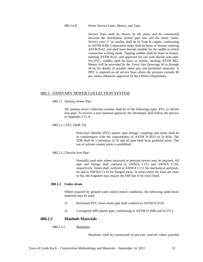080.1.6.8 Water Service Lines, Meters, and Taps:

Service lines shall be shown on the plans and be constructed between the distribution system pipe line and the meter vaults. Service tines 2" or smaller shall be of Type K copper, conforming to ASTM B-88. Corporation stops shall be brass or bronze, meeting ASTM B-62, and shall have threads suitable for the saddle to which connection is being made. Tapping saddles shall be brass or bronze, meeting ASTM B-62, and approved for use with ductile iron pipe. For PVC, saddles shall be brass or bronze, meeting ASTM B62. Meters will be provided by the Town. See Drawings W-la through W-6a for details of potable meter pits and permitted materials. A PRV is required on all service lines where the pressure exceeds 80 psi, unless otherwise approved by the Utilities Department.

# 080.2 SANITARY SEWER COLLECTION SYSTEM

080.2.1 Sanitary Sewer Pipe

All sanitary sewer collection systems shall be of the following types: PVC or ductile iron pipe. To receive a new material approval, the Developer shall follow the process in Appendix 111-A.

080.2.1.1 PVC (SDR 35):

Polyvinyl chloride (PVC) plastic pipe fittings, couplings and joints shall be in conformance with the requirements of ASTM D-3033 or D-3034. The SDR shall be a minimum of 35 and all pipe shall have gasketed joints. The use of solvent cement joints is prohibited.

080.2.1.2 Ductile Iron Pipe:

Normally used only where structural or pressure sewers may be required. All pipe and fittings shall conform to AWWA C151 and AWWA C110, respectively. Joints shall conform to AWWA C111 for mechanical and pushon and to AWWA C110 for flanged joints. In areas where the lines are close to flat, the Engineer may require the DIP line to be vinyl-lined.

### **080.2.2 Under-drain**

Where required by ground water and/or trench conditions, the following under-drain materials may be used:

- 1) Perforated PVC sewer drain pipe shall conform to ASTM D-2729.
- 2) Corrugated ABS plastic pipe, conforming to ASTM D-2680 and D-275 1.

### **080.2.3 Manhole Materials**

080.2.3.1 Manholes:

Manholes shall be constructed of pre-cast concrete where possible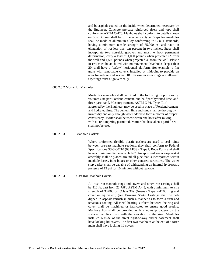and be asphalt-coated on the inside when determined necessary by the Engineer. Concrete pre-cast reinforced risers and tops shall conform to ASTM C-478. Manholes shall conform to details shown on SS-3. Cones shall be of the eccentric type. Steps for manholes shall be made of aluminum alloy conforming to CDOT standards, having a minimum tensile strength of 35,000 psi and have an elongation of not less than ten percent in two inches. Steps shall incorporate two non-skid grooves and must, without permanent deformation, carry a load of 1,000 pounds when projected 6" from the wall and 1,500 pounds when projected 4" from the wall. Plastic inserts must be anchored with no movement. Manholes deeper than 20' shall have a "safety" horizontal platform, (for example, a flat grate with removable cover), installed at midpoint to provide an area for refuge and rescue. 18" maximum riser rings are allowed. Openings must align vertically.

#### 080.2.3.2 Mortar for Manholes:

Mortar for manholes shall be mixed in the following proportions by volume: One part Portland cement, one-half part hydrated lime, and three parts sand. Masonry cement, ASTM C-91, Type II, if approved by the Engineer, may be used in place of Portland cement and hydrated lime. The cement, lime and sand shall be thoroughly mixed dry and only enough water added to form a mortar of proper consistency. Mortar shall be used within one hour after mixing, with no re-tempering permitted. Mortar that has taken a partial set shall not be used.

#### 080.2.3.3 Manhole Gaskets:

Where preformed flexible plastic gaskets are used to seal joints between pre-cast manhole sections, they shall conform to Federal Specifications SS-S-00210 (6SAFSS), Type I, Rope Form and shall have a minimum diameter of 1-1/2". An approved water stop gasket assembly shall be placed around all pipe that is incorporated within manhole bases, inlet boxes or other concrete structures. The water stop gasket shall be capable of withstanding an internal hydrostatic pressure of 13 psi for 10 minutes without leakage.

#### 080.2.3.4 Cast Iron Manhole Covers:

All cast iron manhole rings and covers and other iron castings shall be 410 lb. cast iron, 23 7/8", ASTM A-48, with a minimum tensile strength of 30,000 psi (Class 30), (Neenah Type R-1706 ring and cover or equivalent, (see Drawing SS-4). Castings shall be hotdipped in asphalt varnish in such a manner as to form a firm and tenacious coating. All metal-bearing surfaces between the ring and cover shall be machined or fabricated to ensure good seating. Manhole lids shall be provided with a non-slip pattern on the surface that lies flush with the elevation of the ring. Manholes installed outside of the street right-of-way and/or easement shall have locking lid covers. The first two manholes at the exit of a force main shall have locking lid covers.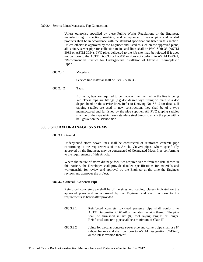#### 080.2.4 Service Lines Materials, Tap Connections

Unless otherwise specified by these Public Works Regulations or the Engineer, manufacturing, inspection, marking, and acceptance of sewer pipe and related products shall be in accordance with the standard specifications listed in this section. Unless otherwise approved by the Engineer and listed as such on the approved plans, all sanitary sewer pipe for collection mains and lines shall be PVC SDR-35 (ASTM 3033 or ASTM 3034). PVC pipe, delivered to the job-site, may be rejected if it does not conform to the ASTM D-3033 or D-3034 or does not conform to ASTM D-2321, "Recommended Practice for Underground Installation of Flexible Thermoplastic Pipe."

080.2.4.1 Materials:

Service line material shall be PVC - SDR 35.

080.2.4.2 Taps:

Normally, taps are required to be made on the main while the line is being laid. These taps are fittings (e.g.,  $45^{\circ}$  degree wye fitting on main to a  $45^{\circ}$ degree bend on the service line). Refer to Drawing No. SS- 2 for details. If tapping saddles are used in new construction, they shall be of a type manufactured and furnished by the pipe supplier. All PVC tapping saddles shall be of the type which uses stainless steel bands to attach the pipe with a bell gasket on the service side.

# **080.3 STORM DRAINAGE SYSTEMS**

080.3.1 General:

Underground storm sewer lines shall be constructed of reinforced concrete pipe conforming to the requirements of this Article. Culvert pipes, where specifically approved by the Engineer, may be constructed of Corrugated Metal Pipe conforming to the requirements of this Article.

Where the nature of storm drainage facilities required varies from the data shown in this Article, the Developer shall provide detailed specifications for materials and workmanship for review and approval by the Engineer at the time the Engineer reviews and approves the project.

### **080.3.2 General - Concrete Pipe**

Reinforced concrete pipe shall be of the sizes and loading, classes indicated on the approved plans and as approved by the Engineer and shall conform to the requirements as hereinafter provided.

- 080.3.2.1 Reinforced concrete low-head pressure pipe shall conform to ASTM Designation C361-70 or the latest revision thereof. The pipe shall be furnished in six (8') foot laying lengths or longer. Reinforced concrete pipe shall be a minimum of Class III.
- 080.3.2.2 Joints for circular concrete sewer pipe and culvert pipe shall use 8" rubber baskets and shall conform to ASTM Designation C443-70, or the latest revision thereof.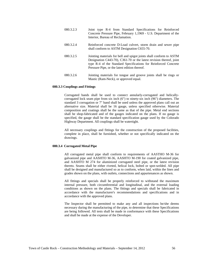- 080.3.2.3 Joint type R-4 from Standard Specifications for Reinforced Concrete Pressure Pipe, February 1,1969 - U.S. Department of the Interior, Bureau of Reclamation.
- 080.3.2.4 Reinforced concrete D-Load culvert, storm drain and sewer pipe shall conform to ASTM Designation C655-70.
- 080.3.2.5 Jointing materials for bell and spigot joints shall conform to ASTM Designation C443-70), C361-70 or the latest revision thereof, joint type R-4 of the Standard Specifications for Reinforced Concrete Pressure Pipe, or the latest edition thereof.
- 080.3.2.6 Jointing materials for tongue and groove joints shall be rings or Mastic (Ram-Neck), or approved equal.

#### **080.3.3 Couplings and Fittings**

Corrugated bands shall be used to connect annularly-corrugated and helicallycorrugated lock seam pipe from six inch (6") to ninety-six inch (96") diameters. The standard 3 corrugation or 7" band shall be used unless the approved plans call out an alternative size. Material shall be 16 gauge, unless specified otherwise. Material composition and coatings shall be the same as that of the pipe. Metal end sections shall be shop-fabricated and of the gauges indicated on the plans. If no gauge is specified, the gauge shall be the standard specification gauge used by the Colorado Highway Department. All couplings shall be watertight.

All necessary couplings and fittings for the construction of the proposed facilities, complete in place, shall be furnished, whether or not specifically indicated on the drawings.

#### **080.3.4 Corrugated Metal Pipe**

All corrugated metal pipe shall conform to requirements of AASTHO M-36 for galvanized pipe and AASHTO M-36, AASHTO M-190 for coated galvanized pipe, and AASHTO M 274 for aluminized corrugated steel pipe, or the latest revision thereto. Seams shall be either riveted, helical lock, bolted or spot-welded. All pipe shall be designed and manufactured so as to conform, when laid, within the lines and grades shown on the plans, with outlets, connections and appurtenances as shown.

All fittings and specials shall be properly reinforced to withstand the maximum internal pressure, both circumferential and longitudinal, and the external loading conditions as shown on the plans. The fittings and specials shall be fabricated in accordance with the manufacturer's recommendations and specifications and in accordance with the approved plans.

The Inspector shall be permitted to make any and all inspections he/she deems necessary during the manufacturing of the pipe, to determine that these Specifications are being followed. All tests shall be made in conformance with these Specifications and shall be made at the expense of the Developer.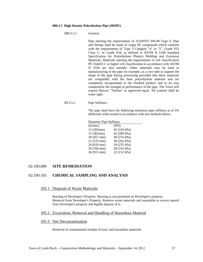#### **080.3.5 High Density Polyethylene Pipe (HDPE)**

080.3.5.1 General:

Pipe meeting the requirements of AASHTO 294-90 Type S. Pipe and fittings shall be made of virgin PE compounds which conform with the requirements of Type 3 Category "4" or "5", Grade P33 Class C; or Grade P34, as defined in ASTM D 1248 Standard Specification for Polyethylene Plastics Molding and Extrusion Materials. Materials meeting the requirements of cell classification PE 334433 C or higher cell classification in accordance with ASTM D 3350 are also suitable. Other materials may be used in manufacturing of the pipe for example, as a core tube to support the shape of the pipe during processing provided that these materials are compatible with the base polyethylene material and are completely encapsulated in the finished product and in no way compromise the strength or performance of the pipe. The Town will require Hancor "Titeline" or approved equal. All systems shall be water tight.

80.3.5.2 Pipe Stiffness:

The pipe shall have the following minimum pipe stiffness as at 5% deflection when tested in accordance with test methods below.

| Diameter Pipe Stiffness |              |  |
|-------------------------|--------------|--|
| (Inches)                | (PSI)        |  |
| 12 (305mm)              | 45 (310 kPa) |  |
| 15 (381mm)              | 42 (289 kPa) |  |
| 18 (457 mm)             | 40 (276 kPa) |  |
| 21 (533 mm)             | 38 (262 kPa) |  |
| 24 (610 nun)            | 34 (235 kPa) |  |
| 30 (760 mm)             | 28 (193 kPa) |  |
| 36 (915 mm)             | 22 (152 kPa) |  |
|                         |              |  |

# 02.100.000 **SITE REMEDIATION**

# 02.100.105 **CHEMICAL SAMPLING AND ANALYSIS**

### 105.1 Disposal of Waste Materials

Burning of Developer's Property: Burning is not permitted on Developer's property. Removal from Developer's Property: Remove waste materials and unsuitable or excess topsoil from Developer's property and legally dispose of it.

# 105.2 Excavation, Removal and Handling of Hazardous Material

### 105.3 Site Decontamination

Removal of contaminated residue of toxic and hazardous materials.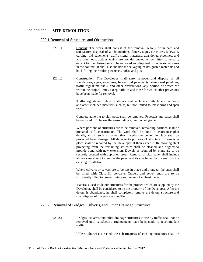# 02.200.220 **SITE DEMOLITION**

# 220.1 Removal of Structures and Obstructions

- 220.1.1 General: The work shall consist of the removal, wholly or in part, and satisfactory disposal of all foundations, fences, signs, structures, sidewalk, curbing, old pavements, traffic signal materials, abandoned pipelines, and any other obstructions which are not designated or permitted to remain, except for the obstructions to be removed and disposed of under -other items in the contract. It shall also include the salvaging of designated materials and back-filling the resulting trenches, holes, and pits.
- 220.1.2 Construction: The Developer shall raze, remove, and dispose of all foundations, signs, structures, fences, old pavements, abandoned pipelines, traffic signal materials, and other obstructions, any portion of which are within the project limits, except utilities and those for which other provisions have been made for removal.

Traffic signals and related materials shall include all attachment hardware and other included materials such as, hut not limited to, mast arms and span wire.

Concrete adhering to sign posts shall be removed. Pedestals and bases shall be removed to 1' below the surrounding ground or subgrade.

Where portions of structures are to be removed, remaining portions shall be prepared to fit construction. The work shall be done in accordance plan details, and in such a manner that materials to be left in place shall be protected from damage. All damage to portions of structure to remain in place shall be repaired by the Developer at their expense. Reinforcing steel projecting from the remaining structure shall be cleaned and aligned to provide bond with new extension. Dowels as required by plans are to be securely grouted with approved grout. Removal of sign panel shall include all work necessary to remove the panel and its attachment hardware from the existing installation.

Where culverts or sewers are to be left in place and plugged, the ends shall be filled with Class III concrete. Culvert and sewer ends are to be sufficiently filled to prevent future settlement of embankments.

Materials used in detour structures for the project, which are supplied by the Developer, shall be considered to be the property of the Developer. After the detour is abandoned, he shall completely remove the detour structure and shall dispose of materials as specified.

# 220.2 Removal of Bridges, Culverts, and Other Drainage Structures

220.2.1 Bridges, culverts, and other drainage structures in use by traffic shall not be removed until satisfactory arrangements have been made to accommodate traffic.

Unless otherwise directed, the substructures of existing structures shall be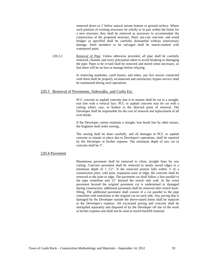removed down to 1' below natural stream bottom or ground surface. Where such portions of existing structures lie wholly or in part within the limits for a new structure, they shall be removed as necessary to accommodate the construction of the proposed structure. Steel, pre-cast concrete, and wood bridges as specified shall be carefully dismantled without unnecessary damage. Steel members to be salvaged shall be match-marked with waterproof paint.

220.2.2 Removal of Pipe: Unless otherwise provided, all pipe shall be carefully removed, cleaned, and every precaution taken to avoid breaking or damaging the pipe. Pipes to be re-laid shall be removed and stored when necessary, so that there will be no loss or damage before relaying.

> In removing manholes, catch basins, and inlets, any live sewers connected with them shall be properly reconnected and satisfactory bypass service shall be maintained during such operations.

# 220.3 Removal of Pavements, Sidewalks, and Curbs Etc.

PCC concrete or asphalt concrete that is to remain shall be cut in a straight, true line with a vertical face. PCC or asphalt concrete may be cut with a cutting wheel, saw, or broken to the directed point of removal. The Developer shall be responsible for the cost of removal and replacement of all over-break.

If the Developer cannot maintain a straight, true break line by other means, the Engineer shall order sawing;.

The sawing shall be done carefully, and all damages to PCC or asphalt concrete to remain in place due to Developer's operations, shall be repaired by the Developer at his/her expense. The minimum depth of saw cut in concrete shall be 2".

# 220.4 Pavement

Bituminous pavement shall be removed to clean, straight lines by saw cutting. Concrete pavement shall be removed to neatly sawed edges to a minimum depth of 1 1/2". If the removed portion falls within 3' of a construction joint, cold joint, expansion joint or edge, the concrete shall be removed to the joint or edge. The pavement cut shall follow a line parallel to the pipe centerline and 12" beyond the trench side wall. In the event pavement beyond the original pavement cut is undermined or damaged during construction, additional pavement shall be removed after trench backfilling. The additional pavement shall consist of a cut parallel to the pipe centerline with transitions to the original cut on each side. Any paving that is damaged by the Developer outside the above-stated limits shall be replaced at the Developer's expense. All excavated paving and concrete shall be stockpiled separately and disposed of by the Developer off site of the work at his/her expense and shall not be used as trench backfill material.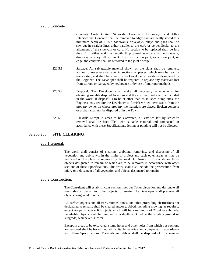### 220.5 Concrete

Concrete Curb, Gutter, Sidewalk, Crosspans, Driveways, and Alley Intersections: Concrete shall be removed to edges that are neatly sawed to a minimum depth of 1 1/2". Sidewalks, driveways, alleys and pans shall be saw cut in straight lines either parallel to the curb or perpendicular to the alignment of the sidewalk or curb. No section to be replaced shall be less than 3' in either width or length. If proposed saw cuts in the sidewalk, driveway or alley fall within 3' of a construction joint, expansion joint, or edge, the concrete shall be removed to the joint or edge.

- 220.5.1 Salvage: All salvageable material shown on the plans shall be removed, without unnecessary damage, in sections or pieces, which may be readily transported, and shall be stored by the Developer in locations designated by the Engineer. The Developer shall be required to replace any materials lost from storage or damaged by negligence or by use of improper methods.
- 220.5.2 Disposal: The Developer shall make all necessary arrangements for obtaining suitable disposal locations and the cost involved shall be included in the work. If disposal is to be at other than established dump sites, the Engineer may require the Developer to furnish written permission from the property owner on whose property the materials are placed. Broken concrete or asphalt shall not be disposed of in the Town.
- 220.5.3 Backfill: Except in areas to be excavated, all cavities left by structure removal shall be back-filled with suitable material and compacted in accordance with these Specifications. Jetting or ponding will not be allowed.

# 02.200.230 **SITE CLEARING**

# 230.1 General:

The work shall consist of clearing, grubbing, removing, and disposing of all vegetation and debris within the limits of project and such other areas as may be indicated on the plans or required by the work. Exclusive of this work are those objects designated to remain or which are to be removed in accordance with other sections of these Specifications. This work shall also include the preservation from injury or defacement of all vegetation and objects designated to remain.

# 230.2 Construction:

The Consultant will establish construction lines per Town discretion and designate all trees, shrubs, plants, and other objects to remain. The Developer shall preserve all objects designated to remain.

All surface objects and all trees, stumps, roots, and other protruding obstructions not designated to remain, shall be cleared and/or grubbed, including mowing, as required, except nonperishable solid objects which will be a minimum of 2' below subgrade. Perishable objects shall be removed to a depth of 3' below the existing ground or subgrade, whichever is lower.

Except in areas to be excavated, stump holes and other holes from which obstructions are removed shall be back-filled with suitable materials and compacted in accordance with these Specifications. Materials and debris shall be disposed of in a manner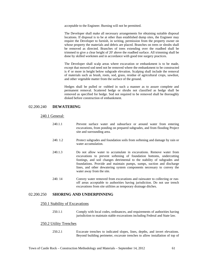acceptable to the Engineer. Burning will not be permitted.

The Developer shall make all necessary arrangements for obtaining suitable disposal locations. If disposal is to be at other than established dump sites, the Engineer may require the Developer to furnish, in writing, permission from the property owner on whose property the materials and debris are placed. Branches on trees or shrubs shall be removed as directed. Branches of trees extending over the roadbed shall be trimmed to give a clear height of 20' above the roadbed surface. All trimming shall be done by skilled workmen and in accordance with good tree surgery practices.

The Developer shall scalp areas where excavation or embankment is to be made, except that mowed sod need not be removed where the embankment to be constructed is 4' or more in height below subgrade elevation. Scalping shall include the removal of materials such as brush, roots, sod, grass, residue of agricultural crops, sawdust, and other vegetable matter from the surface of the ground.

Hedges shall be pulled or -rubbed in such a manner as to assure complete and permanent removal. Scattered hedge or shrubs not classified as hedge shall be removed as specified for hedge. Sod not required to be removed shall be thoroughly disked before construction of embankment.

# 02.200.240 **DEWATERING**

#### 240.1 General:

- 240.1.1 Prevent surface water and subsurface or around water from entering excavations, from ponding on prepared subgrades, and from flooding Project site and surrounding area.
- 240. 1.2 Protect subgrades and foundation soils from softening and damage by rain or water accumulation.
- 240.1.3 Do not allow water to accumulate in excavations. Remove water from excavations to prevent softening of foundation bottoms, undercutting footings, and soil changes detrimental to the stability of subgrades and foundations. Provide and maintain pumps, sumps, suction and discharge lines, and other dewatering system components necessary to convey the water away from the site.
- 240. 14 Convey water removed from excavations and rainwater to collecting or runoff areas acceptable to authorities having jurisdiction. Do not use trench excavations from site utilities as temporary drainage ditches.

# 02.200.250 **SHORING AND UNDERPINNING**

### 250.1 Stability of Excavations

250.1.1 Comply with local codes, ordinances, and requirements of authorities having jurisdiction to maintain stable excavations including Federal and State law.

# 250.2 Utility Trenches

250.2.1 Excavate trenches to indicated slopes, lines, depths, and invert elevations. Beyond building perimeter, excavate trenches to allow installation of top of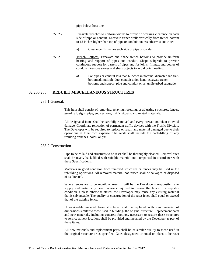pipe below frost line.

- 250.2.2 Excavate trenches to uniform widths to provide a working clearance on each side of pipe or conduit. Excavate trench walls vertically from trench bottom to 12 inches higher than top of pipe or conduit, unless otherwise indicated.
	- a) Clearance: 12 inches each side of pipe or conduit.
- 250.2.3 Trench Bottoms: Excavate and shape trench bottoms to provide uniform bearing and support of pipes and conduit. Shape subgrade to provide continuous support for barrels of pipes and for joints, fittings, and bodies of conduits. Remove stones and sharp objects to avoid point loading.
	- a) For pipes or conduit less than 6 inches in nominal diameter and flatbottomed, multiple-duct conduit units, hand-excavate trench bottoms and support pipe and conduit on an undisturbed subgrade.

# 02.200.285 **REBUILT MISCELLANEOUS STRUCTURES**

# 285.1 General:

This item shall consist of removing, relaying, resetting, or adjusting structures, fences, guard rail, signs, pipe, end sections, traffic signals, and related materials.

All designated items shall be carefully removed and every precaution taken to avoid damage. Coordinate relocation of permanent traffic devices with the Traffic Division. The Developer will be required to replace or repair any material damaged due to their operations at their own expense. The work shall include the back-filling of any resulting trenches, holes, or pits.

# 285.2 Construction

Pipe to be re-laid and structures to be reset shall be thoroughly cleaned. Removal sites shall be neatly back-filled with suitable material and compacted in accordance with these Specifications.

Materials in good condition from removed structures or fences may be used in the rebuilding operations. All removed material not reused shall be salvaged or disposed of as directed.

Where fences are to be rebuilt or reset, it will be the Developer's responsibility to supply and install any new materials required to restore the fence to acceptable condition. Unless otherwise stated, the Developer may reuse any existing material that is salvageable. The quality of construction of the reset fence shall equal or exceed that of the existing fence.

Unserviceable material from structures shall be replaced with new material of dimensions similar to those used in building- the original structure. Replacement parts and new materials, including concrete footings, necessary to restore these structures to service at new locations shall be provided and installed by the Developer as part of these items.

All new materials and replacement parts shall be of similar quality to those used in the original structure or as specified. Gates designated or noted on plans to be reset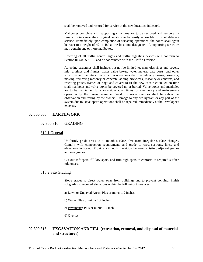shall be removed and restored for service at the new locations indicated.

Mailboxes complete with supporting structures are to be removed and temporarily reset at points near their original location to be easily accessible for mail delivery service. Immediately upon completion of surfacing operations, the boxes shall again be reset to a height of 42 to 48" at the locations designated. A supporting structure may contain one or more mailboxes.

Resetting of all traffic control signs and traffic signaling devices will conform to Section  $01.500.560.1$ -2 and be coordinated with the Traffic Division.

Adjusting structures shall include, but not be limited to, manholes rings and covers, inlet gratings and frames, water valve boxes, water meters, gate posts, and other structures and facilities. Construction operations shall include any raising, lowering, moving, removing masonry or concrete, adding brickwork, masonry or concrete, and resetting grates, frames or rings and covers to fit the new construction. At no time shall manholes and valve boxes be covered up or buried. Valve boxes and manholes are to be maintained fully accessible at all times for emergency and maintenance operation by the Town personnel. Work on water services shall be subject to observation and testing by the owners. Damage to any fire hydrant or any part of the system due to Developer's operations shall be repaired immediately at the Developer's expense.

# 02.300.000 **EARTHWORK**

# 02.300.310 GRADING

# 310.1 General

Uniformly grade areas to a smooth surface, free from irregular surface changes. Comply with compaction requirements and grade to cross-sections, lines, and elevations indicated. Provide a smooth transition between existing adjacent grades and new grades.

Cut out soft spots, fill low spots, and trim high spots to conform to required surface tolerances.

### 310.2 Site Grading

Slope grades to direct water away from buildings and to prevent ponding. Finish subgrades to required elevations within the following tolerances:

- a) Lawn or Unpaved Areas: Plus or minus 1.2 inches.
- b) Walks: Plus or minus 1.2 inches.
- c) Pavements: Plus or minus 1/2 inch.
- d) Overlot

# 02.300.315 **EXCAVATION AND FILL (extraction, removal, and disposal of material and structures)**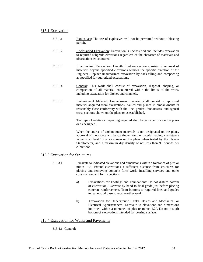# 315.1 Excavation

- 315.1.1 Explosives: The use of explosives will not be permitted without a blasting permit.
- 315.1.2 Unclassified Excavation: Excavation is unclassified and includes excavation to required subgrade elevations regardless of the character of materials and obstructions encountered.
- 315.1.3 Unauthorized Excavation: Unauthorized excavation consists of removal of materials beyond specified elevations without the specific direction of the Engineer. Replace unauthorized excavation by back-filling and compacting as specified for-authorized excavations.
- 315.1.4 General: This work shall consist of excavation, disposal, shaping, or compaction of all material encountered within the limits of the work, including excavation for ditches and channels.
- 315.1.5 Embankment Material: Embankment material shall consist of approved material acquired from excavations, hauled and placed in embankments in reasonably close conformity with the line, grades, thicknesses, and typical cross-sections shown on the plans or as established.

The type of relative compacting required shall be as called for on the plans or as designed.

When the source of embankment materials is not designated on the plans, approval of the source will be contingent on the material having a resistance value of at least 15 or as shown on the plans when tested by the Hveem Stabilometer, and a maximum dry density of not less than 95 pounds per cubic foot.

# 315.3 Excavation for Structures

- 315.3.1 Excavate to indicated elevations and dimensions within a tolerance of plus or minus 1.2". Extend excavations a sufficient distance from structures for placing and removing concrete form work, installing services and other construction, and for inspections.
	- a) Excavations for Footings and Foundations: Do not disturb bottom of excavation. Excavate by hand to final grade just before placing concrete reinforcement. Trim bottoms to required lines and grades to leave solid base to receive other work.
	- b) Excavation for Underground Tanks. Basins and Mechanical or Electrical Appurtenances: Excavate to elevations and dimensions indicated within a tolerance of plus or minus 1.2". Do not disturb bottom of excavations intended for bearing surface.

# 315.4 Excavation for Walks and Pavements

# 315.4.1 General: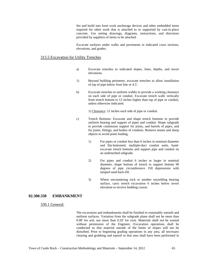Set and build into form work anchorage devices and other embedded items required for other work that is attached to or supported by cast-in-place concrete. Use setting drawings, diagrams, instructions, and directions provided by suppliers of items to be attached.

Excavate surfaces under walks and pavements to indicated cross sections, elevations, and grades.

# 315.5 Excavation for Utility Trenches

- a) Excavate trenches to indicated slopes, lines, depths, and invert elevations.
- 1) Beyond building perimeter, excavate trenches to allow installation of top of pipe below frost line or 4.5'.
- b) Excavate trenches to uniform widths to provide a working clearance on each side of pipe or conduit. Excavate trench walls vertically from trench bottom to 12 inches higher than top of pipe or conduit, unless otherwise indicated.

1) Clearance: 12 inches each side of pipe or conduit.

- c) Trench Bottoms: Excavate and shape trench bottoms to provide uniform bearing and support of pipes and conduit. Shape subgrade to provide continuous support for joints, and barrels of pipes, and for joints, fittings, and bodies of conduits. Remove stones and sharp objects to avoid point loading.
	- 1) For pipes or conduit less than 6 inches in nominal diameter and flat-bottomed, multiple-duct conduit units, handexcavate trench bottoms and support pipe and conduit on an undisturbed subgrade.
	- 2) For pipes and conduit 6 inches or larger in nominal diameter, shape bottom of trench to support bottom 90 degrees of pipe circumference. Fill depressions with tamped sand back-fill.
	- 3) Where encountering rock or another unyielding bearing surface, carry trench excavation 6 inches below invert elevation to receive bedding course.

#### **02.300.330 EMBANKMENT**

#### 330.1 General:

The excavation and embankments shall be finished to reasonably smooth and uniform surfaces. Variation from the subgrade plane shall not be more than 0.08' for soil, nor more than 0.50' for rock. Materials shall not be wasted without permission of the Engineer. Excavation operations shall be conducted so that material outside of the limits of slopes will not be disturbed. Prior to beginning grading operations in any area, all necessary clearing and grubbing and topsoil in that area shall have been performed in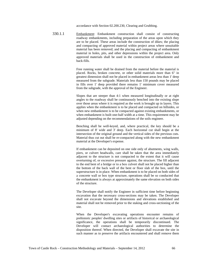accordance with Section 02.200.230, Clearing and Grubbing.

330.1.1 Embankment: Embankment construction shall consist of constructing roadway embankments, including preparation of the areas upon which they are to be placed. These areas include the construction of dikes; the placing and compacting of approved material within project areas where unsuitable material has been removed; and the placing and compacting of embankment material in holes, pits, and other depressions within the project area. Only approved materials shall be used in the construction of embankment and back-fills.

> Free running water shall be drained from the material before the material is placed. Rocks, broken concrete, or other solid materials more than 6" in greatest dimension shall not be placed in embankment areas less than 1' deep measured from the subgrade. Materials less than 150 pounds may be placed in fills over 1' deep provided there remains 1' minimum cover measured from the subgrade, with the approval of the Engineer.

> Slopes that are steeper than 4:1 when measured longitudinally or at right angles to the roadway shall be continuously benched into the existing slope over those areas where it is required as the work is brought up in layers. This applies when the embankment is to be placed and compacted on hillsides, or when new embankment is to be compacted against existing embankments, or when embankment is built one-half width at a time. This requirement may be adjusted depending on the recommendations of the soils engineer.

> Benching shall be well-keyed, and, where practical, the key should be a minimum of 8' wide and 3' deep. Each horizontal cut shall begin at the intersection of the original ground and the vertical sides of the previous cuts. Material thus cut out shall be re-compacted along with the new embankment material at the Developer's expense.

> If embankment can be deposited on one side only of abutments, wing walls, piers, or culvert headwalls, care shall be taken that the area immediately adjacent to the structure is not compacted to the extent that it will cause overturning of, or excessive pressure against, the structure. The fill adjacent to the end bent of a bridge or to a box culvert shall not be placed higher than the bottom of the back wall of the bent or floor slab of the box, until the superstructure is in place. When embankment is to be placed on both sides of a concrete wall or box type structure, operations shall be so conducted that the embankment is always at approximately the same elevation on both sides of the structure.

> The Developer shall notify the Engineer in sufficient time before beginning excavation that the necessary cross-sections may be taken. The Developer shall not excavate beyond the dimensions and elevations established and material shall not be removed prior to the staking and cross-sectioning of the site.

> When the Developer's excavating operations encounter remains of prehistoric peoples' dwelling sites or artifacts of historical or archaeological significance, the operations shall be temporarily discontinued. The Developer will contact archaeological authorities to determine the disposition thereof. When directed, the Developer shall excavate the site in such manner as to preserve the artifacts encountered and shall remove them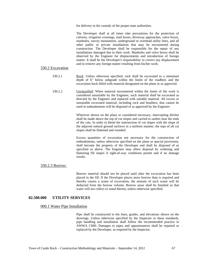for delivery to the custody of the proper state authorities.

The Developer shall at all times take precautions for the protection of culverts, irrigation crossings, mail boxes, driveway approaches, valve boxes, manholes, survey monuments, underground or overhead utility lines, and all other public or private installations that may be encountered during construction. The Developer shall be responsible for the repair of any installations damaged due to their work. Manholes and valve boxes shall be observed by the Engineer for displacements and introduction of foreign matter. It shall be the Developer's responsibility to correct any displacement and to remove any foreign matter resulting from his/her work.

#### 330.2 Excavation

- 330.2.1 Rock: Unless otherwise specified, rock shall be excavated to a minimum depth of 6" below subgrade within the limits of the roadbed, and the excavation back-filled with material designated on the plans or as approved.
- 330.2.2 Unclassified: When material encountered within the limits of the work is considered unsuitable by the Engineer, such material shall be excavated as directed by the Engineer and replaced with suitable material. All excess or unsuitable excavated material, including rock and boulders, that cannot be used in embankments will be disposed of as approved by the Engineer.

Wherever shown on the plans or considered necessary, intercepting ditches shall be made above the top of cut slopes and carried to outlets near the ends of the cuts. In order to blend the intersection of cut slopes with the slope of the adjacent natural ground surfaces in a uniform manner, the tops of all cut slopes shall be flattened and rounded.

Excess quantities of excavation not necessary for the construction of embankments, unless otherwise specified on the plans or special provisions, shall become the property of the Developer and shall be disposed of as specified as above. The Engineer may allow disposal by widening and flattening fill slopes if right-of-way conditions permit and if no damage results.

# 330.2.3 Borrow:

Borrow material should not be placed until after the excavation has been placed in the fill. If the Developer places more borrow than is required and thereby causes a waste of excavation, the amount of such waste will be deducted from the borrow volume. Borrow areas shall be finished so that water will not collect or stand therein, unless otherwise specified.

# **02.500.000 UTILITY SERVICES**

# 000.1 Water Pipe Installation

Pipe shall be constructed to the lines, grades, and elevations shown on the drawings. Unless otherwise specified by the Inspector or these standards, pipe handling and installation shall follow the recommended practice in AWWA C600. Damages to pipes and appurtenances shall be repaired or replaced by the Developer, as required by the Inspector.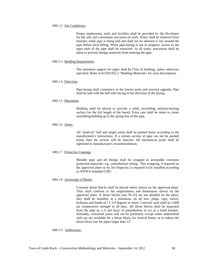#### 000.1.2 Site Conditions:

Proper implements, tools and facilities shall be provided by the Developer for the safe and convenient execution of work. Water shall be removed from trenches while pipe is being laid and shall not be allowed to rise around the pipe before back-filling. When pipe-laying is not in progress, access to the open ends of the pipe shall be restricted. At all times, precaution shall be taken to prevent foreign materials from entering the pipe.

#### 000.1.3 Bedding Requirement:

The minimum support for pipes shall be Class D bedding, unless otherwise specified. Refer to 02.050.055.2 "Bedding Materials" for class descriptions.

# 000.1.4 Direction:

Pipe-laying shall commence at the lowest point and proceed upgrade. Pipe shall be laid with the bell ends facing in the direction of the laying.

### 000.1.5 Placement:

Bedding shall be placed to provide a solid, unyielding uniform-bearing surface for the full length of the barrel. Extra care shall be taken to create unyielding bedding up to the spring line of the pipe.

#### 000.1.6 Joints:

All "push-on" bell and spigot joints shall be pushed home according to the manufacturer's instructions. If a certain section of pipe can not be pushed home, then the section will be rejected. All mechanical joints shall be tightened to manufacturer's recommendations.

#### 000.1.7 Protective Coatings:

Metallic pipe and all fittings shall be wrapped in acceptable corrosion protection materials; e.g., polyethylene tubing . This wrapping, if required on the approved plans or by the Inspector, is required to be installed according to AWWA Standard CI05.

# 000.1.8 Anchorage of Bends:

Concrete thrust blocks shall be placed where shown on the approved plans. They shall conform to the requirements and dimensions shown on the approved plans. If thrust blocks (see W-22) are not detailed on the plans, they shall be installed, at a minimum, on all tees, plugs, caps, valves, hydrants and bends of l 1-1/4 degrees or more. Concrete used shall be 3,000 psi compressive strength in 28 days. All thrust blocks shall be separated from the pipe by a 6 mil layer of polyethylene to act as a bond breaker. Normally, restrained joints will not be permitted, except when undisturbed soils are not available for a thrust block, for vertical bends, or to reduce the thrust block size for pipes larger than 12".

### 000.1.9 Deflections: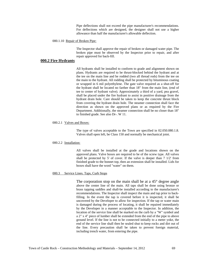Pipe deflections shall not exceed the pipe manufacturer's recommendations. For deflections which are designed, the designer shall not use a higher allowance than half the manufacturer's allowable deflection.

#### 000.1.10 Repair of Broken Pipe:

The Inspector shall approve the repair of broken or damaged water pipe. The broken pipe must be observed by the Inspector prior to repair, and after repair approved for back-fill.

## **000.2 Fire Hydrants**

All hydrants shall be installed to conform to grade and alignment shown on plans. Hydrants are required to be thrust-blocked behind the hydrant and at the tee on the main line and be rodded (two all thread rods) from the tee on the main to the hydrant. All rodding shall be protected by bituminous coating or wrapped in 6 mil polyethylene. The gate valve required as a shut-off for the hydrant shall be located no farther than 18" from the main line, (end of tee to center of hydrant valve). Approximately a third of a yard, pea gravel, shall be placed under the fire hydrant to assist in positive drainage from the hydrant drain hole. Care should be taken to keep the concrete thrust block from covering the hydrant drain hole. The steamer connection shall face the direction as shown on the approved plans or as required by the Fire Department. Additionally, the steamer connection shall be no closer than 18" to finished grade. See also Dr-. W 11.

#### 000.2.1 Valves and Boxes:

The type of valves acceptable to the Town are specified in 02.050.080.1.8. Valves shall open left, be Class 150 and normally be mechanical joint.

#### 000.2.2 Installation:

All valves shall be installed at the grade and locations shown on the approved plans. Valve boxes are required to be of the screw type. All valves shall be protected by 5' of cover. If the valve is deeper than 7 1/2' from finished grade to the bonnet top, then an extension shall be installed. Lids for boxes shall have the word "water" on them.

## 000.3 Service Lines. Taps, Curb Stops

The corporation stop on the main shall be at a 45° degree angle above the center line of the main. All taps shall be done using bronze or brass tapping saddles and shall-be installed according to the manufacturer's recommendations. The Inspector shall inspect the main and tap prior to backfilling. In the event the tap is covered before it is inspected, it shall be uncovered by the Developer to allow for inspection. If the tap or water main is damaged during the process of locating, it shall be repaired immediately by the Developer in a manner acceptable to the Inspector. In addition, the location of the service line shall be marked on the curb by a "W" symbol and a 2" x 4" piece of lumber shall be extended from the end of the pipe to above ground level. If the line is not to be connected initially to a meter yoke, the end of the service line shall then be sealed shut to keep rocks and dirt out of the line. Every precaution shall be taken to prevent foreign material, including trench water, from entering the pipe.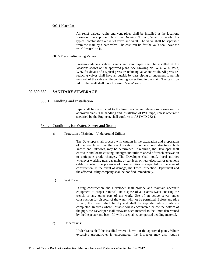#### 000.4 Meter Pits

Air relief valves, vaults and vent pipes shall be installed at the locations shown on the approved plans. See Drawing No. W5, W5a, for details of a typical combination air relief valve and vault. The valve shall be separable from the main by a bate valve. The cast iron lid for the vault shall have the word "water" on it.

#### 000.5 Pressure-Reducing Valves

Pressure-reducing valves, vaults and vent pipes shall be installed at the locations shown on the approved plans. See Drawing No. W3a, W36, W7a, W76, for details of a typical pressure-reducing valve and vault. All pressurereducing valves shall have an outside by-pass piping arrangement to permit removal of the valve while continuing water flow in the main. The cast iron lid for the vault shall have the word "water" on it.

## **02.500.530 SANITARY SEWERAGE**

#### 530.1 Handling and Installation

Pipe shall be constructed to the lines, grades and elevations shown on the approved plans. The handling and installation of PVC pipe, unless otherwise specified by the Engineer, shall conform to ASTM D-232 1.

## 530.2 Conditions for Water, Sewer and Storm

a) Protection of Existing-, Underground Utilities:

The Developer shall proceed with caution in the excavation and preparation of the trench, so that the exact location of underground structures, both known and unknown, may be determined. If required, the Developer shall excavate and locate existing underground utilities ahead of trench excavation to anticipate grade changes. The Developer shall notify local utilities whenever working near gas mains or services, or near electrical or telephone cable, or when the presence of these utilities is suspected in the area of construction. In the event of damage, the Town Inspection Department and the affected utility company shall be notified immediately.

b ) Wet Trench:

During construction, the Developer shall provide and maintain adequate equipment to proper removal and dispose of all excess water entering the trench or any other part of the work. Use of an active sewer under construction for disposal of the water will not be permitted. Before any pipe is laid, the trench shall be dry and shall be kept dry while joints are completed. In areas where unstable soil is encountered below the bottom of the pipe, the Developer shall excavate such material to the limits determined by the Inspector and back-fill with acceptable, compacted bedding material.

c) Underdrains:

Underdrains shall be installed where shown on the approved plans. Where excessive groundwater is encountered, the Inspector may also require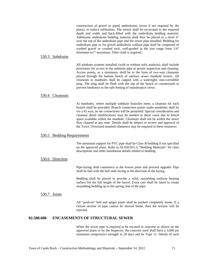construction of gravel or piped underdrains, (even if not required by the plans), to reduce infiltration. The trench shall be excavated to the required depth and width and back-filled with the underdrain bedding material. Additional underdrain bedding material shall then be placed to a level 4" over the top of the underdrain pipe and the sewer pipe installed. Bedding for underdrain pipe or for gravel underdrain without pipe shall be composed of washed gravel or crushed rock, well-graded in the size range from 1/4" minimum to l" maximum. Filter cloth is required..

#### 530.3 Subdrains

All subdrain systems installed, (with or without soils analysis), shall include provisions for access to the subdrain pipe to permit inspection and cleaning. Access points, as a minimum, shall be in the form of two-way cleanouts placed through the bottom bench of sanitary sewer manhole inverts. All cleanouts in manholes shall be capped with a watertight, non-corrodible plug. The plug shall be flush with the top of the bench or countersunk to prevent hindrance to the safe footing of maintenance crews.

#### 530.4 Cleanouts

At manholes, where multiple subdrain branches meet, a cleanout for each branch shall be provided. Branch connection points under manholes shall be via a 45 wye, no tee connections will be permitted. Special consideration and cleanout detail modifications may be needed in these cases due to bench space available within the manhole. Cleanouts shall not be within the sewer flow channel at any time. Details shall be subject to review and approval of the Town. Oversized manhole diameters may be required in these instances.

## 530.5 Bedding Requirements

The minimum support for PVC pipe shall be Class B bedding if not specified on the approved plans. Refer to 02.050.055.3, "Bedding Materials" for class descriptions and other installation details related to bedding.

#### 530.6 Direction

Pipe-laying shall commence at the lowest point and proceed upgrade. Pipe shall be laid with the bell ends facing in the direction of the laying.

Bedding shall be placed to provide a solid, unyielding uniform bearing surface for the full length of the barrel. Extra care shall be taken to create unyielding bedding up to the spring; line of the pipe.

#### 530.7 Joints

All "push-on" bell and spigot joints shall be pushed completely home. If a certain section of pipe cannot be shoved home, then the section will be rejected.

# **02.500.600 ENCASEMENTS OF STRUCTURAL SEWER**

When the sewer pipe is required to be encased in concrete as shown on the approved plans or by the Inspector, the concrete used shall have a 3,000 psi minimum compressive strength in 28 days and be Type 11. Details of such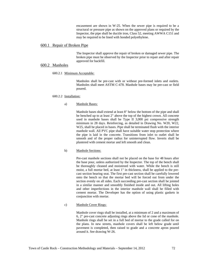encasement are shown in W-25. When the sewer pipe is required to be a structural or pressure pipe as shown on the approved plans or required by the Inspector, the pipe shall be ductile iron, Class 52, meeting AWWA C151 and may be required to be lined with bonded polyethylene.

#### 600.1 Repair of Broken Pipe

The Inspector shall approve the repair of broken or damaged sewer pipe. The broken pipe must be observed by the Inspector prior to repair and after repair approved for backfill.

## 600.2 Manholes

#### 600.2.1 Minimum Acceptable:

Manholes shall be pre-cast with or without pre-formed inlets and outlets. Manholes shall meet ASTM C-478. Manhole bases may be pre-cast or field poured.

#### 600.2.2 Installation:

#### a) Manhole Bases:

Manhole bases shall extend at least 8" below the bottom of the pipe and shall be benched up to at least 2" above the top of the highest crown. All concrete used in manhole bases shall be Type II 3,000 psi compressive strength minimum in 28 days. Reinforcing, as detailed in Drawing No. W20, W22, W25, shall be placed in bases. Pipe shall be terminated flush with the interior manhole wall. All PVC pipe shall have suitable water stop protection where the pipe is laid in the concrete. Transitions from inlet to outlet shall be smooth and of the proper radius for uninterrupted flow. Inverts shall be plastered with cement mortar and left smooth and clean.

## b) Manhole Sections:

Pre-cast manhole sections shall not be placed on the base for 48 hours after the base pour, unless authorized by the Inspector. The top of the bench shall be thoroughly cleaned and moistened with water. While the bench is still moist, a full mortar bed, at least 1" in thickness, shall be applied to the precast section bearing seat. The first pre-cast section shall be carefully lowered onto the bench so that the mortar bed will be forced out from under the section evenly on all sides. Each succeeding pre-cast section shall be jointed in a similar manner and smoothly finished inside and out. All lifting holes and other imperfections in the interior manhole wall shall be filled with cement mortar. The Developer has the option of using plastic gaskets in conjunction with mortar.

## c) Manhole Cover Rings:

Manhole cover rings shall be installed, at a minimum of 2 and a maximum of 6, 2" pre-cast concrete adjusting rings above the lid or cone of the manhole. Manhole rings shall be set in a full bed of mortar to the grade called for on the plans. In new streets, manhole covers shall be left below grade until pavement is completed, then raised to grade and a concrete apron poured around it. See drawing W-26.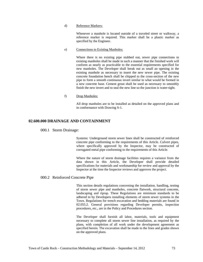#### d) Reference Markers:

Whenever a manhole is located outside of a traveled street or walkway, a reference marker is required. This marker shall be a plastic marker as specified by the Engineer.

#### e) Connections to Existing Manholes:

Where there is no existing pipe stubbed out, sewer pipe connections to existing manholes shall be made in such a manner that the finished work will conform as nearly as practicable to the essential requirements specified for new manholes. The Developer shall break out as small an opening in the existing manhole as necessary to insert the new sewer pipe. The existing concrete foundation bench shall be chipped to the cross-section of the new pipe to form a smooth continuous invert similar to what would be formed in a new concrete base. Cement grout shall be used as necessary to smoothly finish the new invert and to seal the new line so the junction is water-tight.

#### f) Drop Manholes:

All drop manholes are to be installed as detailed on the approved plans and in conformance with Drawing S-1.

## **02.600.000 DRAINAGE AND CONTAINMENT**

#### 000.1 Storm Drainage:

Systems: Underground storm sewer lines shall be constructed of reinforced concrete pipe conforming to the requirements of this Article. Culvert pipes, where specifically approved by the Inspector, may be constructed of corrugated metal pipe conforming to the requirements of this Article.

Where the nature of storm drainage facilities requires a variance from the data shown in this Article, the Developer shall provide detailed specifications for materials and workmanship for review and approval by the Inspector at the time the Inspector reviews and approves the project.

## 000.2 Reinforced Concrete Pipe

This section details regulations concerning the installation, handling, testing of storm sewer pipe and manholes, concrete flatwork, structural concrete, landscaping and riprap. These Regulations are minimum standards to be adhered to by Developers installing elements of storm sewer systems in the Town. Regulations for trench excavation and bedding materials are found in 02.055.2. General provisions regarding Developer permits, inspection procedures, etc., are in the Policy and Procedures section.

The Developer shall furnish all labor, materials, tools and equipment necessary to complete all storm sewer line installation, as required by the plans, with completion of all work under the development agreement as specified herein. The excavation shall be made to the lines and grades shown on the approved plans.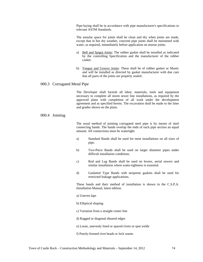Pipe-laying shall be in accordance with pipe manufacturer's specifications or relevant ASTM Standards.

The annular space for joints shall be clean and dry when joints are made, except that in hot dry weather, concrete pipe joints shall be moistened with water, as required, immediately before application on mortar joints.

- a) Bell and Spigot Joints: The rubber gasket shall be installed as indicated by the controlling Specification and the manufacturer of the rubber casket.
- b) Tongue and Groove Joints: These shall be of rubber gasket or Mastic and will be installed as directed by gasket manufacturer with due care that all parts of the joints are properly sealed.

## 000.3 Corrugated Metal Pipe

The Developer shall furnish all labor, materials, tools and equipment necessary to complete all storm sewer line installations, as required by the approved plans with completion of all work under the development agreement and as specified herein. The excavation shall be made to the lines and grades shown on the plans.

## 000.4 Jointing

The usual method of jointing corrugated steel pipe is by means of steel connecting bands. The bands overlap the ends of each pipe section an equal amount. All connections must be watertight.

- a) Standard Bands shall be used for most installations on all sizes of pipe.
- b) Two-Piece Bands shall be used on larger diameter pipes under difficult installation conditions.
- c) Rod and Lug Bands shall be used on levees, aerial sewers and similar installation where water-tightness is essential.
- d) Gasketed Type Bands with neoprene gaskets shall be used for restricted leakage applications.

These bands and their method of installation is shown in the C.S.P.A. Installation Manual, latest edition.

#### a) Uneven laps

- b) Elliptical shaping
- c) Variation from a straight center line
- d) Ragged or diagonal sheared edges
- e) Loose, unevenly lined or spaced rivets or spot welds
- f) Poorly-formed rivet heads or lock seams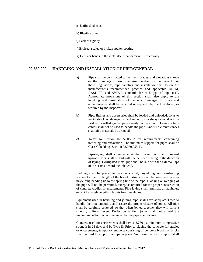- g) Unfinished ends
- h) Illegible brand
- i) Lack of rigidity
- j) Bruised, scaled or broken spelter coating
- k) Dents or bends in the metal itself that damage it structurally

## **02.650.000 HANDLING AND INSTALLATION OF PIPE/GENERAL**

- a) Pipe shall be constructed to the lines, grades, and elevations shown on the drawings. Unless otherwise specified by the Inspector or these Regulations, pipe handling and installation shall follow the manufacturer's recommended practice and applicable ASTM, AASI-1T0, and AWWA standards for each type of pipe used. Appropriate provisions of this section shall also apply to the handling and installation of culverts. Damages to pipes and appurtenances shall be repaired or replaced by the Developer, as required by the Inspector.
- b) Pipe, fittings and accessories shall be loaded and unloaded, so as to avoid shock or damage. Pipe handled on skidways should not be skidded or rolled against pipe already on the ground. Hooks or bare cables shall not be used to handle the pipe. Under no circumstances shall pipe materials be dropped.
- c) Refer to Section 02.050.055.2 for requirements concerning trenching and excavation. The minimum support for pipes shall be Class C bedding (Section 02.050.055.2).

Pipe-laying shall commence at the lowest point and proceed upgrade. Pipe shall be laid with the bell ends facing in the direction of laying. Corrugated metal pipe shall be laid with the external laps of the seams toward the inlet end.

Bedding shall be placed to provide a solid, unyielding, uniform-bearing surface for the full length of the barrel. Extra care shall be taken to create an unyielding bedding up to the spring line of the pipe. Blocking or wedging of the pipe will not be permitted, except as required for the proper construction of concrete cradles or encasements. Pipe-laying shall terminate at manholes, except for single length stub outs from manholes.

Equipment used in handling and joining pipe shall have adequate Town to handle the pipe smoothly and assure the proper closure of joints. All pipe shall be carefully centered, so that when joined together they will form a smooth, uniform invert. Deflection at field joints shall not exceed the maximum deflection recommended by the pipe manufacturer.

Concrete used for encasements shall have a 3,750 psi minimum compressive strength in 28 days and be Type II. Prior to placing the concrete for cradles or encasements, temporary supports consisting of concrete blocks or bricks shall be used to support the pipe in place. Not more than two supports shall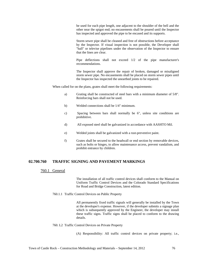be used for each pipe length, one adjacent to the shoulder of the bell and the other near the spigot end; no encasements shall be poured until the Inspector has inspected and approved the pipe to be encased and its supports.

Storm sewer pipe shall be cleaned and free of obstructions before acceptance by the Inspector. If visual inspection is not possible, the Developer shall "ball" or televise pipelines under the observation of the Inspector to ensure that the lines are clear.

Pipe deflections shall not exceed 1/2 of the pipe manufacturer's recommendations.

The Inspector shall approve the repair of broken, damaged or misaligned storm sewer pipe. No encasements shall be placed on storm sewer pipes until the Inspector has inspected the unearthed joints to be repaired.

When called for on the plans, grates shall meet the following requirements:

- a) Grating shall be constructed of steel bars with a minimum diameter of 5/8". Reinforcing bars shall not be used.
- b) Welded connections shall be 1/4" minimum.
- c) Spacing between bars shall normally be 6", unless site conditions are prohibitive.
- d) All exposed steel shall be galvanized in accordance with AASHTO Mil.
- e) Welded joints shall be galvanized with a rust-preventive paint.
- f) Grates shall be secured to the headwall or end section by removable devices, such as bolts or hinges, to allow maintenance access, prevent vandalism, and prohibit entrance by children.

## **02.700.760 TRAFFIC SIGNING AND PAVEMENT MARKINGS**

## 760.1 General

The installation of all traffic control devices shall conform to the Manual on Uniform Traffic Control Devices and the Colorado Standard Specifications for Road and Bridge Construction, latest edition.

760.1.1 Traffic Control Devices on Public Property

All permanently fixed traffic signals will generally be installed by the Town at the developer's expense. However, if the developer submits a signage plan which is subsequently approved by the Engineer, the developer may install these traffic signs. Traffic signs shall be placed to conform to the drawing details.

#### 760. L2 Traffic Control Devices on Private Property

(A) Responsibility: All traffic control devices on private property; i.e.,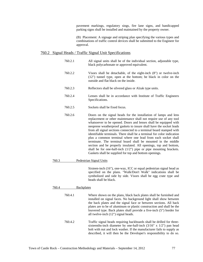pavement markings, regulatory sings, fire lane signs, and handicapped parking signs shall be installed and maintained by the property owner.

(B) Placement: A signage and striping plan specifying the various types and combinations of traffic control devices shall be submitted to the Engineer for approval.

## 760.2 Signal Heads / Traffic Signal Unit Specifications

- 760.2.1 All signal units shall be of the individual section, adjustable type, black polycarbonate or approved equivalent. 760.2.2 Visors shall be detachable, of the eight-inch (8") or twelve-inch (12") tunnel type, open at the bottom; be black in color on the outside and flat black on the inside. 760.2.3 Reflectors shall be silvered glass or Alzak type units. 760.2.4 Lenses shall be in accordance with Institute of Traffic Engineers Specifications. 760.2.5 Sockets shall be fixed focus. 760.2.6 Doors on the signal heads for the installation of lamps and lens replacement or other maintenance shall not require use of any tool whatsoever to be opened. Doors and lenses shall be equipped with neoprene weatherproof gaskets to insure shall have the socket leads from all signal sections connected to a terminal board stamped with identifiable terminals. There shall be a terminal for color indication plus a common terminal where one lead from each socket shall terminate. The terminal board shall be mounted in the middle section and be properly insulated. All openings, top and bottom, shall be for one-half-inch (1/2") pipe or pipe mounting brackets. Gaskets shall be supplied for top and bottom openings. 760.3 Pedestrian Signal Units Sixteen-inch (16"), one-way, ICC or equal pedestrian signal head as specified on the plans. "Walk/Don't Walk" indications shall be symbolized and side by side. Visors shall be egg crate type and heads shall be black. 760.4 Backplates
	- 760.4.1 Where shown on the plans, black back plates shall be furnished and installed on signal faces. No background light shall show between the back plates and the signal face or between sections. All back plates are to be of aluminum or plastic construction and shall be the louvered type. Back plates shall provide a five-inch (5") border for all twelve-inch (12") signal heads. 760.4.2 Traffic signal heads requiring backboards shall be drilled for threesixteenths-inch diameter by one-half-inch (3/16" x 1/2") pan head bolt with nut and lock washer. If the manufacturer fails to supply as described, it will then be the Developer's responsibility to do so.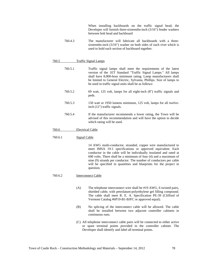When installing backboards on the traffic signal head, the Developer will furnish three-sixteenths-inch (3/16") fender washers between bolt head and backboard

760.4.3 The manufacturer will fabricate all backboards with a threesixteenths-inch (3/16") washer on both sides of each rivet which is used to hold each section of backboard together.

#### 760.5 Traffic Signal Lamps

- 760.5.1 Traffic signal lamps shall meet the requirements of the latest version of the 1ET Standard "Traffic Signal Lamps." All lamps shall have 8,000-hour minimum rating. Lamp manufacturers shall be limited to General Electric, Sylvania, Phillips. Size of lamps to be used in traffic signal units shall be as follows:
- 760.5.2 69 watt, 125 volt, lamps for all eight-inch (8") traffic signals and peds.
- 760.5.3 150 watt or 1950 lumens minimum, 125 volt, lamps for all twelveinch (12") traffic signals.
- 760.5.4 If the manufacturer recommends a lower rating, the Town will be advised of this recommendation and will have the option to decide which rating will be used.

#### 760.6 Electrical Cable

#### 760.6.1 Signal Cable

14 AWG multi-conductor, stranded, copper wire manufactured to meet IMSA 19-1 specifications or approved equivalent. Each conductor in the cable will be individually insulated and rated at 600 volts. There shall be a minimum of four (4) and a maximum of nine (9) strands per conductor. The number of conductors per cable will be specified in quantities and blueprints for the project in question.

#### 760.6.2 Interconnect Cable

- (A) The telephone interconnect wire shall be #19 AWG, 6 twisted pairs, shielded cable, with petrolatum-polyethylene gel filling compound. The cable shall meet R. E. A. Specification PE-39 (Clifford of Vermont Catalog #6P19-B1-BJFC or approved equal).
- (B) No splicing of the interconnect cable will be allowed. The cable shall be installed between two adjacent controller cabinets in continuous runs.
- (C) All telephone interconnect cable pairs will be connected to either active or spare terminal points provided in the controller cabinet. The Developer shall identify and label all terminal points.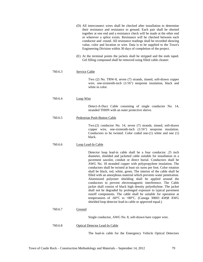|         | (D) All interconnect wires shall be checked after installation to determine<br>their resistance and resistance to ground. Each pair shall be shorted<br>together at one end and a resistance check will be made at the other end<br>or wherever a splice exists. Resistance will be checked between each<br>conductor and -round. All resistance readings shall be recorded showing<br>value, color and location or wire. Data is to be supplied to the Town's<br>Engineering Division within 30 days of completion of the project.                                                                                                                                                                                                                                                                                                                                                                                                                                                            |
|---------|------------------------------------------------------------------------------------------------------------------------------------------------------------------------------------------------------------------------------------------------------------------------------------------------------------------------------------------------------------------------------------------------------------------------------------------------------------------------------------------------------------------------------------------------------------------------------------------------------------------------------------------------------------------------------------------------------------------------------------------------------------------------------------------------------------------------------------------------------------------------------------------------------------------------------------------------------------------------------------------------|
|         | (E) At the terminal points the jackets shall be stripped and the ends taped.<br>Gel filling compound shall be removed using filled cable cleaner.                                                                                                                                                                                                                                                                                                                                                                                                                                                                                                                                                                                                                                                                                                                                                                                                                                              |
| 760.6.3 | <b>Service Cable</b>                                                                                                                                                                                                                                                                                                                                                                                                                                                                                                                                                                                                                                                                                                                                                                                                                                                                                                                                                                           |
|         | Two (2) No. TRW-8, seven (7) strands, tinned, soft-drawn copper<br>wire, one-sixteenth-inch $(1/16)$ neoprene insulation, black and<br>white in color.                                                                                                                                                                                                                                                                                                                                                                                                                                                                                                                                                                                                                                                                                                                                                                                                                                         |
| 760.6.4 | Loop Wire                                                                                                                                                                                                                                                                                                                                                                                                                                                                                                                                                                                                                                                                                                                                                                                                                                                                                                                                                                                      |
|         | Detect-A-Duct Cable consisting of single conductor No. 14,<br>stranded THHN with an outer protective sleeve.                                                                                                                                                                                                                                                                                                                                                                                                                                                                                                                                                                                                                                                                                                                                                                                                                                                                                   |
| 760.6.5 | Pedestrian Push-Button Cable                                                                                                                                                                                                                                                                                                                                                                                                                                                                                                                                                                                                                                                                                                                                                                                                                                                                                                                                                                   |
|         | Two.(2) conductor No. 14, seven (7) strands, tinned, soft-drawn<br>copper wire, one-sixteenth-inch $(1/16)$ neoprene insulation.<br>Conductors to be twisted. Color coded one-(1) white and one (1)<br>black.                                                                                                                                                                                                                                                                                                                                                                                                                                                                                                                                                                                                                                                                                                                                                                                  |
| 760.6.6 | Loop Lead-In Cable                                                                                                                                                                                                                                                                                                                                                                                                                                                                                                                                                                                                                                                                                                                                                                                                                                                                                                                                                                             |
|         | Detector loop lead-in cable shall be a four conductor .25 inch<br>diameter, shielded and jacketed cable suitable for installation in a<br>pavement sawslot, conduit or direct burial. Conductors shall be<br>AWG No. 18 stranded copper with polypropylene insulation. The<br>conductors shall be twisted at least six turns per foot. Color rotation<br>shall be black, red, white, green. The interior of the cable shall be<br>filled with an amorphous material which prevents water penetration.<br>Aluminized polyester shielding shall be applied around the<br>conductors to prevent electromagnetic interference. The Cable<br>jacket shall consist of black high density polyethylene. The jacket<br>shall not be degraded by prolonged exposure to typical pavement<br>runoff components. The cable shall be suitable for operation at<br>temperatures of -60 $^{\circ}$ C to +80 $^{\circ}$ C. (Canoga 30003 43#)8 AWG<br>shielded loop detector lead-in cable or approved equal.) |
| 760.6.7 | Ground                                                                                                                                                                                                                                                                                                                                                                                                                                                                                                                                                                                                                                                                                                                                                                                                                                                                                                                                                                                         |
|         | Single conductor, AWG No. 8, soft-drawn bare copper wire.                                                                                                                                                                                                                                                                                                                                                                                                                                                                                                                                                                                                                                                                                                                                                                                                                                                                                                                                      |
| 760.6.8 | <b>Optical Detector Lead-In Cable</b>                                                                                                                                                                                                                                                                                                                                                                                                                                                                                                                                                                                                                                                                                                                                                                                                                                                                                                                                                          |
|         | The lead-in cable for the Emergency Vehicle Optical Detectors                                                                                                                                                                                                                                                                                                                                                                                                                                                                                                                                                                                                                                                                                                                                                                                                                                                                                                                                  |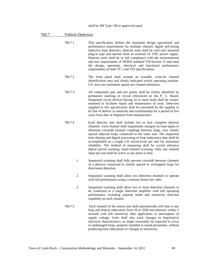## 760.7 Vehicle Detectors

- 760.7.1 This specification defines the minimum design operational and performance requirements for multiple channel, digital self-tuning inductive loop detectors, detector units shall be card rack mounted plug-in type and operate from an external 24 VDC power supply. Detector units shall be in full compliance with the environmental and size requirements of NEMA standard TSI-Section 15 and meet the design, operation, electrical and functional performance requirements of both TS 1 and TS2 specifications.
- 760.7.2 The front panel shall include an erasable, write-on channel identification area and clearly indicated switch operating position. I.D. area one centimeter square per channel minimum.
- 760.7.3 All component part and test points shall be clearly identified by permanent marking of circuit referenced on the P. C. Board. Integrated circuit devices having 16 or more leads shall be socketmounted to facilitate repair and maintenance of units. Detectors supplied to this specification shall be warranted by the supplier to be free of defects in materials and workmanship for a period of five years from date of shipment from manufacturer.
- 760.7.4 Each detector unit shall include two or four complete detector channels. Each channel shall sequentially energize its loop inputs to eliminate crosstalk (mutual coupling) between large, very closely spaced adjacent loops connected to the same unit. The sequential time sharing and digital processing of loop inductance data shall be accomplished on a single LSI microcircuit per unit for maximum reliability. The method of measuring shall be crystal reference digital period counting, multi-channel scanning. Only one channel input per unit shall be active at any point in time.
	- 1. Sequential scanning shall fully prevent crosstalk between channels of a detector connected to closely spaced or overlapped loops for directional detection.
	- 2. Sequential scanning shall allow two detection channels to operate with full performance using a common home-run cable.
	- 3. Sequential scanning shall allow two or more detection channels to be connected to a single detection amplifier with full operating performance, including separate mode and sensitivity selection capability on each channel.
- 760.7.5 Each channel of the sensor unit shall automatically self time to any loop and lead-in inductance from 20 to 2500 microhenries within 2 seconds with full sensitivity after application or interruption of supply voltage. Units shall also track changes in loop/lead-in electrical characteristics, as might reasonably be expected to occur in undamaged loops, properly installed in sound pavements, without producing false indications or changes in sensitivity.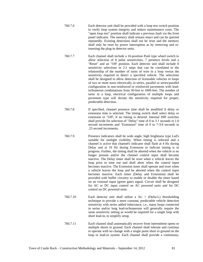- 760.7.6 Each detector unit shall be provided with a loop test switch position to verify loop system integrity and reduce maintenance costs. The "open loop test" position shall indicate a previous fault via the front panel indicator. The memory shall remain intact and can be queried repeatedly. Existing detections shall not be reset and the memory shall only be reset by power interruption as by removing and reinserting the plug-in detector units.
- 760.7.7 Each channel shall include a 16-position Push type wheel switch to allow selection of 8 pulse sensitivities, 7 presence levels and a "Reset" and an "Off' position. Each detector unit shall include 8 sensitivity selections in 2:1 steps that can be correlated to the relationship of the number of turns of wire in a loop versus the sensitivity required to detect a specified vehicle. The selections shall be designed to allow detection of licensable vehicles in loops of two or more turns electrically in series, parallel or series/parallel configuration in non-reinforced or reinforced pavements with leadin/homerun combinations from 50-feet to 1000-feet. The number of turns in a loop, electrical configuration of multiple loops and pavement type will dictate the sensitivity required for proper, predictable detection.
- 760.7.8 If specified, channel presence time shall be modified if delay or extension time is selected. The timing switch shall select delay or extension or "Off', if no timing is desired. Internal DIP switches shall provide for selection of "Delay" time of 0 to 3 1 seconds in 1.0 second increments and "Extension" time of 0 to 7-3/4 seconds in .25 second increments.
- 760.7.9 Presence indicators shall be wide angle, high brightness type Led's suitable for sunlight visibility. When timing is selected and a channel is active that channel's indicator shall flash at 4 Hz during Delay and at 16 Hz during Extension to indicate timing is in progress. Further, the timing shall be aborted when the vehicle is no longer present and/or the channel control input shall become inactive. The Delay timer shall be reset when a vehicle leaves the loop prior to time out and shall abort when the control input becomes inactive. The Extension timer shall operate and reset when a vehicle leaves the loop and be aborted when the control input becomes inactive. Each timer (Delay and Extension) shall be provided with buffer circuitry to enable or disable the timer based on an external input (green gate) signal. Circuit shall be designed for AC or DC input control on AC powered units and for DC control on DC powered units.
- 760.7.10 Each detector unit shall utilize a AL = (Delta-L) thresholding technique to provide a more constant, predictable vehicle detection sensitivity with series added inductance, i.e., many loops connected in series and/or long lead-in/homeruns will generally require the same sensitivity setting as would be required for a single loop with short lead-in, to simplify setup.
- 760.7.11 Each channel shall automatically recover from intermittent opens or multiple shorts to ground. Each channel shall tolerate and continue to operate with no change with a single point short to ground on the loop or lead-in system. Each channel shall provide a continuous,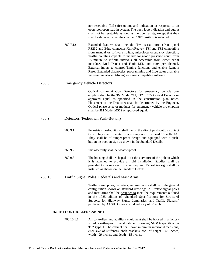non-resettable (fail-safe) output and indication in response to an open loop/open lead-in system. The open loop indication and output shall not be resettable as long as the open exists, except that they shall be defeated when the channel "Off" position is selected.

760.7.12 Extended features shall include: Two serial ports (front panel RS232 and Edge connector Xmit/Recve), TSI and TS2 compatible from manual or software switch, microloop occupancy detection, Traffic counting capable to include long-loop presence count from 15 minute to infinite intervals all accessible from either serial interface, Dual Detect and Fault LED indicators per channel, External inputs to control Timing functions and enable Remote Reset, Extended diagnostics, programming and Live status available via serial interface utilizing windows compatible software.

#### 760.8 Emergency Vehicle Detectors

Optical communication Detectors for emergency vehicle preemption shall be the 3M Model 711, 712 or 722 Optical Detector or approved equal as specified in the construction plan notes. Placement of the Detectors shall be determined by the Engineer. Optical phase selector modules for emergency vehicle pre-emption shall be 3M Model M562 or approved equal.

## 760.9 Detectors (Pedestrian Push-Button)

- 760.9.1 Pedestrian push-buttons shall be of the direct push-button contact type. They shall operate on a voltage not to exceed 18 volts AC. They shall be of tamper-proof design and equipped with a pushbutton instruction sign as shown in the Standard Details.
- 760.9.2 The assembly shall be weatherproof.
- 760.9.3 The housing shall be shaped to fit the curvature of the pole to which it is attached to provide a rigid installation. Saddles shall be provided to make a neat fit when required. Pedestrian signs shall be installed as shown on the Standard Details.

## 760.10 Traffic Signal Poles, Pedestals and Mast Arms

 Traffic signal poles, pedestals, and mast arms shall be of the general configuration shown on standard drawings. All traffic signal poles and mast arms shall be designed.to meet the requirements outlined in the 1985 edition of "Standard Specifications for Structural Supports for Highway Signs, Luminaries, and Traffic Signals," published by AASHTO, for a wind velocity of 90 mph.

#### **760.10.1 CONTROLLER CABINET**

760.10.1.1 All controllers and auxiliary equipment shall be housed in a factory wired, weatherproof, metal cabinet following **NEMA** specification **TS2 type 1**. The cabinet shall have minimum interior dimensions, exclusive of stiffeners, shelf brackets, etc., of height - 46 inches, width - 29 inches, and depth - 15 inches.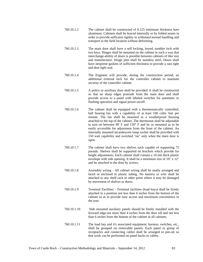- 760.10.1.2 The cabinet shall be constructed of 0.125 minimum thickness bare aluminum. Cabinets shall be braced internally or by folded seams in order to provide sufficient rigidity to withstand normal handling and transport to the field location without deforming.
- 760.10.1.3 The main door shall have a self locking, keyed, tumbler lock with two keys. Hinges shall be mounted on the cabinet in such a way that interchange-ability of doors is possible between cabinets of like size and manufacturer. Hinge pins shall be stainless steel. Doors shall have neoprene gaskets of sufficient thickness to provide a rain tight and dust tight seal.
- 760.10.1.4 The Engineer will provide, during the construction period, an additional external lock for the controller cabinet to maintain security of the controller cabinet.
- 760.10.1.5 A police or auxiliary door shall be provided. It shall be constructed so that no sharp edges protrude from the main door and shall provide access to a panel with labeled switches for automatic to flashing operation and signal power on/off.
- 760.10.1.6 The cabinet shall be equipped with a thermostatically controlled, ball bearing fan with a capability of at least 100 cubic feet per minute. The fan shall be mounted in a weatherproof housing attached to the top of the cabinet. The thermostat shall be adjustable to turn on between 90' F and 150° F and be so mounted as to be easily accessible for adjustment from the front of the cabinet. An internally mounted incandescent lamp socket shall be provided with 150 watt capability and switched "on" only when the main door is open.
- 760.10.1.7 The cabinet shall have two shelves each capable of supporting 75 pounds. Shelves shall be supported on brackets which provide for height adjustments. Each cabinet shall contain a 10 mil thick plastic envelope with side opening. It shall be a minimum size of 10" x 12" and be attached to the door by screws.
- 760.10.1.8 Assembly wiring All cabinet wiring shall be neatly arranged and laced or enclosed in plastic tubing. No harness or wire shall be attached to any shelf rack or other point where it may be damaged by movement of shelves or doors.
- 760.10.1.9 Terminal Facilities Terminal facilities (load bays) shall be firmly attached in a position not less than 6 inches from the bottom of the cabinet so as to provide easy access and maximum convenience to the user.
- 760.10.1.10 Side mounted auxiliary panels should be firmly installed with the forward edge not more than 4 inches from the door sill and not less than 6 inches from the bottom of the cabinet in all cabinets.
- 760.10.1.11 The load bay and it's associated equipment, harness, switches, etc., shall be grouped on removable panels. Each panel or group of receptacles and connecting cables shall be arranged to pen-nit so that work can be performed on panel backs or cables.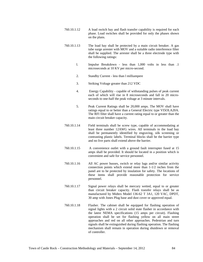- 760.10.1.12 A load switch bay and flash transfer capability is required for each phase. Load switches shall be provided for only the phases shown on the plans.
- 760.10.1.13 The load bay shall be protected by a main circuit breaker. A gas tube surge arrester with MOV and a suitable radio interference filter shall be supplied. The arrester shall be a three electrode type with the following ratings:
	- l. Impulse Breakdown less than 1,000 volts in less than .1 microseconds at 10 KV per micro-second.
	- 2. Standby Current less than l milliampere
	- 3. Striking Voltage greater than 212 VDC
	- 4. Energy Capability capable of withstanding pulses of peak current each of which will rise in 8 microseconds and fall in 20 microseconds to one-half the peak voltage at 3 minute intervals.
	- 5. Peak Current Ratings shall be 20,000 amps. The MOV shall have ratings equal to or better than a General Electric type VI5OLA20A. The RFI filter shall have a current rating equal to or greater than the main circuit breaker capacity.
- 760.10.1.14 Field terminals shall be screw type, capable of accommodating at least three number 12AWG wires. All terminals in the load bay shall be permanently identified by engraving, silk screening or contrasting plastic labels. Terminal blocks shall be the barrier type and no live parts shall extend above the barrier.
- 760.10.1.15 A convenience outlet with a ground fault interrupter fused at 15 amps shall be provided. It should be located in a position which is convenient and safe for service personnel.
- 760.10.1.16 All AC power busses, switch or relay lugs and/or similar activity connection points which extend more than 1-1/2 inches from the panel are to be protected by insulation for safety. The locations of these items shall provide reasonable protection for service personnel.
- 760.10.1.17 Signal power relays shall be mercury wetted, equal to or greater than circuit breaker capacity. Flash transfer relays shall be as manufactured by Midtex Model 136-62 T 3A1, 120 VAC, DPDT, 30 amp with Jones Plug base and dust cover or approved equal.
- 760.10.1.18 Flasher. The cabinet shall be equipped for flashing operation of signal lights with a 2 circuit solid state flasher in accordance with the latest NEMA specifications (15 amps per circuit). Flashing operation shall be set for flashing yellow on all main street approaches and red on all other approaches. Pedestrian and turn signals shall be extinguished during flashing operation. The flashing mechanism shall remain in operation during shutdown or removal of controller.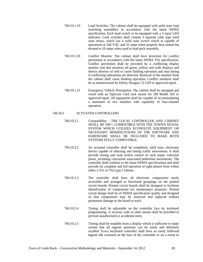- 760.10.1.19 Load Switches. The cabinet shall be equipped with solid state load switching assemblies in accordance with the latest NEMA specification. Each load switch to be equipped with a 3 input LED indicator. Load switches shall contain 3 separate cube type solid state relays, which use a solid state switch which is capable of operations at 240 VAC and 25 amps when properly heat sinked but derated to 10 amps when used in load pack assembly.
- 760.10.1.20 Conflict Monitor. The cabinet shall have provision for conflict prevention in accordance with the latest NEMA TS2 specification. Conflict prevention shall be provided by a conflicting display monitor unit that monitors all green, yellow and walk displays and detects absence of reds to cause flashing operation and stop timing if conflicting indications are detected. Removal of the monitor from the cabinet shall cause flashing operation. Conflict monitors shall be as manufactured by Eberly Designs, 12 LEP or approved equal.
- 760.10.1.21 Emergency Vehicle Preemption. The cabinet shall be equipped and wired with an Opticom Card rack mount for 3M Model 562 or approved equal. All equipment shall be capable of accommodating a minimum of two modules with capability of four-channel operation.

## 760.10.2 ACTUATED CONTROLLERS

- 760.10.2.1 Compatibility THE LOCAL CONTROLLER AND CABINET SHALL BE 100°/, COMPATIBLE WITH THE TOWN'S SIGNAL SYSTEM WHICH UTILIZES ECONOLITE EQUIPMENT OR NECESSARY MODIFICATIONS OF THE SOFTWARE AND HARDWARE SHALL BE INCLUDED TO MAKE BOTH SYSTEMS FULLY COMPATIBLE.
- 760.10.2.2 An actuated controller shall be completely solid state, electronic device capable of selecting and timing traffic movements. It shall provide timing and load switch control of each major vehicular phase, including concurrent associated pedestrian movements. The controller shall conform to the latest NEMA specifications and shall provide for complete and full operation of eight phases from within either a TS1 or TS2 type I cabinet.
- 760.10.2.3 The controller shall have all electronic components easily accessible and arranged in functional groupings on the printed circuit boards. Printed circuit boards shall be designed to facilitate identification of components for maintenance purposes. Printed circuit design shall be of NEMA specification quality and designed so that components may be removed and replaced without permanent damage to the board or track.
- 760.10.2.4 Timing shall be adjustable on the controller face by keyboard programming. A security code or other means shall be provided to prevent unauthorized or accidental entry.
- 760.10.2.5 Timing shall be readable from a display which is sufficient to make certain that all register positions can be easily and definitely recalled. Every keyboard controller shall have an easily followed legend silk screened on the face of the controller or on a metal or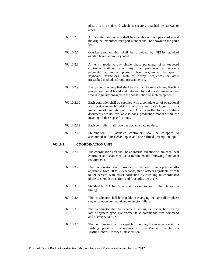plastic card or placard which is securely attached by screws or rivets.

- 760.10.2.6 All circuitry components shall be available on the open market and the original manufacturer's part number shall be shown on the part's list.
- 760.10.2.7 Overlap programming shall be provided by NEMA standard overlap board and/or keyboard.
- 760.10.2.8 An entry mode to any single phase parameter of a keyboard controller shall not affect any other parameter or the same parameter on another phase, unless programmed by specific keyboard instructions, such as, "copy" sequences or other prescribed methods of rapid program entry.
- 760.10.2.9 Every controller supplied shall be the manufacturer's latest, first line production model tested and delivered by a domestic manufacturer who is regularly engaged in the construction of such equipment.
- 760.10.2.10 Each controller shall be supplied with a complete set of operational and service manuals, wiring schematics and part's layout up to a maximum of ten sets per order. Any controller for which these documents are not available is not a production model within the meaning of these specifications.
- 760.10.2.11 Each controller shall have a removable data module.
- 760.10.2.12 Pre-emption. All actuated controllers shall be equipped to accommodate four E.V.P. inputs and one railroad preemption input.

#### **760.10.3 COORDINATION UNIT**

- 760.10.3.1 The coordination unit shall be an internal function within each local controller and shall meet, as a minimum, the following functional requirements.
- 760.10.3.2 The coordinator shall provide for at least four cycle lengths adjustable from 30 to 255 seconds, three offsets adjustable from 0 to 99 percent with offset correction by dwelling in coordinated phase or smooth transition, and four splits per cycle.
- 760.10.3.3 Standard NEMA functions shall be used to control the intersection timing.
- 760.10.3.4 The coordinator shall be capable of changing the controller's phase sequence upon command and telemetry failure.
- 760.10.3.5 The coordinator shall be capable of setting the intersection free by loss of system sync, cycle/offset false commands, free command and telemetry failure.
- 760.10.3.6 The coordinator shall be capable of setting the intersection into a flashing operation in accordance with the Manual : on Uniform Traffic Control De-vices, latest edition.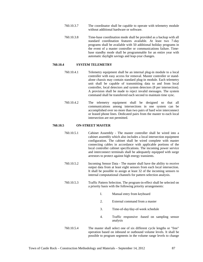- 760.10.3.7 The coordinator shall be capable to operate with telemetry module without additional hardware or software.
- 760.10.3.8 Time-base coordination mode shall be provided as a backup with all standard coordination features available. At least two 7-day programs shall be available with 50 additional holiday programs in the event of a master controller or communications failure. Timebase standby mode shall be programmable for an entire year with automatic daylight savings and leap-year changes.

#### **760.10.4 SYSTEM TELEMETRY**

- 760.10.4.1 Telemetry equipment shall be an internal plug-in module to a local controller with easy access for removal. Master controller or standalone chassis may contain standard plug-in module. Each telemetry unit shall be capable of transmitting data to and from local controller, local detectors and system detectors (8 per intersection). A provision shall be made to reject invalid messages. The system command shall be transferred each second to maintain time sync.
- 760.10.4.2 The telemetry equipment shall be designed so that all communications among intersections in one system can be accomplished over no more than two pairs of hard wire interconnect or leased phone lines. Dedicated pairs from the master to each local intersection are not permitted.

## **760.10.5 ON-STREET MASTER**

- 760.10.5.1 Cabinet Assembly The master controller shall be wired into a cabinet assembly which also includes a local intersection equipment configuration. The cabinet shall be wired complete with master connecting cables in accordance with applicable portions of the local controller cabinet specifications. The incoming power service and interconnect terminals shall be adequately equipped with surge arrestors to protect against high energy transients.
- 760.10.5.2 Incoming Sensor Data The master shall have the ability to receive output data from at least eight sensors from each local intersection. It shall be possible to assign at least 32 of the incoming sensors to internal computational channels for pattern selection analysis.
- 760.10.5.3 Traffic Pattern Selection. The program-in-effect shall be selected on a priority basis with the following priority arrangements:
	- I. Manual entry from keyboard
	- 2. External command from a master
	- 3. Time-of-day/day-of-week schedule
	- 4. Traffic responsive -based on sampling sensor analysis
- 760.10.5.4 The master shall select one of six different cycle lengths or "free" operation based on inbound or outbound volume levels. It shall be possible to program segments in the volume range levels to change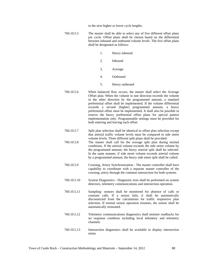to the next higher or lower cycle lengths.

- 760.10.5.5 The master shall be able to select any of five different offset plans per cycle. Offset plans shall be chosen based on the differential between inbound and outbound volume levels. The five offset plans shall be designated as follows:
	- 1. Heavy inbound
	- 2. Inbound
	- 3. Average
	- 4. Outbound
	- 5. Heavy outbound
- 760.10.5.6 When balanced flow occurs, the master shall select the Average Offset plan. When the volume in one direction exceeds the volume in the other direction by the programmed amount, a standard preferential offset shall be implemented. If the volume differential exceeds a second (higher) programmed amount, a heavy preferential offset must be implemented. It shall also be possible to reserve the heavy preferential offset plans for special pattern implementation only. Programmable settings must be provided for both entering and leaving each offset.
- 760.10.5.7 Split plan selection shall be identical to offset plan selection except that arterial traffic volume levels must be compared to side street volume levels. Three different split plans shall be provided:
- 760.10.5.8 The master shall call for the average split plan during normal conditions. If the arterial volume exceeds the side street volume by the programmed amount, the heavy arterial split shall be selected. In the same manner, if side street volume exceeds arterial volume by a programmed amount, the heavy side street split shall be called.
- 760.10.5.9 Crossing, Artery Synchronization The master controller shall have capability to coordinate with a separate master controller of the crossing, artery through the common intersection for both systems.
- 760.10.5.10 System Diagnostics Diagnostic tests shall be performed on system detectors, telemetry communications and intersection operation.
- 760.10.5.11 Sampling- sensors shall be monitored for absence of calls or constant calls. If a sensor fails, it shall be automatically disconnected from the calculations for traffic responsive plan selection. If normal sensor operation resumes, the sensor shall be automatically reinstated.
- 760.10.5.12 Telemetry communications diagnostics shall monitor readbacks for no response condition including local telemetry and telemetry channels.
- 760.10.5.13 Intersection diagnostics shall be available to display intersection status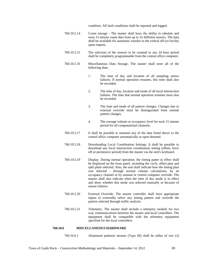condition. All fault conditions shall be reported and logged.

- 760.10.5.14 Count storage The master shall have the ability to tabulate and store 15 minute count data from up to 32 different sensors. The data shall be available for automatic transfer to the central off-ice facility upon request.
- 760.10.5.15 The selection of the sensors to be counted in any 24 hour period shall be completely programmable from the central office computer.
- 760.10.5.16 Miscellaneous Data Storage. The master shall store all of the following data:
	- 1 . The time of day and location of all sampling sensor failures. If normal operation resumes, this time shall also be recorded.
	- 2. The time of day, location and mode of all local intersection failures. The time that normal operation resumes must also be recorded.
	- 3. The time and mode of all pattern changes. Changes due to external override must be distinguished from normal pattern changes.
	- 4. The average volume or occupancy level for each 15 minute period for all computational channels.
- 760.10.5.17 It shall be possible to transmit any of the data listed above to the central office computer automatically or upon demand.
- 760.10.5.18 Downloading Local Coordination Settings. It shall be possible to download any local intersection coordination setting (offset, force off or permissive period) from the master via the unit's keyboard.
- 760.10.5.19 Display. During normal operation, the timing patter in effect shall be displayed on the front panel, including the cycle, offset plan and split plans selected. Also, the unit shall indicate how the timing plan was selected - through normal volume calculations, by an occupancy channel or by manual or central computer override. The master shall also indicate when the time of day mode is in effect and show whether this mode was selected manually or because of sensor failures.
- 760.10.5.20 External Override. The master controller shall have appropriate inputs to externally select any timing pattern and override the pattern selected through traffic analysis.
- 760.10.5.21 Telemetry. The master shall include a telemetry module for two way communications between the master and local controllers. The equipment shall be compatible with the telemetry equipment specified for the local controllers.

#### **760.10.6 MISCELLANEOUS HARDWARE**

760.10.6.1 Aluminum pedestal mounts (Type III) shall be either of two (2)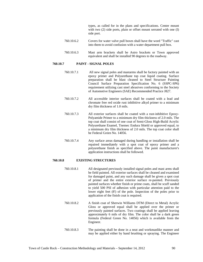types, as called for in the plans and specifications. Center mount with two (2) side ports, plain or offset mount serrated with one (I) side port.

- 760.10.6.2 Covers for water valve pull boxes shall have the word "Traffic" cast into them to avoid confusion with a water department pull box.
- 760.10.6.3 Mast arm brackets shall be Astro brackets or Town approved equivalent and shall be installed 90 degrees to the roadway.

#### **760.10.7 PAINT - SIGNAL POLES**

- 760.10.7.1 All new signal poles and mastarms shall be factory painted with an epoxy primer and Polyurethane top coat liquid coating. Surface preparation shall be blast cleaned to Steel Structure Painting Council Surface Preparation Specification No. 6 (SSPC-SP6) requirement utilizing cast steel abrasives conforming to the Society of Automotive Engineers (SAE) Recommended Practice J827.
- 760.10.7.2 All accessible interior surfaces shall be coated with a lead and chromate free red oxide rust inhibitive alkyd primer to a minimum dry film thickness of 1.0 mils.
- 760.10.7.3 All exterior surfaces shall be coated with a rust-inhibitive Epoxy-Polyamide Primer to a minimum dry film thickness of 2.0 mils. The top coat shall consist of one coat of Semi-Gloss High-Build Acrylic Polyurethane Enamel, Tnemec Endura Shield or approved equal, to a minimum dry film thickness of 2.0 mils. The top coat color shall be Federal Green No. 14056.
- 760.10.7.4 Any surface areas damaged during handling or installation shall be repaired immediately with a spot coat of epoxy primer and a polyurethane finish as specified above. The paint manufacturer's application instructions shall be followed.

#### **760.10.8 EXISTING STRUCTURES**

- 760.10.8.1 All designated previously installed signal poles and mast arms shall be field painted. All exterior surfaces shall be cleaned and examined for damaged paint, and any such damage shall be given a spot coat of primer and the entire exterior surface re-painted. Previously painted surfaces whether finish or prime coats, shall be scuff sanded to yield 500 PSI of adhesion with particular attention paid to the lower eight feet (8') of the pole. Inspection of the poles prior to application of the finish coat is required.
- 760.10.8.2 A finish coat of Sherwin Williams DTM (Direct to Metal) Acrylic Gloss or approved equal shall be applied over the primer or previously painted surfaces. Two coatings shall be applied leaving approximately 6 mils of dry film. The color shall be a dark green formula (Federal Green No. 14056) which is available from the Engineer.
- 760.10.8.3 The painting shall be done in a neat and workmanlike manner and may be applied either by hand brushing or spraying. The Engineer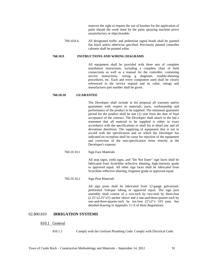reserves the right to require the use of brushes for the application of paint should the work done by the paint spraying machine prove unsatisfactory or objectionable.

760.10.8.4 All designated traffic and pedestrian signal heads shall be painted flat black unless otherwise specified. Previously painted controller cabinets shall be painted white.

#### **760.10.9 INSTRUCTIONS AND WIRING DIAGRAMS**

All equipment shall be provided with three sets of complete installation instructions, including a complete chart of field connections as well as a manual for the controller, containing service instructions, wiring g diagrams, trouble-shooting procedures, etc. Each and every component used shall be clearly referenced in the service manual and its value, ratings and manufacturer part number shall be given.

## **760.10.10 GUARANTEE**

The Developer shall include in his proposal all warrants and/or guarantees with respect to materials, parts, workmanship and performance of the product to be supplied. The minimum guarantee period for the product shall be one (1) year from the date of final acceptance of the contract. The Developer shall attach to the bid a statement that all material to be supplied is either in exact accordance with the specifications or shall list in detail any and all deviations therefrom. The supplying of equipment that is not in accord with the specification and on which the Developer has indicated no exception shall be cause for rejection of the equipment and correction of the non-specification items entirely at the Developer's expense.

760.10.10.1 Sign Face Materials

All stop signs, yield signs, and "Do Not Enter" sign faces shall be fabricated from Scotchlite reflective sheeting, high-intensity grade or approved equal. All other sign faces shall be fabricated from Scotchlite reflective sheeting, Engineer grade or approved equal.

760.10.10.2 Sign Post Materials

All sign posts shall be fabricated from 12-gauge galvanized, perforated Telespar tubing or approved equal. The sign post assembly shall consist of a two-inch by two-inch by three-foot (2.25"x2.25"x3') anchor sleeve and a one-and-three-quarter-inch by one-and-three-quarter-inch by ten-foot (2"x2"x 10') post. See detailed drawing in Appendix 11-A of these Regulations.

## 02.800.810 **IRRIGATION SYSTEMS**

#### 810.1 General

810.1.1 Comply with the Uniform Plumbing Code: Comply with Electrical Code.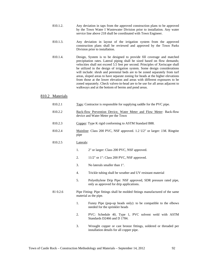- 810.1.2. Any deviation in taps from the approved construction plans to be approved by the Town Water I Wastewater Division prior to installation. Any water service line above 218 shall be coordinated with Town Engineer.
- 810.1.3. Any deviation in layout of the irrigation system from the approved construction plans shall be reviewed and approved by the Town Parks Division prior to installation.
- 810.1.4. Design, System is to be designed to provide fill coverage and matched precipitation rates. Lateral piping shall be sized based on flow demands; velocities shall not exceed 5.5 feet per second. Principles of Xeriscape shall be utilized in the design of irrigation system. Some design considerations will include: shrub and perennial beds are to be zoned separately from turf areas, sloped areas to have separate zoning for heads at the higher elevations from those at the lower elevation and areas with different exposures to be zoned separately. Check valves-in-head are to be use for all areas adjacent to walkways and at the bottom of berms and pond areas.

## 810.2 Materials

- 810.2.1 Taps: Contractor is responsible for supplying saddle for the PVC pipe.
- 810.2.2 Back-flow Prevention Device, Water Meter and Flow Meter: Back-flow device and Water Meter per the Town
- 810.2.3 Copper: Type K rigid conforming to ASTM Standard B88.
- 810.2.4 Mainline: Class 200 PVC, NSF approved. 1.2 U2" or larger: J.M. Ringtite pipe

#### 810.2.5 Laterals:

- 1. 2" or larger: Class 200 PVC, NSF approved.
- 2. 11/2" or 1": Class 200 PVC, NSF approved.
- 3. No laterals smaller than 1".
- 4. Trickle tubing shall be weather and UV resistant material
- 5. Polyethylene Drip Pipe: NSF approved, SDR pressure rated pipe, only as approved for drip applications.
- 81 0.2.6 Pipe Fitting: Pipe fittings shall be molded fittings manufactured of the same material as the pipe.
	- 1. Funny Pipe (pop-up heads only): to be compatible to the elbows needed for the sprinkler heads
	- 2. PVC: Schedule 40, Type 1, PVC solvent weld with ASTM Standards D2466 and D 1784.
	- 3. Wrought copper or cast bronze fittings, soldered or threaded per installation details for all copper pipe.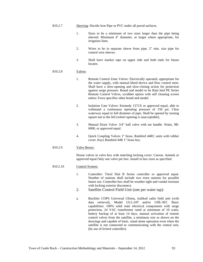- 1. Sizes to be a minimum of two sizes larger than the pipe being sleeved. Minimum 4" diameter, or larger where appropriate, for irrigation lines.
- 2. Wires to be in separate sleeve from pipe, 2" min. size pipe for control wire sleeves.
- 3. Shall have marker tape on upper side and both ends for future locates.

## 810.2.8 Valves:

- 1. Remote Control Zone Valves: Electrically operated, appropriate for the water supply, with manual bleed device and flow control stem. Shall have a slow-opening and slow-closing action for protection against surge pressure. Brand and model to be Rain bird PE Series Remote Control Valves, scrubber option with self cleaning screen unless Town specifies other brand and model.
- 2. Isolation Gate Valves: Kennedy 1571X or approved equal, able to withstand a continuous operating pressure of 150 psi. Clear waterway equal to full diameter of pipe. Shall be opened by turning square nut to the left (wheel opening is unacceptable).
- 3. Manual Drain Valve: 3/4" ball valve with tee handle. Watts, 9B-6000, or approved equal.
- 4. Quick Coupling Valves: I" brass, Rainbird 44RC units with rubber cover. Keys Rainbird 44R 1" brass key.

#### 810.2.9 Valve Boxes:

House valves in valve box with matching locking cover: Carson, Ametek or approved equal Only one valve per box. Install in box sizes as specified.

#### 810.2.10 Control System:

- 1. Controller: Titrol Dial B Series controller or approved equal. Number of stations shall include two extra stations for possible future use. Controller box shall be weather tight and vandal resistant with locking exterior disconnect.
- 2. Satellite Control Field Unit (one per water tap):
- a. Bucklier COPS Universal Ultima, truliked radio field unit (with data retrieval), Model UL£-24T and/or UllE-36T. Basic capabilities: 100% solid state electrical components with surge protection, 24 VAC transformer rated at minimum of 10 watts, battery backup of at least 14 days, manual activation of remote control valves from the satellite, a minimum size as shown on the drawings and capable of basic, stand alone operation even when the satellite is not connected to communicating with the central unit, (by use of Irritrol controller).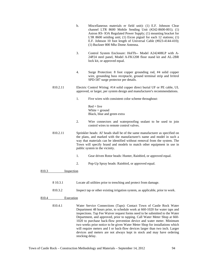- b. Miscellaneous materials er field unit): (1) E.F. Johnson Clear channel LTR 8600 Mobile Sending Unit (#242-8600-001); (1) Astron RS- lOA Regulated Power Supply; (1) mounting bracket for L'IR 8600 seiiding unit; (1) Eicon pigtail for each 12 stations; (1) E.F. Johnson 10 foot length of Universal Cable (#023-4144-410); (1) Buckner 800 Mhz Dome Antenna.
- 3. Control System Enclosure: HoITh-- Model A242408LP with A-24P24 steel panel, Model A-FK1208 floor stand kit and AL-2BR lock kit, or approved equal.
- 4. Surge Protection: 8 foot copper grounding rod, #4 solid copper wire, grounding buss receptacle, ground terminal strip and Irritrol SPD-587 surge protector per details.
- 810.2.11 Electric Control Wiring: #14 solid copper direct burial UF or PE cable, UL approved, or larger, per system design and manufacturer's recommendations.
	- 1. Five wires with consistent color scheme throughout:

 $Red = live$ White  $=$  ground Black, blue and green extra

- 2. Wire connectors and waterproofing sealant to be used to join control wires to remote control valves.
- 810.2.11 Sprinkler heads: Al' heads shall be of the same manufacturer as specified on the plans, and marked with the manufacturer's name and model in such a way that materials can be identified without removal from the system. The Town will specify brand and models to match other equipment in use in public system in the vicinity.
	- 1. Gear driven Rotor heads: Hunter, Rainbird, or approved equal.
	- 2. Pop-Up Spray heads: Rainbird, or approved equal.

810.3 Inspection

- 8 10.3.1 Locate all utilities prior to trenching and protect from damage.
- 810.3.2 Inspect tap or other existing irrigation system, as applicable, prior to work.

## 810.4 Execution

810.4.1 Water Service Connections (Taps): Contact Town of Castle Rock Water Department 48 hours prior, to schedule work at 660-1020 for water taps and inspections. Tap Fee Waiver request forms need to be submitted to the Water Department, and approved, prior to tapping. Call Water Meter Shop at 660- 1020 to purchase back-flow prevention device and water meter. Minimum two weeks prior notice to be given Water Meter Shop for installations which will require meters and I or back-flow devices larger than two inch. Larger devices and meters are not always kept in stock and may have ordering stocking delay.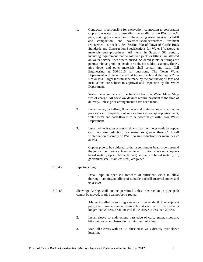| 1. | Contractor is responsible for excavation, connection to corporation    |
|----|------------------------------------------------------------------------|
|    | stop at the water main, providing the saddle for the PVC or A.C.       |
|    | pipe, making the connection to the existing water service, back-fill   |
|    | compaction, and pavement/shoulder/surface treatment<br>and             |
|    | replacement as needed. See Section 500 of Town of Castle Rock          |
|    | Standards and Construction Specifications for Water I Wastewater       |
|    | materials and procedures. All items in Section 500 pertain,            |
|    | including requirement that no soldered joints or fittings are allowed  |
|    | on water service lines where buried. Soldered joints or fittings are   |
|    | penmse above grade or inside a vault. No solder, sealants, fluxes,     |
|    | pipe dope, and other materials shall contain any lead. Call            |
|    | Engineering at 660-1015 for questions. The Town Water                  |
|    | Department will make the actual tap on the line if the tap is 2" in    |
|    | size or less. Larger taps must be made by the contractor; all taps and |
|    | installations are subject to approval and inspection by the Water      |
|    | Department.                                                            |

Water meter jumpers will be finished from the Water Meter Shop free of charge. All backflow devices require payment at the time of delivery, unless prior arrangements have been made.

- 2. Install meter, back-flow, flow meter and drain valves as specified in pre-cast vault. Inspection of service line (where appropriate), vault, water meter and back-flow is to be coordinated with Town Water Department.
- 3. Install winterization assembly downstream of meter vault on copper (with no size reduction) for mainlines greater than 2". Install winterization assembly on PVC (no size reduction) for mainlines 2" or less.

Copper pipe to be soldered so that a continuous bead shows around the joint circumference. Insert a dielectric union wherever a copperbased metal (copper, brass, bronze) and an ironbased metal (iron, galvanized steel, stainless steel) are joined.

## 810.4.2 Pipe trenching:

- 1. Install pipe in open cut trenches of sufficient width to allow thorough tamping/puddling of suitable backfill material under and over pipe.
- 810.4.3 Sleeving: Boring shall not be permitted unless obstruction in pipe path cannot be moved, or pipe cannot be re-routed.
	- l. .Maine installed in existing sleeves at greater depth than adjacent pipe, shall have a manual drain valve at each end if the sleeve is longer than 20 feet, or at one end if the sleeve is less than 20 feet.
	- 2. Install sleeve so ends extend past edge of curb, gutter, sidewalk, bike path or other obstruction, a minimum of 2 feet.
	- 3. Mark all sleeves with an "x" chiseled in walk directly over sleeve location.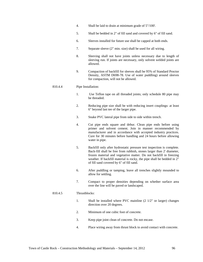- 4. Shall be laid to drain at minimum grade of 5"/100'.
- 5. Shall be bedded in 2" of fill sand and covered by 6" of fill sand.
- 6. Sleeves installed for future use shall be capped at both ends.
- 7. Separate sleeve (2" min. size) shall be used for all wiring.
- 8. Sleeving shall not have joints unless necessary due to length of sleeving run. If joints are necessary, only solvent welded joints are allowed.
- 9. Compaction of backfill for sleeves shall be 95% of Standard Proctor Density, ASTM D698-78. Use of water puddling) around sleeves for compaction, will not be allowed.

#### 810.4.4 Pipe Installation:

- 1. Use Teflon tape on all threaded joints; only schedule 80 pipe may be threaded.
- 2. Reducing pipe size shall be with reducing insert couplings: at least 6" beyond last tee of the larger pipe.
- 3. Snake PVC lateral pipe from side to side within trench.
- 4. Cut pipe ends square and debur. Clean pipe ends before using primer and solvent cement. Join in manner recommended by manufacturer and in accordance with accepted industry practices. Cure for 30 minutes before handling and 24 hours before allowing water in pipe.
- 5. Backfill only after hydrostatic pressure test inspection is complete. Back-fill shall be free from rubbish, stones larger than 2' diameter, frozen material and vegetative matter. Do not backfill in freezing weather. If backfill material is rocky, the pipe shall be bedded in  $2^{\degree}$ of fill sand covered by 6" of fill sand.
- 6. After puddling or tamping, leave all trenches slightly mounded to allow for settling.
- 7. Compact to proper densities depending on whether surface area over the line will be paved or landscaped.

## 810.4.5 Thrustblocks:

- 1. Shall be installed where PVC mainline (2 1/2" or larger) changes direction over 20 degrees.
- 2. Minimum of one cubic foot of concrete.
- 3. Keep pipe joint clean of concrete. Do not encase.
- 4. Place wiring away from thrust block to avoid contact with concrete.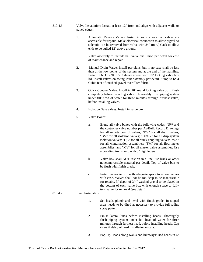- 810.4.6 Valve Installation: Install at least 12" from and align with adjacent walls or paved edges:
	- 1. Automatic Remote Valves: Install in such a way that valves are accessible for repairs. Make electrical connection to allow pigtail so solenoid can be removed from valve with 24" (min.) slack to allow ends to be pulled 12" above ground.

Valve assembly to include ball valve and union per detail for ease of maintenance and repair.

- 2. Manual Drain Valve: Install per plans, but in no case shall be less than at the low points of the system and at the end of the mainline. Install in 6" CL-200 PVC sleeve access with 10" locking valve box lid. Install valves on swing joint assembly per detail. Sump to be 4 Cubic feet of crushed gravel over filter fabric.
- 3. Quick Coupler Valve: Install in 10" round locking valve box. Flush completely before installing valve. Thoroughly flush piping system under fill' head of water for three minutes through furthest valve, before installing valves.
- 4. Isolation Gate valves: Install in valve box
- 5. Valve Boxes:
	- a. Brand all valve boxes with the following codes: "SW and the controller valve number per As-Built Record Drawings for all remote control valves; "DV" for all drain valves; "GV" for all isolation valves; "DRGV" for all drip system isolation valves; "QC" for all quick coupling valves; "WA" for all winterization assemblies; "FM" for all flow meter assemblies; and "MV" for all master valve assemblies. Use a branding iron stamp with 3" high letters.
	- b. Valve box shall NOT rest on in a line; use brick or other noncompressible material per detail. Top of valve box to be flush with finish grade.
	- c. Install valves in box with adequate space to access valves with ease. Valves shall not be too deep to be inaccessible for repairs. 3" depth of 3/4" washed gravel to be placed in the bottom of each valve box with enough space to fully turn valve for removal (see detail).

## 810.4.7 Head Installation:

- 1. Set heads plumb and level with finish grade. In sloped area, heads to be tilted as necessary to provide full radius spray pattern.
- 2. Finish lateral lines before installing heads. Thoroughly flush piping system under full head of water for three minutes through furthest head, before installing heads. Cap risers if delay of head installation occurs.
- 3. Pop-Up Heads along walks and bikeways: Bed heads in 6"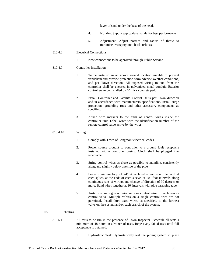layer of sand under the base of the head.

- 4. Nozzles: Supply appropriate nozzle for best performance.
- 5. Adjustment: Adjust nozzles and radius of throw to minimize overspray onto hard surfaces.

#### 810.4.8 Electrical Connections:

1. New connections to be approved through Public Service.

#### 810.4.9 Controller Installation:

- 1. To be installed in an above ground location suitable to prevent vandalism and provide protection form adverse weather conditions, and per Town direction. All exposed wiring to and from the controller shall be encased in galvanized metal conduit. Exterior controllers to be installed on 6" thick concrete pad.
- 2. Install Controller and Satellite Control Units per Town direction and in accordance with manufacturers specifications. Install surge protection, grounding rods and other accessory components as specified.
- 3. Attach wire markers to the ends of control wires inside the controller unit. Label wires with the identification number of the remote control valve active by the wires.

#### 810.4.10 Wiring:

- 1. Comply with Town of Longmont electrical codes
- 2. Power source brought to controller to a ground fault receptacle installed within controller casing. Clock shall be plugged into receptacle.
- 3. String control wires as close as possible to mainline, consistently along and slightly below one side of the pipe.
- 4. Leave minimum loop of 24" at each valve and controller and at each splice, at the ends of each sleeve, at 100 foot intervals along continuous runs of wiring, and change of direction of 90 degrees or more. Band wires together at 10' intervals with pipe wrapping tape.
- 5. Install common ground wire and one control wire for each remote control valve. Multiple valves on a single control wire are not permitted. Install three extra wires, as specified, to the furthest valve on the system and/or each branch of the system.

#### 810.5 Testing

- 810.5.1 All tests to be run in the presence of Town Inspector. Schedule all tests a minimum of 48 hours in advance of tests. Repeat any failed tests until full acceptance is obtained.
	- 1. Hydrostatic Test: Hydrostatically test the piping system in place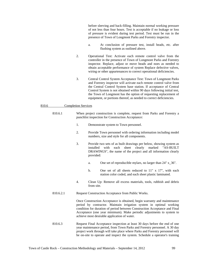before sleeving and back-filling. Maintain normal working pressure of not less than four hours. Test is acceptable if no leakage or loss of pressure is evident during test period. Test must be run in the presence of Town of Longmont Parks and Forestry inspector.

- a. At conclusion of pressure test, install heads, etc. after flushing system as outlined above.
- 2. Operational Test: Activate each remote control valve from the controller in the presence of Town of Longmont Parks and Forestry inspector. Replace, adjust or move heads and noes as needed to obtain acceptable performance of system Replace defective valves, wiring or other appurtenances to correct operational deficiencies.
- 3. Central Control System Acceptance Test: Town of Longmont Parks and Forestry inspector will activate each remote control valve from the Central Control System base station. If acceptance of Central Control System is not obtained within 90 days following initial test, the Town of Longmont has the option of requesting replacement of equipment, or portions thereof, as needed to correct deficiencies.

#### 810.6 Completion Services

- 810.6.1 When project construction is complete, request from Parks and Forestry a punchlist inspection for Construction Acceptance:
	- 1. Demonstrate system to Town personnel.
	- 2. Provide Town personnel with ordering information including model numbers, size and style for all components.
	- 3. Provide two sets of as built drawings per below, showing system as installed with each sheet clearly marked "AS-BUILT DRAWINGS", the name of the project and all information clearly provided:
		- a. One set of reproducible mylars, no larger than 24" x\_36".
		- b. One set of all sheets reduced to 11" x 17", with each station color coded, and each sheet plastic laminated.
	- 4. Clean Up: Remove all excess materials, tools, rubbish and debris from site.
	- 810.6.2.1 Request Construction Acceptance from Public Works.

Once Construction Acceptance is obtained, begin warranty and maintenance period by contractor. Maintain irrigation system in optimal working condition for duration of period between Construction Acceptance and Final Acceptance (one year minimum). Make periodic adjustments to system to achieve most desirable application of water.

810.6.3 Request Final Acceptance inspection at least 30 days before the end of one year maintenance period, from Town Parks and Forestry personnel. A 30 day project work through will take place where Parks and Forestry personnel will be on-site to operate and inspect the system. Schedule a operator's training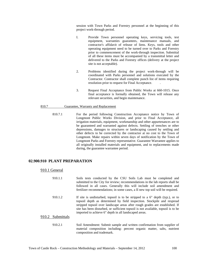session with Town Parks and Forestry personnel at the beginning of this project work-through period.

- I. Provide Town personnel operating keys, servicing tools, test equipment, warranties guarantees, maintenance manuals, and contractor's affidavit of release of liens. Keys, tools and other operating equipment need to be turned over to Parks and Forestry prior to commencement of the work-through inspection. Submittal of all these items must be accompanied by a transmittal letter and delivered to the Parks and Forestry offices (delivery at the project site is not acceptable).
- 2. Problems identified during the project work-through will be coordinated with Parks personnel and solutions executed by the Contractor. Contractor shall complete punch list of items requiring resolution prior to request for Final Acceptance. .
- 3. Request Final Acceptance from Public Works at 660-1015. Once final acceptance is formally obtained, the Town will release any relevant securities, and begin maintenance.

#### 810.7 Guarantee, Warranty and Replacement

810.7.1 For the period following Construction Acceptance notice by Town of Longmont Public Works Division, and prior to Final Acceptance, all irrigation materials, equipment, workmanship and other appurtenances are to be guaranteed and warranted against defects. Settling of trenches or other depressions, damages to structures or landscaping caused by settling and other defects to be corrected by the contractor at no cost to the Town of Longmont. Make repairs within seven days of notification by the Town of Longmont Parks and Forestry representative. Guarantee Warrantee applies to all originally installed materials and equipment, and to replacements made during, the guarantee warrantee period.

## **02.900.910 PLANT PREPARATION**

## 910.1 General

| 910.1.1          | Soils tests conducted by the CSU Soils Lab must be completed and<br>submitted to the City for review; recommendations in the lab reports shall be<br>followed in all cases. Generally this will include soil amendment and<br>fertilizer recommendations; in some cases, a II new top soil will be required.                                                                              |
|------------------|-------------------------------------------------------------------------------------------------------------------------------------------------------------------------------------------------------------------------------------------------------------------------------------------------------------------------------------------------------------------------------------------|
| 910.1.2          | If site is undisturbed, topsoil is to be stripped to a $6''$ depth (typ.), or to<br>topsoil depth as determined by field inspection. Stockpile and respread<br>stripped topsoil over landscape areas after rough grades are established. If<br>site has been disturbed, or sufficient topsoil is not available, topsoil is to be<br>imported to achieve 6" depth in all landscaped areas. |
| 910.2 Submittals |                                                                                                                                                                                                                                                                                                                                                                                           |
| 910.2.1          | Soil Amendment: Submit sample and written confirmation from supplier of<br>material composition including: percent organic matter, salts, nutrient                                                                                                                                                                                                                                        |

composition and trademark.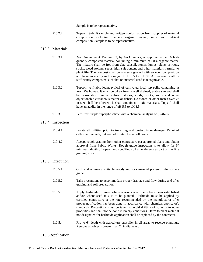Sample is to be representative.

910.2.2 Topsoil: Submit sample and written conformation from supplier of material composition including: percent organic matter, salts, and nutrient composition. Sample is to be representative.

# 910.3 Materials

|       | 910.3.1    | Soil Amendment: Premium 3, by A-i Organics, or approved equal. A high<br>quantity composted material containing a minimum of 50% organic matter.<br>The mixture shall be free from clay subsoil, stones, lumps, plants or roots,<br>sticks, weed stolons, seeds, high salt content and other materials harmful to<br>plant life. The compost shall be coarsely ground with an even composition<br>and have an acidity in the range of pH 5.5 to pH 7.0. All material shall be<br>sufficiently composted such that no material used is recognizable.     |
|-------|------------|---------------------------------------------------------------------------------------------------------------------------------------------------------------------------------------------------------------------------------------------------------------------------------------------------------------------------------------------------------------------------------------------------------------------------------------------------------------------------------------------------------------------------------------------------------|
|       | 910.3.2    | Topsoil: A friable loam, typical of cultivated local top soils, containing at<br>least 2% humus. It must be taken from a well drained, arable site and shall<br>be reasonably free of subsoil, stones, clods, sticks, roots and other<br>objectionable extraneous matter or debris. No stones or other mates over 2"<br>in size shall be allowed. It shall contain no toxic materials. Topsoil shall<br>have an acidity in the range of pH 5.5 to pH 8.5.                                                                                               |
|       | 910.3.3    | Fertilizer: Triple superphosphate with a chemical analysis of (0-46-0).                                                                                                                                                                                                                                                                                                                                                                                                                                                                                 |
| 910.4 | Inspection |                                                                                                                                                                                                                                                                                                                                                                                                                                                                                                                                                         |
|       | 910.4.1    | Locate all utilities prior to trenching and protect from damage. Required<br>calls shall include, but are not limited to the following                                                                                                                                                                                                                                                                                                                                                                                                                  |
|       | 910.4.2    | Accept rough grading from other contractors per approved plans and obtain<br>approval from Public Works. Rough grade inspection is to allow for 6"<br>minimum depth of topsoil and specified soil amendments as part of the fine<br>grading work.                                                                                                                                                                                                                                                                                                       |
| 910.5 | Execution  |                                                                                                                                                                                                                                                                                                                                                                                                                                                                                                                                                         |
|       | 910.5.1    | Grub and remove unsuitable woody and rock material present in the surface<br>grade.                                                                                                                                                                                                                                                                                                                                                                                                                                                                     |
|       | 910.5.2    | Take precautions to accommodate proper drainage and flow during and after<br>grading and soil preparation.                                                                                                                                                                                                                                                                                                                                                                                                                                              |
|       | 910.5.3    | Apply herbicide to areas where noxious weed beds have been established<br>and/or where seed mix is to be planted. Herbicide must be applied by<br>certified contractors at the rate recommended by the manufacturer after<br>proper notification has been done in accordance with chemical applicator's<br>standards. Precautions must be taken to avoid drifting of spray onto other<br>properties and shall not be done in breezy conditions. Harm to plant material<br>not designated for herbicide application shall be replaced by the contractor. |
|       | 910.5.4    | Rip to 6" depth with agriculture subsoiler in all areas to receive plantings.<br>Remove all objects greater than 2" in diameter.                                                                                                                                                                                                                                                                                                                                                                                                                        |
|       |            |                                                                                                                                                                                                                                                                                                                                                                                                                                                                                                                                                         |

# 910.6 Application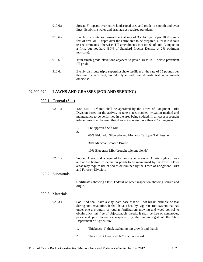| 910.6.1 | Spread 6" topsoil over entire landscaped area and grade to smooth and even<br>lines. Establish swales and drainage as required per plans.                                                                                                                                                                                          |
|---------|------------------------------------------------------------------------------------------------------------------------------------------------------------------------------------------------------------------------------------------------------------------------------------------------------------------------------------|
| 910.6.2 | Evenly distribute soil amendment at rate of 3 cubic yards per 1000 square<br>feet of area, or 1" depth over the entire area to be prepared; alter rate if soils<br>test recommends otherwise. Till amendments into top 6" of soil, Compact to<br>a firm, but not hard (80% of Standard Proctor Density at 2% optimum<br>moisture). |
| 910.6.3 | Trim finish grade elevations adjacent to paved areas to 1' below pavement<br>fill grade.                                                                                                                                                                                                                                           |
| 910.6.4 | Evenly distribute triple superphosphate fertilizer at the rate of 15 pounds per<br>thousand square feet; modify type and rate if soils test recommends<br>otherwise.                                                                                                                                                               |

# **02.900.920 LAWNS AND GRASSES (SOD AND SEEDING)**

# 920.1 General (Sod)

|       | 920.1.1    | Sod Mix: Turf mix shall be approved by the Town of Longmont Parks<br>Division based on the activity to take place, planned irrigation method and<br>maintenance to be performed in the area being sodded. In all cases a drought<br>tolerant mix shall be used that does not contain more than 20% bluegrass.                                                                                                                  |
|-------|------------|--------------------------------------------------------------------------------------------------------------------------------------------------------------------------------------------------------------------------------------------------------------------------------------------------------------------------------------------------------------------------------------------------------------------------------|
|       |            | Pre-approved Sod Mix:<br>1.<br>2.                                                                                                                                                                                                                                                                                                                                                                                              |
|       |            | 60% Eldorado, Silverado and Monarch Turftype Tall Fescue                                                                                                                                                                                                                                                                                                                                                                       |
|       |            | 30% Manchar Smooth Brome                                                                                                                                                                                                                                                                                                                                                                                                       |
|       |            | 10% Bluegrass Mix (drought tolerant blends)                                                                                                                                                                                                                                                                                                                                                                                    |
|       | 920.1.2    | Sodded Areas: Sod is required for landscaped areas on Arterial rights of way<br>and at the bottom of detention ponds to be maintained by the Town. Other<br>areas may require use of sod as determined by the Town of Longmont Parks<br>and Forestry Division.                                                                                                                                                                 |
| 920.2 | Submittals |                                                                                                                                                                                                                                                                                                                                                                                                                                |
|       |            | Certificates showing State, Federal or other inspection showing source and<br>origin.                                                                                                                                                                                                                                                                                                                                          |
| 920.3 | Materials  |                                                                                                                                                                                                                                                                                                                                                                                                                                |
|       | 920.3.1    | Sod: Sod shall have a clay-loam base that will not break, crumble or tear<br>during sod installation. It shall have a healthy, vigorous root system that has<br>under-one a program of regular fertilization, mowing and weed control to<br>obtain thick turf free of objectionable weeds. It shall be free of nematodes,<br>pests and pest larvae as inspected by the entomologist of the State<br>Department of Agriculture. |
|       |            | Thickness: 1" thick excluding top growth and thatch.<br>1.                                                                                                                                                                                                                                                                                                                                                                     |
|       |            | Thatch: Not to exceed 1/2" uncompressed.<br>2.                                                                                                                                                                                                                                                                                                                                                                                 |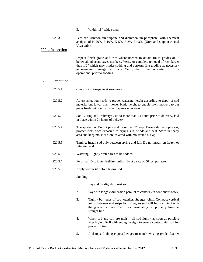3. Width: 18" wide strips.

| 920.3.2 | Fertilzer: Ammonidm sulphite and diammonium phosphate, with chemical                  |
|---------|---------------------------------------------------------------------------------------|
|         | analysis of N $20\%$ , P $10\%$ , K $5\%$ , 5 8%, Fe $3\%$ . (Urea and suiphur coated |
|         | Urea only).                                                                           |

## 920.4 Inspection

Inspect finish grade and trim where needed to obtain finish grades of I" below all adjacent paved surfaces. Verity or complete removal of rock larger than 1/2" which may hinder sodding and perform fine grading as necessary to maintain drainage per plans. Verity that irrigation system is fully operational prior to sodding.

#### 920.5 Execution

- 920.5.1 Clean out drainage inlet structures.
- 920.5.2 Adjust irrigation heads to proper watering height according to depth of sod material but lower than mower blade height to enable lawn mowers to cut grass freely without damage to sprmkler system.
- 920.5.3 Sod Cutting and Delivery: Cut no more than 24 hours prior to delivery, laid in place within 24 hours of delivery.
- 920.5.4 Transportation: Do not pile sod more than 2' deep. During delivery process, protect roots from exposure to drying sun, winds and heat. Store in shady area and keep moist or store covered with moistened burlap.
- 920.5.5 Timing: Install sod only between spring and fall. Do not install on frozen or saturated soil.
- 920.5.6 Watering: Lightly-water area to be sodded.
- 920.5.7 Fertilizer: Distribute fertilizer uniformly at a rate of 50 lbs. per acre.
- 920.5.8 Apply within 48 before laying sod.

## Sodding:

- 1. Lay sod on slightly moist soil
- 2. Lay with longest dimension parallel to contours in continuous rows.
- 3. Tightly butt ends of sod together. Stagger joints. Compact vertical joints between sod strips by rolling so sod will be in contact with the ground surface. Cut rows terminating on property lines to straight line.
- 4. When sod and soil are moist, roll sod lightly as soon as possible after laying. Roll with enough weight to ensure contact with soil for proper rooting.
- 5. Add topsoil along exposed edges to match existing grade; feather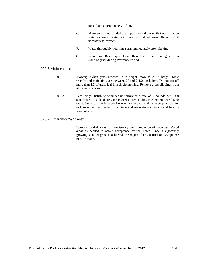topsoil out approximately 1 foot.

- 6. Make sure filled sodded areas positively drain so that no irrigation water or storm water will pond in sodded areas. Relay sod if necessary to correct.
- 7. Water thoroughly with fine spray immediately after planting.
- 8. Resodding: Resod spots larger than 1 sq. ft. not having uniform stand of grass during Warranty Period.

#### 920.6 Maintenance

- 920.6.1. Mowing: When grass reaches 3" in height, mow to 2" in height. Mow weekly and maintain grass between 2" and 2-1/2" in height. Do not cut off more than 1/3 of grass leaf in a single mowing. Remove grass clippings from all paved surfaces.
- 920.6.2. Fertilizing: Distribute fertilizer uniformly at a rate of 5 pounds per 1000 square feet of sodded area, three weeks after sodding is complete. Fertilizing thereafter is too be in accordance with standard maintenance practices for turf areas, and as needed to achieve and maintain a vigorous and healthy stand of grass.

## 920.7. Guarantee/Warranty

Warrant sodded areas for consistency and completion of coverage. Resod areas as needed to obtain acceptance by the Town. Once a vigorously growing stand of grass is achieved, the request for Construction Acceptance may be made.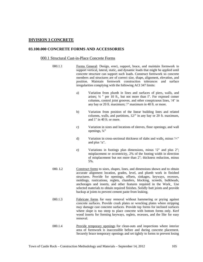# **DIVISION 3 CONCRETE**

## **03.100.000 CONCRETE FORMS AND ACCESSORIES**

## 000.1 Structural Cast-in-Place Concrete Forms

- 000.1.1 Forms General: Design, erect, support, brace, and maintain formwork to support vertical, lateral, static, and dynamic loads that might be applied until concrete structure can support such loads. Construct formwork so concrete members and structures are of correct size, shape, alignment, elevation, and position. Maintain formwork construction tolerances and surface irregularities complying with the following ACI 347 limits:
	- a) Variation from plumb in lines and surfaces of piers, walls, and arises; ¼ '' per 10 ft., but not more than I". For exposed comer columns, control joint grooves, and other conspicuous lines, '/4" in any bay or 20 ft. maximum; '/" maximum in 40 ft. or more.
	- b) Variation from position of the linear building lines and related columns, walls, and partitions, 12/" in any bay or 20 ft. maximum, and 1" in 40 ft. or more.
	- c) Variation in sizes and locations of sleeves, floor openings, and wall openings, ¼"
	- d) Variation in cross-sectional thickness of slabs and walls, minus '/<" and plus '/z".
	- e) Variations in footings plan dimensions, minus '/2" and plus 2"; misplacement or eccentricity, 2% of the footing width in direction of misplacement but not more than 2"; thickness reduction, minus 5%.
- 000. L2 Construct forms to sizes, shapes, lines, and dimensions shown and to obtain accurate alignment location, grades, level, and plumb work in finished structures. Provide for openings, offsets, sinkages, keyways, recesses, moldings, rustications, reglets, chamfers, blocking, screeds, bulkheads, anchorages and inserts, and other features required in the Work\_ Use selected materials to obtain required finishes. Solidly butt joints and provide backup at joints to prevent cement paste from leaking.
	- 000.1.3 Fabricate forms for easy removal without hammering or prying against concrete surfaces. Provide crush plates or wrecking plates where stripping may damage cast concrete surfaces. Provide top forms for inclined surfaces where slope is too steep to place concrete with bottom forms only. Kerf wood inserts for forming keyways, reglets, recesses, and the like for easy removal.
- 000.1.4 Provide temporary openings for clean-outs and inspections where interior area of formwork is inaccessible before and during concrete placement. Securely brace temporary openings and set tightly to forms to prevent losing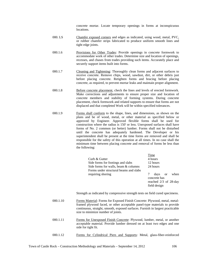concrete mortar. Locate temporary openings in forms at inconspicuous locations.

- 000. LS Chamfer exposed corners and edges as indicated, using wood, metal, PVC, or rubber chamfer strips fabricated to produce uniform smooth lines and tight edge joints.
- 000.1.6 Provisions for Other Trades: Provide openings in concrete formwork to accommodate work of other trades. Determine size and location of openings, recesses, and chases from trades providing such items. Accurately place and securely support items built into forms.
- 000.1.7 Cleaning and Tightening: Thoroughly clean forms and adjacent surfaces to receive concrete. Remove chips, wood, sawdust, dirt, or other debris just before placing concrete. Retighten forms and bracing before placing concrete, as required, to prevent mortar leaks and maintain proper alignment.
- 000.1.8 Before concrete placement, check the lines and levels of erected formwork. Make corrections and adjustments to ensure proper size and location of concrete members and stability of forming systems. During concrete placement, check formwork and related supports to ensure that forms are not displaced and that completed Work will be within specified tolerances.
- 000.1.9 Forms shall conform to the shape, lines, and dimensions, as shown on the plans and be of wood, metal, or other material as specified below or approved by Engineer. Approved flexible forms shall be used for construction where the radius is 150' or less. Unexposed surfaces shall have forms of No. 2 common (or better) lumber. Forms shall not be disturbed until the concrete has adequately hardened. The Developer or his superintendent shall be present at the time forms are removed and shall be responsible for the safety of this operation at all times. In no case shall the minimum time between placing concrete and removal of forms be less than the following:

|                                        | Time                                    |  |  |
|----------------------------------------|-----------------------------------------|--|--|
| Curb & Gutter                          | 4 hours                                 |  |  |
| Side forms for footings and slabs      | 12 hours                                |  |  |
| Side forms for walls, beam & columns   | 24 hours                                |  |  |
| Forms under structural beams and slabs |                                         |  |  |
| requiring shoring                      | when<br>days<br><sub>or</sub>           |  |  |
|                                        | concrete has<br>reached $2/3$ of 28-day |  |  |
|                                        |                                         |  |  |
|                                        | field design                            |  |  |
|                                        |                                         |  |  |

Strength as indicated by compressive strength tests on field cured specimens.

- 000.1.10 Forms Material: Forms for Exposed Finish Concrete: Plywood, metal, metalframed plywood faced, or other acceptable panel-type materials to provide continuous, straight, smooth, exposed surfaces. Furnish in largest practicable size to minimize number of joints.
- 000.1.11 Forms for Unexposed Finish Concrete: Plywood, lumber, metal, or another acceptable material. Provide lumber dressed on at least two edges and one side for tight fit.
- 000.1.12 Forms for Cylindrical Piers and Supports: Metal, glass-fiber-reinforced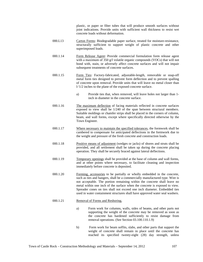plastic, or paper or fiber tubes that will produce smooth surfaces without joint indications. Provide units with sufficient wall thickness to resist wet concrete loads without deformation.

- 000.L13 Carton Forms: Biodegradable paper surface, treated for moisture-resistance, structurally sufficient to support weight of plastic concrete and other superimposed loads.
- 000.1.14 Form Release Agent: Provide commercial formulation form release agent with a maximum of 350 g/l volatile organic compounds (VOCs) that will not bond with, stain, or adversely affect concrete surfaces and will not impair subsequent treatments of concrete surfaces.
- 000.1.15 Form Ties: Factory-fabricated, adjustable-length, removable or snap-off metal form ties designed to prevent form deflection and to prevent spalling of concrete upon removal. Provide units that will leave no metal closer than l-'1/2 inches to the plane of the exposed concrete surface.
	- a) Provide ties that, when removed, will leave holes not larger than 1 inch in diameter in the concrete surface.
- 000.1.16 The maximum deflection of facing materials reflected in concrete surfaces exposed to view shall be 1/240 of the span between structural members. Suitable moldings or chamfer strips shall be placed in the corners of column, beam, and wall forms, except where specifically directed otherwise by the Town Engineer.
- 000.1.17 Where necessary to maintain the specified tolerances, the formwork shall be cambered to compensate for anticipated deflections in the formwork due to the weight and pressure of the fresh concrete and construction loads.
- 000.1.18 Positive means of adjustment (wedges or jacks) of shores and struts shall be provided, and all settlement shall be taken up during the concrete placing operation. They shall be securely braced against lateral deflections.
- 000.1.19 Temporary openings shall be provided at the base of column and wall forms, and at other points where necessary, to facilitate cleaning and inspection immediately before concrete is deposited.
- 000.1.20 Forming, accessories to be partially or wholly embedded in the concrete, such as ties and hangers, shall be a commercially manufactured type. Wire is not acceptable. The portion remaining within the concrete shall leave no metal within one inch of the surface when the concrete is exposed to view. Spreader cones on ties shall not exceed one inch diameter. Embedded ties used in water containment structures shall have approved water seal washers.

### 000.1.21 Removal of Forms and Reshoring,

- a) Form work for columns, walls, sides of beams, and other parts not supporting the weight of the concrete may be removed as soon as the concrete has hardened sufficiently to resist damage from removal operations. (See Section 03.100.110.1.9)
- b) Form work for beam soffits, slabs, and other parts that support the weight of concrete shall remain in place until the concrete has reached its specified twenty-eight (28) day strength, unless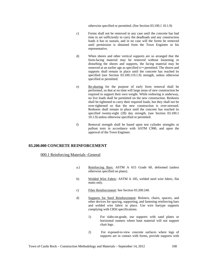otherwise specified or permitted. (See Section 03.100.1 10.1.9)

- c) Forms shall not be removed in any case until the concrete has had time to set sufficiently to carry the deadloads and any construction loads it has to sustain, and in no case will the forms be removed until permission is obtained from the Town Engineer or his representative.
- d) When shores and other vertical supports are so arranged that the form-facing material may be removed without loosening or disturbing the shores and supports, the facing material may be removed at an earlier age as specified o>• permitted. The shores and supports shall remain in place until the concrete has reached its specified (see Section 03.100.110.1.9) strength, unless otherwise specified or permitted.
- e) Re-shoring for the purpose of early form removal shall be performed, so that at no time will large areas of new construction be required to support their own weight. While reshoring is underway, no live loads shall be permitted on the new construction. Reshores shall be tightened to carry their required loads, but they shall not be over-tightened so that the new construction is over-stressed. Reshores shall remain in place until the concrete has reached its specified twenty-eight (28) day strength, (see Section 03.100.1) 10.1.9) unless otherwise specified or permitted.
- f) Removal strength shall be based upon test cylinder strengths or pullout tests in accordance with ASTM C900, and upon the approval of the Town Engineer.

# **03.200.000 CONCRETE REINFORCEMENT**

# 000.1 Reinforcing Materials -General

- a.) Reinforcing Bars: ASTM A 615 Grade 60, deformed (unless otherwise specified on plans).
- b) Welded Wire Fabric: ASTM A 185, welded steel wire fabric, flat matts only.
- c) Fiber Reinforcement: See Section 03.200.240.
- d) Supports for Steel Reinforcement: Bolsters, chairs, spacers, and other devices for spacing, supporting, and fastening reinforcing bars and welded wire fabric in place. Use wire bartype supports complying with CRSI specifications.
	- 1) For slabs-on-grade, use supports with sand plates or horizontal runners where base material will not support chair legs.
	- 2) For exposed-to-view concrete surfaces where legs of supports are in contact with forms, provide supports with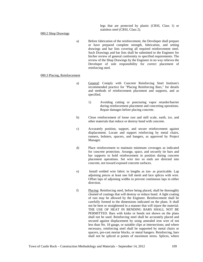legs that are protected by plastic (CRSI, Class 1) or stainless steel (CRSI, Class 2).

### 000.2 Shop Drawings

a) Before fabrication of the reinforcement, the Developer shall prepare or have prepared complete strength, fabrication, and setting drawings and bar lists covering all required reinforcement steel. Such Drawings and bar lists shall be submitted to the Engineer for his/her review of general conformity to specified requirements. The review of the Shop Drawings by the Engineer in no way relieves the Developer of sole responsibility for correct placement of reinforcing steel.

### 000.3 Placing, Reinforcement

- a) General: Comply with Concrete Reinforcing Steel Institute's recommended practice for "Placing Reinforcing Bars," for details and methods of reinforcement placement and supports, and as specified.
	- 1) Avoiding cutting or puncturing vapor retarder/barrier during reinforcement placement and concreting operations. Repair damages before placing concrete.
- b) Clean reinforcement of loose rust and mill scale, earth, ice, and other materials that reduce or destroy bond with concrete.
- c) Accurately position, support, and secure reinforcement against displacement. Locate and support reinforcing by metal chairs, runners, bolsters, spacers, and hangers, as approved by Project Manager.
- d) Place reinforcement to maintain minimum coverages as indicated for concrete protection. Arrange, space, and securely tie bars and bar supports to hold reinforcement in position during concrete placement operations. Set wire ties so ends are directed into concrete, not toward exposed concrete surfaces.
- e) Install welded wire fabric in lengths as ion- as practicable. Lap adjoining pieces at least one full mesh and lace splices with wire. Offset laps of adjoining widths to prevent continuous laps in either direction.
- f) Placing: Reinforcing steel, before being placed, shall be thoroughly cleaned of coatings that will destroy or reduce bond. A light coating of rust may be allowed by the Engineer. Reinforcement shall be carefully formed to the dimensions indicated on the plans. It shall not be bent or straightened in a manner that will injure the material. THE USE OF HEAT IN BENDING BARS SHALL NOT BE PERMITTED. Bars with kinks or bends not shown on the plans shall not be used. Reinforcing steel shall be accurately placed and secured against displacement by using annealed iron wire of not less than No. 18 gauge, or suitable clips at intersections; and where necessary, reinforcing steel shall be supported by metal chairs or spacers, pre-cast mortar blocks, or metal hangers. Reinforcing, bars shall not be spliced at points of maximum stress. Splices, where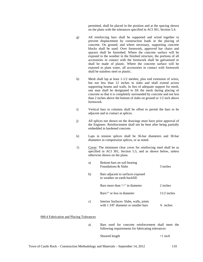permitted, shall be placed in the position and at the spacing shown on the plans with the tolerances specified in ACI 301, Section 5.4.

- g) All reinforcing bars shall be supported and wired together to prevent displacement by construction loads or the placing of concrete. On ground, and where necessary, supporting concrete blocks shall be used. Over formwork, approved bar chairs and spacers shall be furnished. Where the concrete surface will be exposed to the weather in the finished structure, the portions of all accessories in contact with the formwork shall be galvanized or shall be made of plastic. Where the concrete surface will be exposed to plant water, all accessories in contact with formwork shall be stainless steel or plastic.
- h) Mesh shall lap at least 1-1/2 meshes, plus end extension of wires, but not less than 12 inches in slabs and shall extend across supporting beams and walls. In lieu of adequate support for mesh, one man shall be designated to lift the mesh during placing of concrete so that it is completely surrounded by concrete and not less than 2 inches above the bottom of slabs on ground or 1/2 inch above formwork.
- i) Vertical bars in columns shall be offset to permit the bars to be adjacent and in contact at splices.
- j) All splices not shown on the drawings must have prior approval of the Engineer. Reinforcement shall not be bent after being partially embedded in hardened concrete.
- k) Laps in tension splices shall be 36-bar diameters and 30-bar diameters in compression splices, or as noted.
- 1) Cover: The minimum clear cover for reinforcing steel shall be as specified in ACI 301, Section 5.5, and as shown below, unless otherwise shown on the plans.

| a) | Bottom bars on soil bearing<br>Foundations & Slabs                              | 3 inches             |
|----|---------------------------------------------------------------------------------|----------------------|
| b) | Bars adjacent to surfaces exposed<br>to weather on earth backfill:              |                      |
|    | Bars more than $\frac{1}{\epsilon}$ in diameter                                 | 2 inches             |
|    | Bars'/" or less in diameter                                                     | $11/2$ inches        |
| C) | Interior Surfaces: Slabs, walls, joints<br>with 1 3/8" diameter or smaller bars | $\frac{3}{4}$ inches |

000.4 Fabrication and Placing Tolerances

a) Bars used for concrete reinforcement shall meet the following requirements for fabricating tolerances:

Sheared length  $+1$  inch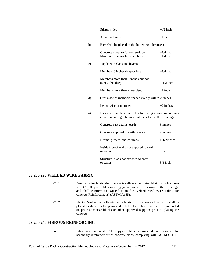|    | Stirrups, ties                                                                                                       | $+1/2$ inch                |  |  |  |  |
|----|----------------------------------------------------------------------------------------------------------------------|----------------------------|--|--|--|--|
|    | All other bends                                                                                                      | $+I$ inch                  |  |  |  |  |
| b) | Bars shall be placed to the following tolerances:                                                                    |                            |  |  |  |  |
|    | Concrete cover to formed surfaces<br>Minimum spacing between bars                                                    | $+1/4$ inch<br>$+1/4$ inch |  |  |  |  |
| c) | Top bars in slabs and beams:                                                                                         |                            |  |  |  |  |
|    | Members 8 inches deep or less                                                                                        | $+1/4$ inch                |  |  |  |  |
|    | Members more than 8 inches but not<br>over 2 feet deep                                                               | $+1/2$ inch                |  |  |  |  |
|    | Members more than 2 feet deep                                                                                        | $+1$ inch                  |  |  |  |  |
| d) | Crosswise of members spaced evenly within 2 inches                                                                   |                            |  |  |  |  |
|    | Lengthwise of members                                                                                                | $+2$ inches                |  |  |  |  |
| e) | Bars shall be placed with the following minimum concrete<br>cover, including tolerance unless noted on the drawings: |                            |  |  |  |  |
|    | Concrete cast against earth                                                                                          | 3 inches                   |  |  |  |  |
|    | Concrete exposed to earth or water                                                                                   | 2 inches                   |  |  |  |  |
|    | Beams, girders, and columns                                                                                          | $1-1/2$ inches             |  |  |  |  |
|    | Inside face of walls not exposed to earth<br>or water                                                                | 1 inch                     |  |  |  |  |
|    | Structural slabs not exposed to earth<br>or water                                                                    | $3/4$ inch                 |  |  |  |  |

# **03.200.220 WELDED WIRE FABRIC**

| 220.1 | Welded wire fabric shall be electrically-welded wire fabric of cold-drawn<br>wire (70,000 psi yield point) of gage and mesh size shown on the Drawings,<br>and shall conform to "Specification for Welded Steel Wire Fabric for<br>concrete Reinforcement" (ASTM A185). |
|-------|-------------------------------------------------------------------------------------------------------------------------------------------------------------------------------------------------------------------------------------------------------------------------|
| 220.2 | Placing Welded Wire Fabric: Wire fabric in crosspans and curb cuts shall be<br>placed as shown in the plans and details. The fabric shall be fully supported<br>on pre-cast mortar blocks or other approved supports prior to placing the<br>concrete.                  |

# **03.200.240 FIBROUS REINFORCING**

240.1 Fiber Reinforcement: Polypropylene fibers engineered and designed for secondary reinforcement of concrete slabs, complying with ASTM C 1116,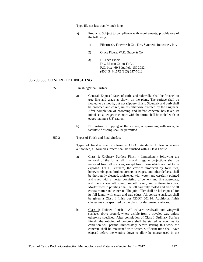Type III, not less than '/4 inch long

- a) Products: Subject to compliance with requirements, provide one of the following:
	- 1) Fibermesh, Fibermesh Co., Div. Synthetic Industries, Inc.
	- 2) Grace Fibers, W.R. Grace & Co.
	- 3) Hi-Tech Fibers. Div. Martin Colon-Fi Co. P.O. box 469 Edgefield. SC 29824 (800) 344-1572 (803) 637-7012

# **03.200.350 CONCRETE FINISHING**

- 350.1 Finishing/Final Surface
	- a) General: Exposed faces of curbs and sidewalks shall be finished to true line and grade as shown on the plans. The surface shall be floated to a smooth, but not slippery finish. Sidewalk and curb shall be broomed and edged, unless otherwise directed by the Engineer. After completion of brooming and before concrete has taken its initial set, all edges in contact with the forms shall be tooled with an edges having a 3/8" radius.
	- b) No dusting or topping of the surface, or sprinkling with water, to facilitate finishing shall be permitted.

#### 350.2 Types of Finish and Final Surface

Types of finishes shall conform to CDOT standards. Unless otherwise authorized, all formed surfaces shall be finished with a Class I finish.

- a) Class 1: Ordinary Surface Finish Immediately following the removal of the forms, all fins and irregular projections shall be removed from all surfaces, except from those which are not to be exposed. On all surfaces, the cavities produced by form ties, honeycomb spots, broken corners or edges, and other defects, shall be thoroughly cleaned, moistened with water, and carefully pointed and trued with a mortar consisting of cement and fine aggregate, and the surface left sound, smooth, even, and uniform in color. Mortar used in pointing shall be left carefully tooled and free of all excess mortar and concrete. The joint filler shall be left exposed for its full length with clean and true edges. All concrete surfaces shall be given a Class I finish per CDOT 601.14. Additional finish classes may be specified by the plans for designated surfaces.
- b) Class 2: Rubbed Finish All culvert headwall and wingwall surfaces above around, where visible from a traveled way unless otherwise specified. After completion of Class I Ordinary Surface Finish, the rubbing of concrete shall be started as soon as its condition will permit. Immediately before starting this work the concrete shall be moistened with water. Sufficient time shall have elapsed before the wetting down to allow he mortar used in the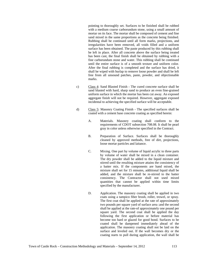pointing to thoroughly set. Surfaces to be finished shall be rubbed with a medium coarse carborundum stone, using a small amount of mortar on its face. The mortar shall be composed of cement and fine sand mixed in the same proportions as the concrete being finished. Rubbing shall be continued until all form marks, projections, and irregularities have been removed, all voids filled and a uniform surface has been obtained. The paste produced by this rubbing shall be left in place. After all concrete above the surface being treated has been cast, the final finish shall be obtained by rubbing with a fine carborundum stone and water. This rubbing shall be continued until the entire surface is of a smooth texture and uniform color. After the final rubbing is completed and the surface has dried, it shall be wiped with burlap to remove loose powder and shall be left free from all unsound patches, paste, powder, and objectionable marks.

- c) Class 4: Sand Blasted Finish The cured concrete surface shall be sand blasted with hard, sharp sand to produce an even fine-grained uniform surface in which the mortar has been cut away. An exposed aggregate finish will not be required. However, aggregate exposed incidental to achieving the specified surface will be acceptable.
- d) Class 5: Masonry Coating Finish The specified surfaces shall be coated with a cement base concrete coating as specified herein:
	- A. Materials. Masonry coating shall conform to the requirements of CDOT subsection 708.08. It shall be pearl gray in color unless otherwise specified in the Contract.
	- B. Preparation of Surface. Surfaces shall be thoroughly cleaned by approved methods, free of dirt, projections, loose mortar particles and laitance.
	- C. Mixing. One part by volume of liquid acrylic to three parts by volume of water shall be mixed in a clean container. The dry powder shall be added to the liquid mixture and stirred until the resulting mixture attains the consistency of a batter mix. If the components are hand mixed, the mixture shall set for 15 minutes, additional liquid shall be added, and the mixture shall be re-stirred to the batter consistency. The Contractor shall not used mixed quantities that cannot be applied within time limits specified by the manufacturer.
	- D. Application. The masonry coating shall be applied in two coats using a tampico fiber brush, roller, trowel, or spray. The first coat shall be applied at the rate of approximately two pounds per square yard of surface area :and the second shall be applied at the rate-of approximately one pound per square yard. The second coat shall be applied the day following the first application or before material has become too hard or glazed for good bond. Surfaces to be coated shall be dampened immediately ahead of the application. The masonry coating shall not be laid on the surface and leveled out. If the wall becomes dry or the coating starts to pull during application, the wall shall be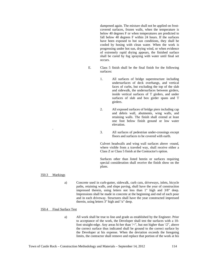dampened again. The mixture shall not be applied on frostcovered surfaces, frozen walls, when the temperature is below 40 degrees F or when temperatures are predicted to fall below 40 degrees F within 24 hours. If the surfaces have been exposed to hot sun conditions, they shall be cooled by hosing with clean water. When the work is progressing under hot sun, drying wind, or when evidence of extremely rapid drying appears, the finished surface shall be cured by fog spraying with water until final set occurs.

- E. Class 5 finish shall be the final finish for the following surfaces:
	- 1. All surfaces of bridge superstructure including undersurfaces of deck overhangs, and vertical faces of curbs, but excluding the top of the slab and sidewalk, the undersurfaces between girders, inside vertical surfaces of T girders, and under surfaces of slab and box girder spans and T girders.
	- 2. All exposed surfaces of bridge piers including cap and debris wall, abutments, wing walls, and retaining walls. The finish shall extend at least one foot below finish ground or low water elevation.
	- 3. All surfaces of pedestrian under-crossings except floors and surfaces to be covered with earth.

Culvert headwalls and wing wall surfaces above -round, where visible from a traveled way, shall receive either a Class Z or Class 5 finish at the Contractor's option.

Surfaces other than listed herein or surfaces requiring special consideration shall receive the finish show on the plans.

350.3 Markings

.

a) Concrete used in curb-gutter, sidewalk, curb cuts, driveways, inlets, bicycle paths, retaining walls, and slope paving, shall have the year of construction impressed therein, using letters not less than 1" high and 3/8" deep. Impressions shall be made in concrete at the beginning and end of each pour and in each driveway. Structures shall have the year constructed impressed therein, using letters 3" high and '/z" deep.

## 350.4 Final Surface Test

a) All work shall be true to line and grade as established by the Engineer. Prior to acceptance of the work, the Developer shall test the surfaces with a 10 foot straight-edge. Any areas hi-her than '/<", but not higher than '/2", above the correct surface thus indicated shall be ground to the correct surface by the Developer at his expense. When the deviation exceeds the foregoing limits, the contractor shall remove and replace that portion of the work at his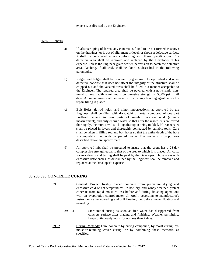expense, as directed by the Engineer.

350.5 Repairs

- a) If, after stripping of forms, any concrete is found to be not formed as shown on the drawings, or is out of alignment or level, or shows a defective surface, it shall be considered as not conforming with these Specifications. The defective area shall be removed and replaced by the Developer at his expense, unless the Engineer gives written permission to patch the defective area. Patching, if allowed, shall be done as described in the following paragraphs.
- b) Ridges and bulges shall be removed by grinding. Honeycombed and other defective concrete that does not affect the integrity of the structure shall be chipped out and the vacated areas shall be filled in a manner acceptable to the Engineer. The repaired area shall be patched with a non-shrink, nonmetallic grout, with a minimum compressive strength of 5,000 psi in 28 days. All repair areas shall be treated with an epoxy bonding agent before the repair filling is placed.
- c) Bolt Holes, tie-rod holes, and minor imperfections, as approved by the Engineer, shall be filled with dry-patching mortar composed of one part Portland cement to two parts of regular concrete sand (volume measurement), and only enough water so that after the ingredients are mixed thoroughly, the mortar will stick together upon being molded. Mortar repairs shall be placed in layers and thoroughly compacted by suitable tools. Care shall be taken in filling rod and bolt holes so that the entire depth of the hole is completely filled with compacted mortar. The mortar mix proportions described above are approximate.
- d) An approved mix shall be prepared to insure that the grout has a 28-day compressive strength equal to that of the area to which it is placed. All costs for mix design and testing shall be paid by the Developer. Those areas with excessive deficiencies, as determined by the Engineer, shall be removed and replaced at the Developer's expense.

## **03.200.390 CONCRETE CURING**

- 390.1 General: Protect freshly placed concrete from premature drying and excessive cold or hot temperatures. In hot, dry, and windy weather, protect concrete from rapid moisture loss before and during finishing operations with an evaporation-control mater' al. Apply according to manufacturer's instructions after screeding and bull floating, but before power floating and troweling.
	- 390.1.1 Start initial curing as soon as free water has disappeared from concrete surface after placing and finishing. Weather permitting, keep continuously moist for not less than 7 days.
- 390.2 Curing, Methods: Cure concrete by curing compound, by moist curing, bymoisture-retaining cover curing, or by combining these methods, as specified.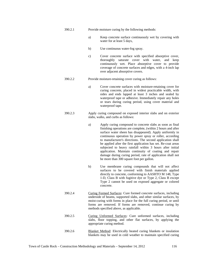- 390.2.1 Provide moisture curing by the following methods:
	- a) Keep concrete surface continuously wet by covering with water for at least 5 days,
	- b) Use continuous water-fog spray.
	- c) Cover concrete surface with specified absorptive cover, thoroughly saturate cover with water, and keep continuously wet. Place absorptive cover to provide coverage of concrete surfaces and edges, with a 4-inch lap over adjacent absorptive covers.
- 390.2.2 Provide moisture-retaining cover curing as follows:
	- a) Cover concrete surfaces with moisture-retaining cover for curing concrete, placed in widest practicable width, with sides and ends lapped at least 3 inches and sealed by waterproof tape or adhesive. Immediately repair any holes or tears during curing period, using cover material and waterproof tape.
- 390.2.3 Apply curing compound on exposed interior slabs and on exterior slabs, walks, and curbs as follows:
	- a) Apply curing compound to concrete slabs as soon as final finishing operations are complete, (within 2 hours and after surface water sheen has disappeared). Apply uniformly in continuous operation by power spray or roller, according to manufacturer's directions. The second application shall be applied after the first application has set. Re-coat areas subjected to heavy rainfall within 3 hours after initial application. Maintain continuity of coating and repair damage during curing period, rate of application shall not be more than 300 square foot per gallon.
	- b) Use membrane curing compounds that will not affect surfaces to be covered with finish materials applied directly to concrete, conforming to AASHTO M 148, Type 1-D, Class B with fugitive dye or Type 2, Class B except Type 2 cannot be used on exposed aggregate or colored concrete.
- 390.2.4 Curing Formed Surfaces: Cure formed concrete surfaces, including underside of beams, supported slabs, and other similar surfaces, by moist-curing with forms in place for the full curing period, or until forms are removed. If forms are removed, continue curing by methods specified above, as applicable.
- 390.2.5 Curing Unformed Surfaces: Cure unformed surfaces, including slabs, floor topping, and other flat surfaces, by applying the appropriate curing method.
- 390.2.6 Blanket Method: Electrically heated curing blankets or insulation blankets may be used in cold weather to maintain specified curing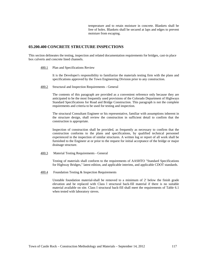temperature and to retain moisture in concrete. Blankets shall be free of holes. Blankets shall be secured at laps and edges to prevent moisture from escaping.

## **03.200.400 CONCRETE STRUCTURE INSPECTIONS**

This section delineates the testing, inspection and related documentation requirements for bridges, cast-in place box culverts and concrete lined channels.

400.1 Plan and Specifications Review

It is the Developer's responsibility to familiarize the materials testing firm with the plans and specifications approved by the Town Engineering Division prior to any construction.

400.2 Structural and Inspection Requirements - General

The contents of this paragraph are provided as a convenient reference only because they are anticipated to be the most frequently used provisions of the Colorado Department of Highways Standard Specifications for Road and Bridge Construction. This paragraph is not the complete requirements and criteria to be used for testing and inspection.

The structural Consultant Engineer or his representative, familiar with assumptions inherent in the structure design, shall review the construction in sufficient detail to confirm that the construction is appropriate.

Inspection of construction shall be provided, as frequently as necessary to confirm that the construction conforms to the plans and specifications, by qualified technical personnel experienced in the inspection of similar structures. A written log or report of all work shall be furnished to the Engineer at or prior to the request for initial acceptance of the bridge or major drainage structure.

400.3 Material Testing Requirements - General

Testing of materials shall conform to the requirements of AASHTO "Standard Specifications for Highway Bridges," latest edition, and applicable interims, and applicable CDOT standards.

400.4 Foundation Testing & Inspection Requirements

Unstable foundation material-shall be removed to a minimum of 2' below the finish grade elevation and be replaced with Class l structural back-fill material if there is no suitable material available on site. Class I structural back-fill shall meet the requirements of Table 6.1 when tested with laboratory sieves.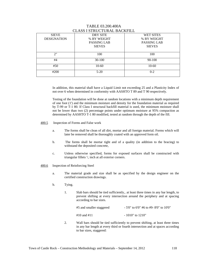| <u>CLIND I DINCCI ON IL DI ICIN ILL</u> |                    |                    |  |  |  |  |  |
|-----------------------------------------|--------------------|--------------------|--|--|--|--|--|
| <b>SIEVE</b>                            | DRY SITE           | WET SITES          |  |  |  |  |  |
| <b>DESIGNATION</b>                      | % BY WEIGHT        | % BY WEIGHT        |  |  |  |  |  |
|                                         | <b>PASSING LAB</b> | <b>PASSING LAB</b> |  |  |  |  |  |
|                                         | <b>SIEVES</b>      | <b>SIEVES</b>      |  |  |  |  |  |
|                                         |                    |                    |  |  |  |  |  |
| 2"                                      | 100                | 100                |  |  |  |  |  |
| #4                                      | $30-100$           | 90-100             |  |  |  |  |  |
| #50                                     | $10-60$            | $10-60$            |  |  |  |  |  |
| #200                                    | $5 - 20$           | $0 - 2$            |  |  |  |  |  |
|                                         |                    |                    |  |  |  |  |  |

## TABLE 03.200.400A CLASS I STRUCTURAL BACKFILL

In addition, this material shall have a Liquid Limit not exceeding 25 and a Plasticity Index of not over 6 when determined in conformity with AASHTO T 89 and T 90 respectively.

Testing of the foundation will be done at random locations with a minimum depth requirement of one foot (1') and the minimum moisture and density for the foundation material as required by T-99 or T-1 80. If Class I structural backfill material is used, the minimum moisture shall not be lower than two (2) percentage points under optimum moisture at 95% compaction as determined by AASHTO T-1 80 modified, tested at random through the depth of the fill.

- 400.5 Inspection of Forms and False work
	- a. The forms shall be clean of all dirt, mortar and all foreign material. Forms which will later be removed shall be thoroughly coated with an approved form oil.
	- b. The forms shall be mortar tight and of a quality (in addition to the bracing) to withstand the deposited concrete,
	- c. Unless otherwise specified, forms for exposed surfaces shall be constructed with triangular fillets '/, inch at all exterior corners.
- 400.6 Inspection of Reinforcing Steel
	- a. The material grade and size shall be as specified by the design engineer on the certified construction drawings.
	- b. Tying.
		- 1. Slab bars should be tied sufficiently,. at least three times in any bar length, to prevent shifting at every intersection around the periphery and at spacing according to bar sizes.

| #5 and smaller staggered | $-5'0''$ to 6'0" #6 to #9-8'0" to 10'0" |
|--------------------------|-----------------------------------------|
| #10 and #11              | $-1010$ " to $1210$ "                   |

2. Wall bars should be tied sufficiently to prevent shifting, at least three times in any bar length at every third or fourth intersection and at spaces according to bar sizes, staggered: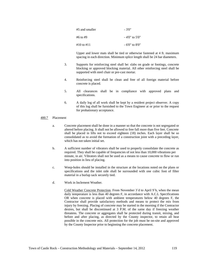| #5 and smaller   | - 3'0"           |
|------------------|------------------|
| #6 to #9         | $-4'0''$ to 5'0" |
| $\#10$ to $\#11$ | $-6'0''$ to 8'0" |

Upper and lower mats shall be tied or otherwise fastened at 4 ft. maximum spacing in each direction. Minimum splice length shall be 24 bar diameters.

- 3. Supports for reinforcing steel shall be: slabs on grade or footings, concrete blocking or approved blocking material. All other reinforcing steel shall be supported with steel chair or pre-cast mortar.
- 4. Reinforcing steel shall be clean and free of all foreign material before concrete is placed.
- 5. All clearances shall be in compliance with approved plans and specifications.
- 6. A daily log of all work shall be kept by a resident project observer. A copy of this log shall be furnished to the Town Engineer at or prior to the request for probationary acceptance.

### 400.7 Placement

- a. Concrete placement shall be done in a manner so that the concrete is not segregated or altered before placing. It shall not be allowed to free fall more than five feet. Concrete shall be placed in lifts not to exceed eighteen (18) inches. Each layer shall be so consolidated as to avoid the formation of a construction joint with a preceding layer, which has not taken initial set.
- b. A sufficient number of vibrators shall be used to properly consolidate the concrete as required. They shall be capable of frequencies of not less than 10,000 vibrations per minute, in air. Vibrators shall not be used as a means to cause concrete to flow or run into position in lieu of placing.
- c. Weep-holes should be installed in the structure at the locations noted on the plans or specifications and the inlet side shall be surrounded with one cubic foot of filter material in a burlap sack securely tied.
- d. Work in Inclement Weather.

Cold Weather Concrete Protection. From November 3`d to April 9`h, when the mean daily temperature is less than 40 degrees F, in accordance with A.C.L Specifications OR when concrete is placed with ambient temperatures below 40 degrees F, the Contractor shall provide satisfactory methods and means to protect the mix from injury by freezing. Placing of concrete may be started in the morning if the Contractor desires, but shall be discontinued at 3 P.M. of the same day if freezing weather threatens. The concrete or aggregates shall be protected during transit, mixing, and before and after placing, as directed by the County inspector, to retain all heat possible in the concrete mix. All protection for the job must be on-site and approved by the County Inspector prior to beginning the concrete placement.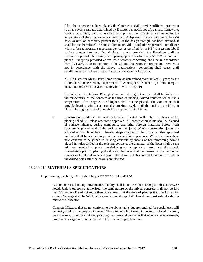After the concrete has been placed, the Contractor shall provide sufficient protection such as cover, straw (as determined by R-factor per A.C.I. specs), canvas, framework, heating apparatus, etc., to enclose and protect the structure and maintain the temperature of the concrete at not less than 50 degrees F for a minimum of five (5) days, or until at least sixty percent (60%) of the design strength has been attained. It shall be the Permittee's responsibility to provide proof of temperature compliance with surface temperature recording devices as certified (by a P.E.) b a testing lab. If surface temperature recording devices are not provided, the Permittee shall be required to provide the County with petrographic tests for every 50 C.Y. of concrete placed. Except as provided above, cold weather concreting shall be in accordance with ACI-306. If, in the opinion of the County Inspector, the protection provided is not in accordance with the above specifications, concreting shall cease until conditions or procedures are satisfactory to the County Inspector.

NOTE: Dates for Mean Daily Temperature as determined over the last 25 years by the Colorado Climate Center, Department of Atmospheric Science by: (min. temp. + max. temp.0/2 (which is accurate to within  $+$  or- 1 degree).

Hot Weather Limitations. Placing of concrete during hot weather shall be limited by the temperature of the concrete at the time of placing. Mixed concrete which has a temperature of 90 degrees F of higher, shall not be placed. The Contractor shall provide fogging with an approved atomizing nozzle until the curing material is in place. The aggregate stockpiles shall be kept moist at all times.

e. Construction joints hall be made only where located on the plans or shown in the placing schedule, unless otherwise approved. All construction joints shall be cleaned of surface laitance, curing compound, and other foreign materials before fresh concrete is placed against the surface of the joint. Where construction joints are allowed on visible surfaces, chamfer strips attached to the forms or other approved methods shall be utilized to provide an even joint appearance. When the plans show new concrete to be joined to existing concrete by means of bar reinforcing dowels placed in holes drilled in the existing concrete, the diameter of the holes shall be the minimum needed to place non-shrink grout or epoxy or grout and the dowel. Immediately prior to placing the dowels, the holes shall be cleaned of dust and other foreign material and sufficient grout placed in the holes so that there are no voids in the drilled holes after the dowels are inserted.

# **03.200.410 MATERIALS SPECIFICATIONS**

Proportioning, batching, mixing shall be per CDOT 601.04 to 601.07.

All concrete used in any infrastructure facility shall be no less than 4000 psi unless otherwise noted. Unless otherwise authorized, the temperature of the mixed concrete shall not be less than 50 degrees F and not more than 80 degrees F at the time of placing it in the forms. Air content % range shall be 5-8%, with a maximum slump of 4". Developer must submit a design mix to the inspector.

Concrete Mixtures that do not conform to the above table, but are required for special uses will be designated for the purpose intended. These include light weight concrete, colored concrete, lean concrete, grouting mixtures, patching mixtures and concretes that require special cements, pozzolans or aggregates not covered in the Standard Specifications.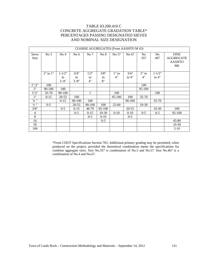# TABLE 03.200.410 C CONCRETE AGGREGATE GRADATION TABLE\* PERCENTAGES PASSING DESIGNATED SIEVES AND NOMINAL SIZE DESIGNATION

| COARSE AGGREGATES (From AASHTO M 43) |              |                          |                    |                  |                  |               |                 |                       |                       |                                                        |
|--------------------------------------|--------------|--------------------------|--------------------|------------------|------------------|---------------|-----------------|-----------------------|-----------------------|--------------------------------------------------------|
| Sieve<br>Size                        | No 3         | No <sub>4</sub>          | No $6$             | No 7             | No 8             | No 57         | No 67           | N <sub>0</sub><br>357 | No<br>467             | <b>FINE</b><br><b>AGGREGATE</b><br><b>AASHTO</b><br>M6 |
|                                      | $2"$ to $1"$ | $1 - 1/2"$<br>to<br>3/4" | 3/4"<br>to<br>3/8" | 1/2"<br>to<br>4" | 3/8"<br>to<br>8" | $1"$ to<br>4" | 3/4"<br>to $4"$ | $2"$ to<br>4"         | $1 - 1/2"$<br>to $4"$ |                                                        |
| 2'2''                                | 100          |                          |                    |                  |                  |               |                 | 100                   |                       |                                                        |
| 2"                                   | 90-100       | 100                      |                    |                  |                  |               |                 | 95-100                |                       |                                                        |
| 1'/2"                                | $35 - 70$    | 90-100                   |                    | 1                |                  | 100           |                 |                       | 100                   |                                                        |
| 1"                                   | $0-15$       | $20 - 55$                | 100                |                  |                  | 95-100        | 100             | $35 - 70$             |                       |                                                        |
| $3/4$ "                              |              | $0-15$                   | 90-100             | 100              |                  |               | 90-100          |                       | 35-70                 |                                                        |
| $\frac{1}{2}$ "                      | $0 - 5$      |                          | $20 - 55$          | 90-100           | 100              | $25 - 60$     |                 | $10-30$               |                       |                                                        |
| 3/8"                                 |              | $0 - 5$                  | $0-15$             | $40 - 70$        | 85-100           |               | $20 - 55$       |                       | $10-30$               | 100                                                    |
| $\overline{4}$                       |              |                          | $0 - 5$            | $0-15$           | $10-30$          | $0 - 10$      | $0-10$          | $0 - 5$               | $0 - 5$               | 95-100                                                 |
| 8                                    |              |                          |                    | $0 - 5$          | $0 - 10$         |               | $0 - 5$         |                       |                       |                                                        |
| 16                                   |              |                          |                    |                  | $0 - 5$          |               |                 |                       |                       | 45-80                                                  |
| 50                                   |              |                          |                    |                  |                  |               |                 |                       |                       | $10-30$                                                |
| 100                                  |              |                          |                    |                  |                  |               |                 |                       |                       | $2 - 10$                                               |

\*From CDOT Specifications Section 703. Additional primary grading may be permitted, when produced on the project, provided the theoretical combination meets the specifications for combine aggregate sizes. Size No.357 is combination of No.3 and No.57. Size No.467 is a combination of No.4 and No.67.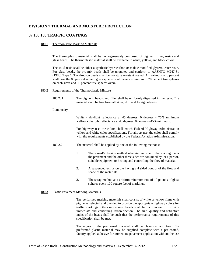# **DIVISION 7 THERMAL AND MOISTURE PROTECTION**

# **07.100.180 TRAFFIC COATINGS**

## 180.1 Thermoplastic Marking Materials

The thermoplastic material shall be homogeneously composed of pigment, filler, resins and glass beads. The thermoplastic material shall be available in white, yellow, and black colors.

The solid resin shall be either a synthetic hydrocarbon or maleic modified glycerol ester resin. For glass beads, the pre-mix beads shall be unquoted and conform to AASHTO M247-81 (1986) Type 1. The drop-on beads shall be moisture resistant coated. A maximum of 5 percent shall pass the 80 percent screen: glass spheres shall have a minimum of 70 percent true spheres on each sieve and 80 percent true spheres overall.

## 180.2 Requirements of the Thermoplastic Mixture

180.2. 1 The pigment, beads, and filler shall be uniformly dispersed in the resin. The material shall be free from all skins, dirt, and foreign objects.

#### Luminosity

White - daylight reflectance at 45 degrees, 0 degrees - 75% minimum Yellow - daylight reflectance at 45 degrees, 0 degrees - 45% minimum.

For highway use, the colors shall match Federal Highway Administration yellow and white color specifications. For airport use, the color shall comply with the requirements established by the Federal Aviation Administration.

- 180.2.2 The material shall be applied by one of the following methods:
	- 1. The screed/extrusion method wherein one side of the shaping die is the pavement and the other three sides are contained by, or a part of, suitable equipment or heating and controlling the flow of material.
	- 2. A suspended extrusion die having a 4 sided control of the flow and shape of the materials.
	- 3. The spray method at a uniform minimum rate of 10 pounds of glass spheres every 100 square feet of markings.

#### 180.3 Plastic Pavement Marking Materials

The performed marking materials shall consist of white or yellow films with pigments selected and blended to provide the appropriate highway colors for traffic markings. Glass or ceramic beads shall be incorporated to provide immediate and continuing retroreflection. The size, quality and refractive index of the beads shall be such that the performance requirements of this specification shall be met.

The edges of the preformed material shall be clean cut and true. The preformed plastic material may be supplied complete with a pre-coated, factory applied adhesive for immediate pavement application without the use